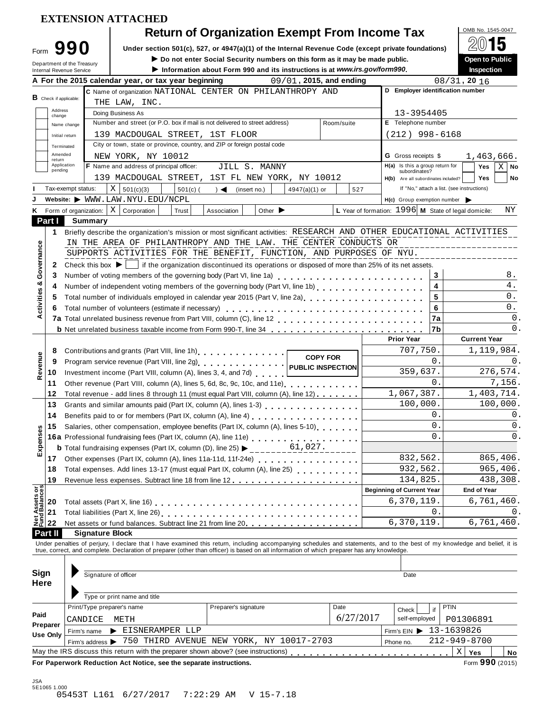|                                                                              |                                                               | <b>Return of Organization Exempt From Income Tax</b>                                                                                                                              |           |                                                               |            | OMB No. 1545-0047<br>$20$ 15               |                                                                                                            |
|------------------------------------------------------------------------------|---------------------------------------------------------------|-----------------------------------------------------------------------------------------------------------------------------------------------------------------------------------|-----------|---------------------------------------------------------------|------------|--------------------------------------------|------------------------------------------------------------------------------------------------------------|
|                                                                              | Form $990$                                                    | Under section 501(c), 527, or 4947(a)(1) of the Internal Revenue Code (except private foundations)<br>Do not enter Social Security numbers on this form as it may be made public. |           |                                                               |            | Open to Public                             |                                                                                                            |
|                                                                              | Department of the Treasury<br><b>Internal Revenue Service</b> | Information about Form 990 and its instructions is at www.irs.gov/form990.                                                                                                        |           |                                                               |            | Inspection                                 |                                                                                                            |
|                                                                              |                                                               | 09/01, 2015, and ending<br>A For the 2015 calendar year, or tax year beginning                                                                                                    |           |                                                               |            | $08/31$ , 20 $16$                          |                                                                                                            |
|                                                                              |                                                               | C Name of organization NATIONAL CENTER ON PHILANTHROPY AND                                                                                                                        |           | D Employer identification number                              |            |                                            |                                                                                                            |
|                                                                              | $\mathbf B$ Check if applicable:                              | THE LAW, INC.                                                                                                                                                                     |           |                                                               |            |                                            |                                                                                                            |
|                                                                              | Address<br>change                                             | Doing Business As                                                                                                                                                                 |           | 13-3954405                                                    |            |                                            |                                                                                                            |
|                                                                              | Name change                                                   | Number and street (or P.O. box if mail is not delivered to street address)<br>Room/suite                                                                                          |           | E Telephone number                                            |            |                                            |                                                                                                            |
|                                                                              | Initial return                                                | 139 MACDOUGAL STREET, 1ST FLOOR                                                                                                                                                   |           | $(212)$ 998-6168                                              |            |                                            |                                                                                                            |
|                                                                              | Terminated<br>Amended                                         | City or town, state or province, country, and ZIP or foreign postal code                                                                                                          |           |                                                               |            |                                            |                                                                                                            |
| return                                                                       | Application                                                   | NEW YORK, NY 10012<br>F Name and address of principal officer:                                                                                                                    |           | <b>G</b> Gross receipts \$<br>H(a) Is this a group return for |            | 1,463,666.<br>Yes                          |                                                                                                            |
|                                                                              | pending                                                       | JILL S. MANNY<br>139 MACDOUGAL STREET, 1ST FL NEW YORK, NY 10012                                                                                                                  |           | subordinates?                                                 |            | Yes                                        | $\mathbf{X}$<br>No<br>No                                                                                   |
|                                                                              | Tax-exempt status:                                            | X   501(c)(3)<br>$501(c)$ (<br>(insert no.)<br>$4947(a)(1)$ or<br>$\rightarrow$                                                                                                   | 527       | H(b) Are all subordinates included?                           |            | If "No," attach a list. (see instructions) |                                                                                                            |
|                                                                              |                                                               | Website: WWW.LAW.NYU.EDU/NCPL                                                                                                                                                     |           | $H(c)$ Group exemption number                                 |            |                                            |                                                                                                            |
|                                                                              |                                                               | Form of organization: $\mid X \mid$ Corporation<br>Other $\blacktriangleright$<br>Trust<br>Association                                                                            |           | L Year of formation: 1996 M State of legal domicile:          |            |                                            | ΝY                                                                                                         |
| Part I                                                                       |                                                               | <b>Summary</b>                                                                                                                                                                    |           |                                                               |            |                                            |                                                                                                            |
| 1.                                                                           |                                                               | Briefly describe the organization's mission or most significant activities: RESEARCH AND OTHER EDUCATIONAL ACTIVITIES                                                             |           |                                                               |            |                                            |                                                                                                            |
|                                                                              |                                                               | IN THE AREA OF PHILANTHROPY AND THE LAW. THE CENTER CONDUCTS OR                                                                                                                   |           |                                                               |            |                                            |                                                                                                            |
|                                                                              |                                                               | SUPPORTS ACTIVITIES FOR THE BENEFIT, FUNCTION, AND PURPOSES OF NYU.                                                                                                               |           |                                                               |            |                                            |                                                                                                            |
| 2                                                                            |                                                               | Check this box $\blacktriangleright$   if the organization discontinued its operations or disposed of more than 25% of its net assets.                                            |           |                                                               |            |                                            |                                                                                                            |
| 3                                                                            |                                                               |                                                                                                                                                                                   |           |                                                               | 3          |                                            | 8.                                                                                                         |
| 4                                                                            |                                                               |                                                                                                                                                                                   |           |                                                               | 4          |                                            | 4.                                                                                                         |
| 5                                                                            |                                                               | Total number of individuals employed in calendar year 2015 (Part V, line 2a)<br>The 2a)                                                                                           |           |                                                               | 5          |                                            | 0.                                                                                                         |
|                                                                              |                                                               |                                                                                                                                                                                   |           |                                                               | 6          |                                            | 0.                                                                                                         |
|                                                                              |                                                               |                                                                                                                                                                                   |           |                                                               | 7a         |                                            | 0.                                                                                                         |
|                                                                              |                                                               | <b>b</b> Net unrelated business taxable income from Form 990-T, line 34                                                                                                           |           | <b>Prior Year</b>                                             | 7b         | <b>Current Year</b>                        | 0.                                                                                                         |
| 8                                                                            |                                                               | Contributions and grants (Part VIII, line 1h).                                                                                                                                    |           | 707,750.                                                      |            |                                            | 1,119,984.                                                                                                 |
| 9                                                                            |                                                               | <b>COPY FOR</b>                                                                                                                                                                   |           |                                                               | $\Omega$ . |                                            | Ο.                                                                                                         |
|                                                                              |                                                               |                                                                                                                                                                                   |           |                                                               |            |                                            | 276,574.                                                                                                   |
|                                                                              |                                                               |                                                                                                                                                                                   |           |                                                               |            |                                            |                                                                                                            |
| 10<br>11                                                                     |                                                               | Investment income (Part VIII, column (A), lines 3, 4, and 7d)                                                                                                                     |           | 359,637.                                                      | $\Omega$   |                                            |                                                                                                            |
| 12                                                                           |                                                               | Total revenue - add lines 8 through 11 (must equal Part VIII, column (A), line 12)                                                                                                |           | 1,067,387.                                                    |            |                                            |                                                                                                            |
|                                                                              |                                                               | 13 Grants and similar amounts paid (Part IX, column (A), lines 1-3)                                                                                                               |           | 100,000                                                       |            |                                            |                                                                                                            |
| 14                                                                           |                                                               |                                                                                                                                                                                   |           |                                                               | 0          |                                            |                                                                                                            |
| 15                                                                           |                                                               | Salaries, other compensation, employee benefits (Part IX, column (A), lines 5-10)                                                                                                 |           |                                                               | $\Omega$   |                                            |                                                                                                            |
|                                                                              |                                                               | 16a Professional fundraising fees (Part IX, column (A), line 11e)<br>16a Professional fundraising fees (Part IX, column (A), line 11e)                                            |           |                                                               | $\Omega$   |                                            |                                                                                                            |
|                                                                              |                                                               | 61,027.<br><b>b</b> Total fundraising expenses (Part IX, column (D), line 25) $\blacktriangleright$                                                                               |           |                                                               |            |                                            |                                                                                                            |
| 17                                                                           |                                                               |                                                                                                                                                                                   |           | 832,562.                                                      |            |                                            |                                                                                                            |
| 18                                                                           |                                                               | Total expenses. Add lines 13-17 (must equal Part IX, column (A), line 25) [ [ [ [ [ ] ] [ ] [ ] ] [ ] ]                                                                           |           | 932,562.                                                      |            |                                            |                                                                                                            |
| 19                                                                           |                                                               |                                                                                                                                                                                   |           | 134,825.                                                      |            |                                            |                                                                                                            |
|                                                                              |                                                               |                                                                                                                                                                                   |           | <b>Beginning of Current Year</b>                              |            | <b>End of Year</b>                         |                                                                                                            |
| 20                                                                           |                                                               |                                                                                                                                                                                   |           | 6,370,119.                                                    |            |                                            |                                                                                                            |
| 21                                                                           |                                                               |                                                                                                                                                                                   |           |                                                               | 0          |                                            | 7,156.<br>1,403,714.<br>100,000.<br>0.<br>Ο.<br>Ο.<br>865,406.<br>965,406.<br>438,308.<br>6,761,460.<br>0. |
| 22                                                                           |                                                               | <b>Signature Block</b>                                                                                                                                                            |           | 6,370,119.                                                    |            |                                            |                                                                                                            |
|                                                                              |                                                               | Under penalties of perjury, I declare that I have examined this return, including accompanying schedules and statements, and to the best of my knowledge and belief, it is        |           |                                                               |            |                                            |                                                                                                            |
|                                                                              |                                                               | true, correct, and complete. Declaration of preparer (other than officer) is based on all information of which preparer has any knowledge.                                        |           |                                                               |            |                                            | 6,761,460.                                                                                                 |
|                                                                              |                                                               |                                                                                                                                                                                   |           |                                                               |            |                                            |                                                                                                            |
|                                                                              |                                                               | Signature of officer                                                                                                                                                              |           | Date                                                          |            |                                            |                                                                                                            |
|                                                                              |                                                               |                                                                                                                                                                                   |           |                                                               |            |                                            |                                                                                                            |
|                                                                              |                                                               | Type or print name and title                                                                                                                                                      |           |                                                               |            |                                            |                                                                                                            |
| Expenses<br>Net Assets or<br>Fund Balances<br><b>Part II</b><br>Sign<br>Here |                                                               | Print/Type preparer's name<br>Preparer's signature<br>Date                                                                                                                        |           | Check                                                         | PTIN<br>if |                                            |                                                                                                            |
| Paid<br>Preparer                                                             |                                                               | METH<br>CANDICE                                                                                                                                                                   | 6/27/2017 | self-employed                                                 |            | P01306891                                  |                                                                                                            |
| <b>Use Only</b>                                                              |                                                               | EISNERAMPER LLP<br>Firm's name<br>Firm's address > 750 THIRD AVENUE NEW YORK, NY 10017-2703                                                                                       |           | Firm's EIN ▶ 13-1639826                                       |            | $212 - 949 - 8700$                         |                                                                                                            |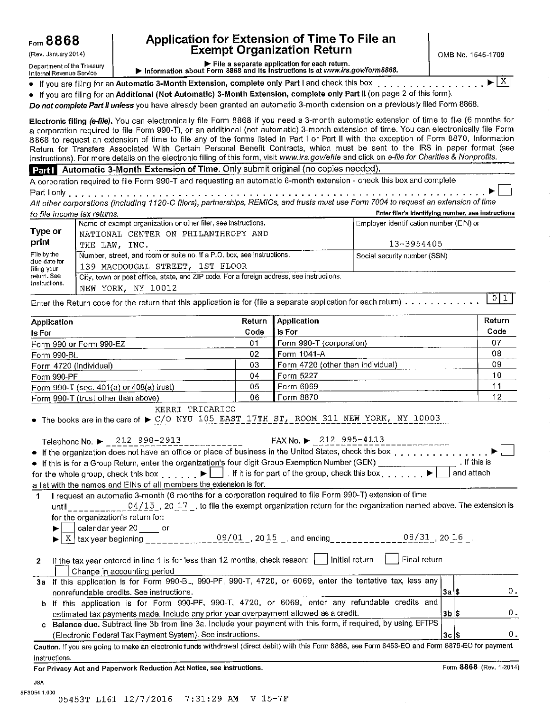(Rev. January 2014)

## Application for Extension of Time To File an **Exempt Organization Return**

OMB No. 1545-1709

Department of the Treasury Internal Revenue Service

File a separate application for each return.<br>Information about Form 8868 and its instructions is at www.irs.gov/form8868.

 $\mathbf{X}$ 

• If you are filing for an Automatic 3-Month Extension, complete only Part I and check this box . . . . . • If you are filing for an Additional (Not Automatic) 3-Month Extension, complete only Part II (on page 2 of this form).

Do not complete Part II unless you have already been granted an automatic 3-month extension on a previously filed Form 8868.

Electronic filing (e-file). You can electronically file Form 8868 if you need a 3-month automatic extension of time to file (6 months for a corporation required to file Form 990-T), or an additional (not automatic) 3-month extension of time. You can electronically file Form 8868 to request an extension of time to file any of the forms listed in Part I or Part II with the exception of Form 8870, Information Return for Transfers Associated With Certain Personal Benefit Contracts, which must be sent to the IRS in paper format (see instructions). For more details on the electronic filing of this form, visit www.irs.gov/efile and click on e-file for Charities & Nonprofits.

#### Part Automatic 3-Month Extension of Time. Only submit original (no copies needed).

A corporation required to file Form 990-T and requesting an automatic 6-month extension - check this box and complete Part I only enterprise to the set of the set of the set of the set of the set of the set of the set of the set of the set of the set of the set of the set of the set of the set of the set of the set of the set of the set o 

All other corporations (including 1120-C filers), partnerships, REMICs, and trusts must use Form 7004 to request an extension of time **Control for course fact and trade** Enter filesia identifician number, can instructions

| to me mcome lax returns.    |                                                                                          | <b>Line including the manner, see moderations</b> |
|-----------------------------|------------------------------------------------------------------------------------------|---------------------------------------------------|
|                             | Name of exempt organization or other filer, see instructions.                            | Employer identification number (EIN) or           |
| Type or                     | NATIONAL CENTER ON PHILANTHROPY AND                                                      |                                                   |
| print                       | THE LAW. INC.                                                                            | 13-3954405                                        |
| File by the                 | Number, street, and room or suite no. If a P.O. box, see instructions.                   | Social security number (SSN)                      |
| due date for<br>filing your | 139 MACDOUGAL STREET, 1ST FLOOR                                                          |                                                   |
| return. See                 | City, town or post office, state, and ZIP code. For a foreign address, see instructions. |                                                   |
| instructions.               | NEW YORK, NY 10012                                                                       |                                                   |

Enter the Return code for the return that this application is for (file a separate application for each return)  $\ldots \ldots \ldots \ldots$ 

| Application                              | Return | <b>Application</b>                | <b>Return</b> |
|------------------------------------------|--------|-----------------------------------|---------------|
| <b>Is For</b>                            | Code   | Is For                            | Code          |
| Form 990 or Form 990-EZ                  | 01     | Form 990-T (corporation)          | 07            |
| Form 990-BL                              | 02     | Form 1041-A                       | 08            |
| Form 4720 (individual)                   | 03     | Form 4720 (other than individual) | 09            |
| Form 990-PF                              | 04     | Form 5227                         | 10            |
| Form 990-T (sec. 401(a) or 408(a) trust) | 05     | Form 6069                         |               |
| Form 990-T (trust other than above)      | 06     | Form 8870                         | 12            |

KERRI TRICARICO

The books are in the care of  $\triangleright$  C/O NYU 105 EAST 17TH ST, ROOM 311 NEW YORK, NY 10003

| Telephone No. $\triangleright$ 212 998-2913                         | FAX No. ▶ 212 995-4113<br><u> 1999 - Albert Alexandro II</u>                                                                          |              |
|---------------------------------------------------------------------|---------------------------------------------------------------------------------------------------------------------------------------|--------------|
|                                                                     | • If the organization does not have an office or place of business in the United States, check this box                               |              |
|                                                                     | • If this is for a Group Return, enter the organization's four digit Group Exemption Number (GEN)                                     | . If this is |
|                                                                     | for the whole group, check this box $\ldots$ , $\blacktriangleright$ $\Box$ If it is for part of the group, check this box $\ldots$ . | and attach   |
| a list with the names and EINs of all members the extension is for. |                                                                                                                                       |              |
|                                                                     | I request an automatic 3-month (6 months for a corporation required to file Form 990-T) extension of time                             |              |
|                                                                     | until 04/15, 20 17, to file the exempt organization return for the organization named above. The extension is                         |              |
| for the organization's return for:                                  |                                                                                                                                       |              |
| calendar year 20 _____ or                                           |                                                                                                                                       |              |

|  | -   X<br>-- | heainning<br>tax year | ם ר<br>. .<br>_ _ _ _ _ _ _ _ _ _ _ _ _ | 20.<br>ل بار<br>- - - | and<br>ending | _______________ | 20<br>TP. |  |
|--|-------------|-----------------------|-----------------------------------------|-----------------------|---------------|-----------------|-----------|--|
|--|-------------|-----------------------|-----------------------------------------|-----------------------|---------------|-----------------|-----------|--|

Final return 2  $\mathbf{L}$ Change in accounting period

| 3a If this application is for Form 990-BL, 990-PF, 990-T, 4720, or 6069, enter the tentative tax, less any     |         |       |
|----------------------------------------------------------------------------------------------------------------|---------|-------|
| nonrefundable credits. See instructions.                                                                       | '3a I S |       |
| b If this application is for Form 990-PF, 990-T, 4720, or 6069, enter any refundable credits and               |         |       |
| estimated tax payments made. Include any prior year overpayment allowed as a credit.                           | 3b \$   | $0 -$ |
| c Balance due. Subtract line 3b from line 3a. Include your payment with this form, if required, by using EFTPS |         |       |
| (Electronic Federal Tax Payment System). See instructions.                                                     | 3c   \$ | 0.    |

Caution. If you are going to make an electronic funds withdrawal (direct debit) with this Form 8868, see Form 8453-EO and Form 8879-EO for payment instructions.

For Privacy Act and Paperwork Reduction Act Notice, see instructions.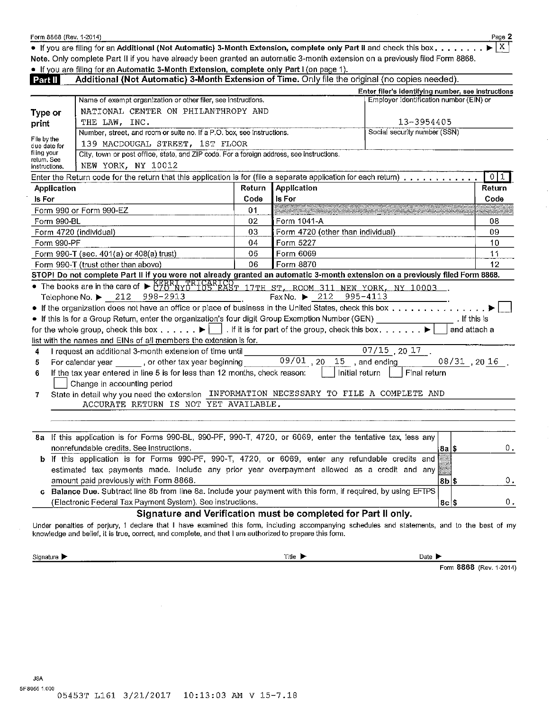| Form 8868 (Rev. 1-2014) |  |
|-------------------------|--|
|-------------------------|--|

• If you are filing for an Additional (Not Automatic) 3-Month Extension, complete only Part II and check this box....... **Note.** Only complete Part li if you have already been granted an automatic 3-month extension on a previously filed Form 8868.

• If you are filing for an Automatic 3-Month Extension, complete only Part I (on page 1).

| Part II                                                        | Additional (Not Automatic) 3-Month Extension of Time. Only file the original (no copies needed).                                     |        |                                               |                                                    |              |              |
|----------------------------------------------------------------|--------------------------------------------------------------------------------------------------------------------------------------|--------|-----------------------------------------------|----------------------------------------------------|--------------|--------------|
|                                                                |                                                                                                                                      |        |                                               | Enter filer's identifying number, see instructions |              |              |
|                                                                | Name of exempt organization or other filer, see instructions.                                                                        |        |                                               | Employer identification number (EIN) or            |              |              |
| Type or                                                        | NATIONAL CENTER ON PHILANTHROPY AND                                                                                                  |        |                                               |                                                    |              |              |
| print                                                          | THE LAW, INC.                                                                                                                        |        |                                               | 13-3954405                                         |              |              |
|                                                                | Number, street, and room or suite no. If a P.O. box, see instructions.                                                               |        |                                               | Social security number (SSN)                       |              |              |
| File by the<br>139 MACDOUGAL STREET, 1ST FLOOR<br>due date for |                                                                                                                                      |        |                                               |                                                    |              |              |
| filing your                                                    | City, town or post office, state, and ZIP code. For a foreign address, see instructions.                                             |        |                                               |                                                    |              |              |
| retum. See<br>NEW YORK, NY 10012<br>instructions.              |                                                                                                                                      |        |                                               |                                                    |              |              |
|                                                                | Enter the Return code for the return that this application is for (file a separate application for each return)                      |        |                                               |                                                    |              | $\sqrt{0}$ 1 |
| Application                                                    |                                                                                                                                      | Return | Application                                   |                                                    |              | Return       |
| Is For                                                         |                                                                                                                                      | Code   | Is For                                        |                                                    |              | Code         |
|                                                                | Form 990 or Form 990-EZ                                                                                                              | 01     |                                               |                                                    |              |              |
| Form 990-BL                                                    |                                                                                                                                      | 02     | Form 1041-A                                   |                                                    |              | 08           |
|                                                                | Form 4720 (individual)                                                                                                               | 03     | Form 4720 (other than individual)             |                                                    |              | 09           |
| Form 990-PF                                                    |                                                                                                                                      | 04     | Form 5227                                     |                                                    |              | 10           |
|                                                                | Form 990-T (sec. 401(a) or 408(a) trust)                                                                                             | 05     | Form 6069                                     |                                                    |              | 11           |
|                                                                | Form 990-T (trust other than above)                                                                                                  | 06     | Form 8870                                     |                                                    |              | 12           |
|                                                                | STOP! Do not complete Part II if you were not already granted an automatic 3-month extension on a previously filed Form 8868.        |        |                                               |                                                    |              |              |
|                                                                | • The books are in the care of $\triangleright$ CZO NYU LOS EXST 17TH ST, ROOM 311 NEW YORK, NY 10003.                               |        |                                               |                                                    |              |              |
|                                                                | Telephone No. ▶ 212 998-2913                                                                                                         |        | Fax No. $\blacktriangleright$ 212<br>995-4113 |                                                    |              |              |
|                                                                |                                                                                                                                      |        |                                               |                                                    |              |              |
|                                                                | • If this is for a Group Return, enter the organization's four digit Group Exemption Number (GEN) _________________. If this is      |        |                                               |                                                    |              |              |
|                                                                | for the whole group, check this box $\blacktriangleright$     . If it is for part of the group, check this box $\blacktriangleright$ |        |                                               |                                                    | and attach a |              |
|                                                                | list with the names and EINs of all members the extension is for.                                                                    |        |                                               |                                                    |              |              |
| 4                                                              | I request an additional 3-month extension of time until                                                                              |        |                                               | $\overline{07/15}$ 20 $\overline{17}$ .            |              |              |
| 5                                                              |                                                                                                                                      |        |                                               |                                                    |              |              |
| 6                                                              | If the tax year entered in line 5 is for less than 12 months, check reason:                                                          |        | Initial return                                | Final return                                       |              |              |
|                                                                | Change in accounting period                                                                                                          |        |                                               |                                                    |              |              |
| 7                                                              | State in detail why you need the extension INFORMATION NECESSARY TO FILE A COMPLETE AND                                              |        |                                               |                                                    |              |              |
|                                                                | ACCURATE RETURN IS NOT YET AVAILABLE.                                                                                                |        |                                               |                                                    |              |              |
|                                                                |                                                                                                                                      |        |                                               |                                                    |              |              |
|                                                                |                                                                                                                                      |        |                                               |                                                    |              |              |
|                                                                | 8a If this application is for Forms 990-BL, 990-PF, 990-T, 4720, or 6069, enter the tentative tax, less any                          |        |                                               |                                                    |              |              |
|                                                                | nonrefundable credits. See instructions.                                                                                             |        |                                               |                                                    | 8a S         | 0.           |
|                                                                | b If this application is for Forms 990-PF, 990-T, 4720, or 6069, enter any refundable credits and                                    |        |                                               |                                                    |              |              |
|                                                                | estimated tax payments made. Include any prior year overpayment allowed as a credit and any                                          |        |                                               |                                                    |              |              |
|                                                                | amount paid previously with Form 8868.                                                                                               |        |                                               |                                                    | $8b$  \$     | Ο.           |
|                                                                | c Balance Due. Subtract line 8b from line 8a. Include your payment with this form, if required, by using EFTPS                       |        |                                               |                                                    |              |              |
|                                                                | (Electronic Federal Tax Payment System). See instructions.                                                                           |        |                                               |                                                    | $8c$ $s$     | 0.           |

### **Signature and Verification must be completed for Part li only.**

Under penalties of perjury, I declare that I have examined this form, including accompanying schedules and statements, and to the best of my knowledge and belief, it is true, correct, and complete, and that I am authorized to prepare this form.

Signature .... Title .... Date ....

Form 8868 (Rev. 1-2014)

Page 2  $\overline{X}$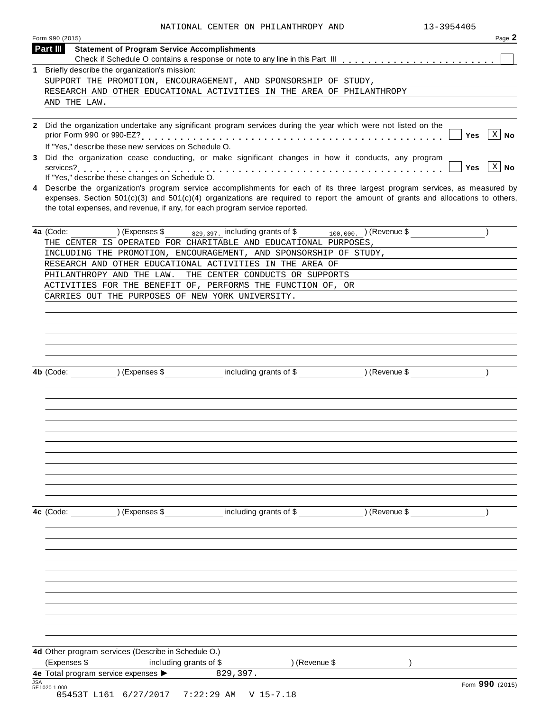| Form 990 (2015) |                                                                                   |                                                                                                                                                                                                                                                                                                                                                   |                                      | Page 2                             |
|-----------------|-----------------------------------------------------------------------------------|---------------------------------------------------------------------------------------------------------------------------------------------------------------------------------------------------------------------------------------------------------------------------------------------------------------------------------------------------|--------------------------------------|------------------------------------|
| Part III        | <b>Statement of Program Service Accomplishments</b>                               |                                                                                                                                                                                                                                                                                                                                                   |                                      |                                    |
|                 | 1 Briefly describe the organization's mission:                                    |                                                                                                                                                                                                                                                                                                                                                   |                                      |                                    |
|                 |                                                                                   | SUPPORT THE PROMOTION, ENCOURAGEMENT, AND SPONSORSHIP OF STUDY,                                                                                                                                                                                                                                                                                   |                                      |                                    |
|                 |                                                                                   | RESEARCH AND OTHER EDUCATIONAL ACTIVITIES IN THE AREA OF PHILANTHROPY                                                                                                                                                                                                                                                                             |                                      |                                    |
| AND THE LAW.    |                                                                                   |                                                                                                                                                                                                                                                                                                                                                   |                                      |                                    |
|                 | If "Yes," describe these new services on Schedule O.                              | 2 Did the organization undertake any significant program services during the year which were not listed on the                                                                                                                                                                                                                                    |                                      | $ X $ No<br>Yes                    |
|                 | If "Yes," describe these changes on Schedule O.                                   | Did the organization cease conducting, or make significant changes in how it conducts, any program                                                                                                                                                                                                                                                |                                      | $\vert$ X $\vert$ No<br><b>Yes</b> |
|                 |                                                                                   | 4 Describe the organization's program service accomplishments for each of its three largest program services, as measured by<br>expenses. Section $501(c)(3)$ and $501(c)(4)$ organizations are required to report the amount of grants and allocations to others,<br>the total expenses, and revenue, if any, for each program service reported. |                                      |                                    |
| 4a (Code:       | ) (Expenses \$                                                                    | $_{829,397}$ including grants of \$ $_{100,000}$ . ) (Revenue \$<br>THE CENTER IS OPERATED FOR CHARITABLE AND EDUCATIONAL PURPOSES,                                                                                                                                                                                                               |                                      |                                    |
|                 |                                                                                   | INCLUDING THE PROMOTION, ENCOURAGEMENT, AND SPONSORSHIP OF STUDY,                                                                                                                                                                                                                                                                                 |                                      |                                    |
|                 |                                                                                   | RESEARCH AND OTHER EDUCATIONAL ACTIVITIES IN THE AREA OF                                                                                                                                                                                                                                                                                          |                                      |                                    |
|                 | PHILANTHROPY AND THE LAW.                                                         | THE CENTER CONDUCTS OR SUPPORTS                                                                                                                                                                                                                                                                                                                   |                                      |                                    |
|                 |                                                                                   | ACTIVITIES FOR THE BENEFIT OF, PERFORMS THE FUNCTION OF, OR                                                                                                                                                                                                                                                                                       |                                      |                                    |
|                 |                                                                                   | CARRIES OUT THE PURPOSES OF NEW YORK UNIVERSITY.                                                                                                                                                                                                                                                                                                  |                                      |                                    |
|                 |                                                                                   |                                                                                                                                                                                                                                                                                                                                                   |                                      |                                    |
|                 |                                                                                   |                                                                                                                                                                                                                                                                                                                                                   |                                      |                                    |
|                 |                                                                                   |                                                                                                                                                                                                                                                                                                                                                   |                                      |                                    |
|                 |                                                                                   |                                                                                                                                                                                                                                                                                                                                                   |                                      |                                    |
|                 |                                                                                   |                                                                                                                                                                                                                                                                                                                                                   |                                      |                                    |
| 4b (Code:       | ) (Expenses \$                                                                    |                                                                                                                                                                                                                                                                                                                                                   | including grants of \$ ) (Revenue \$ |                                    |
|                 |                                                                                   |                                                                                                                                                                                                                                                                                                                                                   |                                      |                                    |
|                 |                                                                                   |                                                                                                                                                                                                                                                                                                                                                   |                                      |                                    |
|                 |                                                                                   |                                                                                                                                                                                                                                                                                                                                                   |                                      |                                    |
|                 |                                                                                   |                                                                                                                                                                                                                                                                                                                                                   |                                      |                                    |
|                 |                                                                                   |                                                                                                                                                                                                                                                                                                                                                   |                                      |                                    |
|                 |                                                                                   |                                                                                                                                                                                                                                                                                                                                                   |                                      |                                    |
|                 |                                                                                   |                                                                                                                                                                                                                                                                                                                                                   |                                      |                                    |
|                 |                                                                                   |                                                                                                                                                                                                                                                                                                                                                   |                                      |                                    |
|                 |                                                                                   |                                                                                                                                                                                                                                                                                                                                                   |                                      |                                    |
|                 |                                                                                   |                                                                                                                                                                                                                                                                                                                                                   |                                      |                                    |
| 4c (Code:       |                                                                                   | (Expenses \$ including grants of \$ ) (Revenue \$                                                                                                                                                                                                                                                                                                 |                                      |                                    |
|                 |                                                                                   |                                                                                                                                                                                                                                                                                                                                                   |                                      |                                    |
|                 |                                                                                   |                                                                                                                                                                                                                                                                                                                                                   |                                      |                                    |
|                 |                                                                                   |                                                                                                                                                                                                                                                                                                                                                   |                                      |                                    |
|                 |                                                                                   |                                                                                                                                                                                                                                                                                                                                                   |                                      |                                    |
|                 |                                                                                   |                                                                                                                                                                                                                                                                                                                                                   |                                      |                                    |
|                 |                                                                                   |                                                                                                                                                                                                                                                                                                                                                   |                                      |                                    |
|                 |                                                                                   |                                                                                                                                                                                                                                                                                                                                                   |                                      |                                    |
|                 |                                                                                   |                                                                                                                                                                                                                                                                                                                                                   |                                      |                                    |
|                 |                                                                                   |                                                                                                                                                                                                                                                                                                                                                   |                                      |                                    |
|                 |                                                                                   |                                                                                                                                                                                                                                                                                                                                                   |                                      |                                    |
|                 |                                                                                   |                                                                                                                                                                                                                                                                                                                                                   |                                      |                                    |
|                 |                                                                                   |                                                                                                                                                                                                                                                                                                                                                   |                                      |                                    |
|                 | 4d Other program services (Describe in Schedule O.)                               |                                                                                                                                                                                                                                                                                                                                                   |                                      |                                    |
| (Expenses \$    | including grants of \$<br>4e Total program service expenses $\blacktriangleright$ | ) (Revenue \$<br>829,397.                                                                                                                                                                                                                                                                                                                         |                                      |                                    |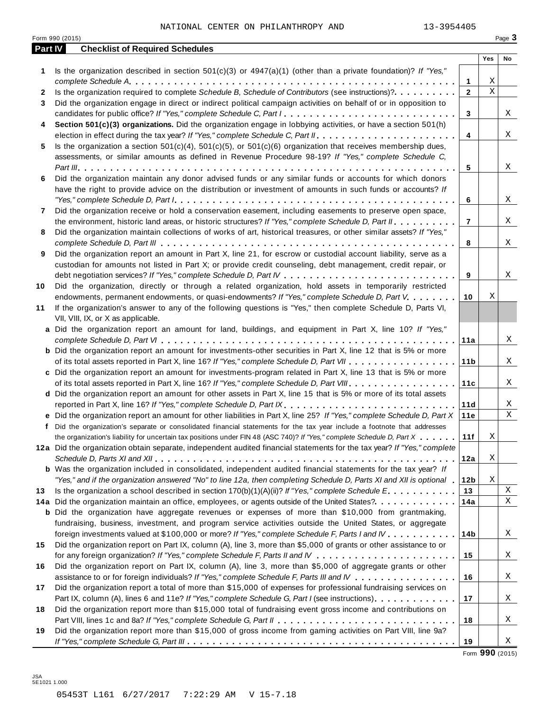|         | Form 990 (2015)                                                                                                                                                                          |                     |             | Page 3 |
|---------|------------------------------------------------------------------------------------------------------------------------------------------------------------------------------------------|---------------------|-------------|--------|
| Part IV | <b>Checklist of Required Schedules</b>                                                                                                                                                   |                     |             |        |
|         |                                                                                                                                                                                          |                     | Yes         | No     |
| 1       | Is the organization described in section $501(c)(3)$ or $4947(a)(1)$ (other than a private foundation)? If "Yes,"                                                                        |                     | Χ           |        |
|         | Is the organization required to complete Schedule B, Schedule of Contributors (see instructions)?.                                                                                       | 1<br>$\overline{2}$ | $\mathbf X$ |        |
| 2       |                                                                                                                                                                                          |                     |             |        |
| 3       | Did the organization engage in direct or indirect political campaign activities on behalf of or in opposition to<br>candidates for public office? If "Yes," complete Schedule C, Part I. |                     |             | X      |
|         |                                                                                                                                                                                          | 3                   |             |        |
| 4       | Section 501(c)(3) organizations. Did the organization engage in lobbying activities, or have a section 501(h)                                                                            | 4                   |             | X      |
| 5       | Is the organization a section $501(c)(4)$ , $501(c)(5)$ , or $501(c)(6)$ organization that receives membership dues,                                                                     |                     |             |        |
|         | assessments, or similar amounts as defined in Revenue Procedure 98-19? If "Yes," complete Schedule C,                                                                                    |                     |             |        |
|         |                                                                                                                                                                                          | 5                   |             | Χ      |
| 6       | Did the organization maintain any donor advised funds or any similar funds or accounts for which donors                                                                                  |                     |             |        |
|         | have the right to provide advice on the distribution or investment of amounts in such funds or accounts? If                                                                              |                     |             |        |
|         |                                                                                                                                                                                          | 6                   |             | Χ      |
| 7       | Did the organization receive or hold a conservation easement, including easements to preserve open space,                                                                                |                     |             |        |
|         | the environment, historic land areas, or historic structures? If "Yes," complete Schedule D, Part II.                                                                                    | $\overline{7}$      |             | X      |
| 8       | Did the organization maintain collections of works of art, historical treasures, or other similar assets? If "Yes,"                                                                      |                     |             |        |
|         |                                                                                                                                                                                          | 8                   |             | X      |
| 9       | Did the organization report an amount in Part X, line 21, for escrow or custodial account liability, serve as a                                                                          |                     |             |        |
|         | custodian for amounts not listed in Part X; or provide credit counseling, debt management, credit repair, or                                                                             |                     |             |        |
|         |                                                                                                                                                                                          | 9                   |             | Χ      |
| 10      | Did the organization, directly or through a related organization, hold assets in temporarily restricted                                                                                  |                     |             |        |
|         | endowments, permanent endowments, or quasi-endowments? If "Yes," complete Schedule D, Part V.                                                                                            | 10                  | Χ           |        |
| 11      | If the organization's answer to any of the following questions is "Yes," then complete Schedule D, Parts VI,                                                                             |                     |             |        |
|         | VII, VIII, IX, or X as applicable.                                                                                                                                                       |                     |             |        |
|         | a Did the organization report an amount for land, buildings, and equipment in Part X, line 10? If "Yes,"                                                                                 |                     |             |        |
|         |                                                                                                                                                                                          | 11a                 |             | X      |
|         | <b>b</b> Did the organization report an amount for investments-other securities in Part X, line 12 that is 5% or more                                                                    |                     |             |        |
|         |                                                                                                                                                                                          | 11 <sub>b</sub>     |             | X      |
|         | c Did the organization report an amount for investments-program related in Part X, line 13 that is 5% or more                                                                            |                     |             |        |
|         |                                                                                                                                                                                          | 11c                 |             | X      |
|         | d Did the organization report an amount for other assets in Part X, line 15 that is 5% or more of its total assets                                                                       |                     |             |        |
|         | reported in Part X, line 16? If "Yes," complete Schedule D, Part IX.                                                                                                                     | 11d                 |             | Χ      |
|         | e Did the organization report an amount for other liabilities in Part X, line 25? If "Yes," complete Schedule D, Part X                                                                  | 11e                 |             | Χ      |
|         | f Did the organization's separate or consolidated financial statements for the tax year include a footnote that addresses                                                                |                     |             |        |
|         | the organization's liability for uncertain tax positions under FIN 48 (ASC 740)? If "Yes," complete Schedule D, Part X                                                                   | 11f                 | $\mathbf X$ |        |
|         | 12a Did the organization obtain separate, independent audited financial statements for the tax year? If "Yes," complete                                                                  |                     |             |        |
|         |                                                                                                                                                                                          | 12a                 | X           |        |
|         | <b>b</b> Was the organization included in consolidated, independent audited financial statements for the tax year? If                                                                    |                     |             |        |
|         | "Yes," and if the organization answered "No" to line 12a, then completing Schedule D, Parts XI and XII is optional 1                                                                     | 12 <sub>b</sub>     | Χ           |        |
| 13      | Is the organization a school described in section $170(b)(1)(A)(ii)?$ If "Yes," complete Schedule E.                                                                                     | 13                  |             | Χ      |
|         | 14a Did the organization maintain an office, employees, or agents outside of the United States?.                                                                                         | 14a                 |             | Χ      |
|         | <b>b</b> Did the organization have aggregate revenues or expenses of more than \$10,000 from grantmaking,                                                                                |                     |             |        |
|         | fundraising, business, investment, and program service activities outside the United States, or aggregate                                                                                |                     |             |        |
|         | foreign investments valued at \$100,000 or more? If "Yes," complete Schedule F, Parts I and IV                                                                                           | 14b                 |             | Χ      |
| 15      | Did the organization report on Part IX, column (A), line 3, more than \$5,000 of grants or other assistance to or                                                                        |                     |             |        |
|         |                                                                                                                                                                                          | 15                  |             | Χ      |
| 16      | Did the organization report on Part IX, column (A), line 3, more than \$5,000 of aggregate grants or other                                                                               |                     |             |        |
|         | assistance to or for foreign individuals? If "Yes," complete Schedule F, Parts III and IV                                                                                                | 16                  |             | Χ      |
| 17      | Did the organization report a total of more than \$15,000 of expenses for professional fundraising services on                                                                           |                     |             |        |
|         | Part IX, column (A), lines 6 and 11e? If "Yes," complete Schedule G, Part I (see instructions)                                                                                           | 17                  |             | Χ      |
| 18      | Did the organization report more than \$15,000 total of fundraising event gross income and contributions on                                                                              |                     |             |        |
|         |                                                                                                                                                                                          | 18                  |             | Χ      |
| 19      | Did the organization report more than \$15,000 of gross income from gaming activities on Part VIII, line 9a?                                                                             |                     |             |        |
|         |                                                                                                                                                                                          | 19                  |             | Χ      |
|         |                                                                                                                                                                                          |                     |             |        |

Form **990** (2015)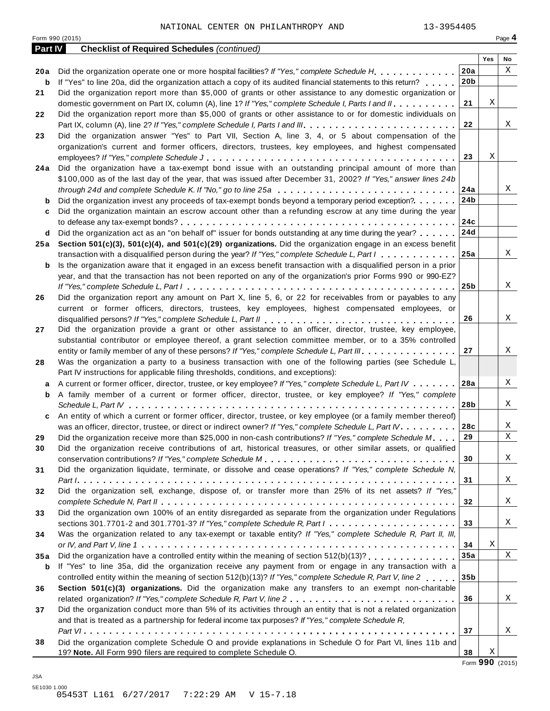| <b>Part IV</b> | <b>Checklist of Required Schedules (continued)</b>                                                                                  |                 |     |                 |
|----------------|-------------------------------------------------------------------------------------------------------------------------------------|-----------------|-----|-----------------|
|                |                                                                                                                                     |                 | Yes | No              |
| 20 a           | Did the organization operate one or more hospital facilities? If "Yes," complete Schedule H                                         | 20a             |     | Χ               |
| b              | If "Yes" to line 20a, did the organization attach a copy of its audited financial statements to this return?                        | 20 <sub>b</sub> |     |                 |
| 21             | Did the organization report more than \$5,000 of grants or other assistance to any domestic organization or                         |                 |     |                 |
|                | domestic government on Part IX, column (A), line 1? If "Yes," complete Schedule I, Parts I and II.                                  | 21              | Χ   |                 |
| 22             | Did the organization report more than \$5,000 of grants or other assistance to or for domestic individuals on                       |                 |     |                 |
|                |                                                                                                                                     | 22              |     | X               |
| 23             | Did the organization answer "Yes" to Part VII, Section A, line 3, 4, or 5 about compensation of the                                 |                 |     |                 |
|                | organization's current and former officers, directors, trustees, key employees, and highest compensated                             | 23              | Χ   |                 |
|                | Did the organization have a tax-exempt bond issue with an outstanding principal amount of more than                                 |                 |     |                 |
| 24 a           | \$100,000 as of the last day of the year, that was issued after December 31, 2002? If "Yes," answer lines 24b                       |                 |     |                 |
|                | through 24d and complete Schedule K. If "No," go to line 25a $\ldots \ldots \ldots \ldots \ldots \ldots \ldots \ldots \ldots$       | 24a             |     | Χ               |
| b              | Did the organization invest any proceeds of tax-exempt bonds beyond a temporary period exception?                                   | 24b             |     |                 |
| c              | Did the organization maintain an escrow account other than a refunding escrow at any time during the year                           |                 |     |                 |
|                |                                                                                                                                     | 24c             |     |                 |
| d              | Did the organization act as an "on behalf of" issuer for bonds outstanding at any time during the year?                             | 24d             |     |                 |
| 25 a           | Section 501(c)(3), 501(c)(4), and 501(c)(29) organizations. Did the organization engage in an excess benefit                        |                 |     |                 |
|                | transaction with a disqualified person during the year? If "Yes," complete Schedule L, Part I                                       | 25a             |     | Χ               |
| b              | Is the organization aware that it engaged in an excess benefit transaction with a disqualified person in a prior                    |                 |     |                 |
|                | year, and that the transaction has not been reported on any of the organization's prior Forms 990 or 990-EZ?                        |                 |     |                 |
|                |                                                                                                                                     | 25 <sub>b</sub> |     | Χ               |
| 26             | Did the organization report any amount on Part X, line 5, 6, or 22 for receivables from or payables to any                          |                 |     |                 |
|                | current or former officers, directors, trustees, key employees, highest compensated employees, or                                   |                 |     |                 |
|                |                                                                                                                                     | 26              |     | Χ               |
| 27             | Did the organization provide a grant or other assistance to an officer, director, trustee, key employee,                            |                 |     |                 |
|                | substantial contributor or employee thereof, a grant selection committee member, or to a 35% controlled                             |                 |     |                 |
|                | entity or family member of any of these persons? If "Yes," complete Schedule L, Part III.                                           | 27              |     | Χ               |
| 28             | Was the organization a party to a business transaction with one of the following parties (see Schedule L,                           |                 |     |                 |
|                | Part IV instructions for applicable filing thresholds, conditions, and exceptions):                                                 |                 |     |                 |
| a              | A current or former officer, director, trustee, or key employee? If "Yes," complete Schedule L, Part IV                             | 28a             |     | Χ               |
| b              | A family member of a current or former officer, director, trustee, or key employee? If "Yes," complete                              |                 |     |                 |
|                |                                                                                                                                     | 28b             |     | Χ               |
| c              | An entity of which a current or former officer, director, trustee, or key employee (or a family member thereof)                     |                 |     |                 |
|                | was an officer, director, trustee, or direct or indirect owner? If "Yes," complete Schedule L, Part IV.                             | 28c             |     | Χ               |
| 29             | Did the organization receive more than \$25,000 in non-cash contributions? If "Yes," complete Schedule M.                           | 29              |     | X               |
| 30             | Did the organization receive contributions of art, historical treasures, or other similar assets, or qualified                      |                 |     |                 |
|                |                                                                                                                                     | 30              |     | Χ               |
| 31             | Did the organization liquidate, terminate, or dissolve and cease operations? If "Yes," complete Schedule N,                         | 31              |     | X               |
|                | Did the organization sell, exchange, dispose of, or transfer more than 25% of its net assets? If "Yes,"                             |                 |     |                 |
| 32             |                                                                                                                                     | 32              |     | X               |
| 33             | Did the organization own 100% of an entity disregarded as separate from the organization under Regulations                          |                 |     |                 |
|                | sections 301.7701-2 and 301.7701-3? If "Yes," complete Schedule R, Part $l_1, \ldots, l_l, l_l, \ldots, l_l, l_l, \ldots, l_l, l_l$ | 33              |     | Χ               |
| 34             | Was the organization related to any tax-exempt or taxable entity? If "Yes," complete Schedule R, Part II, III,                      |                 |     |                 |
|                |                                                                                                                                     | 34              | Χ   |                 |
| 35a            | Did the organization have a controlled entity within the meaning of section 512(b)(13)?                                             | 35a             |     | X               |
| b              | If "Yes" to line 35a, did the organization receive any payment from or engage in any transaction with a                             |                 |     |                 |
|                | controlled entity within the meaning of section 512(b)(13)? If "Yes," complete Schedule R, Part V, line 2                           | 35b             |     |                 |
| 36             | Section 501(c)(3) organizations. Did the organization make any transfers to an exempt non-charitable                                |                 |     |                 |
|                |                                                                                                                                     | 36              |     | X               |
| 37             | Did the organization conduct more than 5% of its activities through an entity that is not a related organization                    |                 |     |                 |
|                | and that is treated as a partnership for federal income tax purposes? If "Yes," complete Schedule R,                                |                 |     |                 |
|                |                                                                                                                                     | 37              |     | Χ               |
| 38             | Did the organization complete Schedule O and provide explanations in Schedule O for Part VI, lines 11b and                          |                 |     |                 |
|                | 19? Note. All Form 990 filers are required to complete Schedule O.                                                                  | 38              | Χ   |                 |
|                |                                                                                                                                     |                 |     | Form 990 (2015) |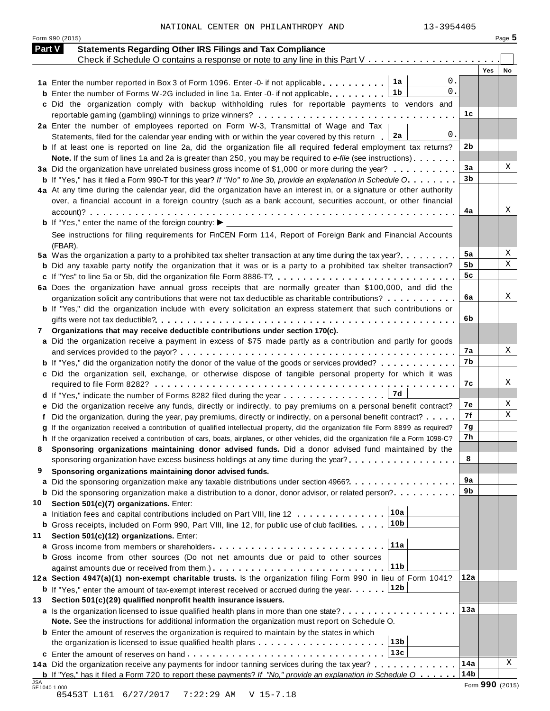| NATIONAL CENTER ON PHILANTHROPY AND |  |  |  |  | 13-3954405 |
|-------------------------------------|--|--|--|--|------------|
|-------------------------------------|--|--|--|--|------------|

Form <sup>990</sup> (2015) Page **5**

| <b>Part V</b> | <b>Statements Regarding Other IRS Filings and Tax Compliance</b>                                                                                                                               |                 |                  |
|---------------|------------------------------------------------------------------------------------------------------------------------------------------------------------------------------------------------|-----------------|------------------|
|               | Check if Schedule O contains a response or note to any line in this Part V                                                                                                                     |                 |                  |
|               |                                                                                                                                                                                                |                 | <b>Yes</b><br>No |
|               | 0.<br>1a<br>1a Enter the number reported in Box 3 of Form 1096. Enter -0- if not applicable<br>0.<br>1b                                                                                        |                 |                  |
|               | <b>b</b> Enter the number of Forms W-2G included in line 1a. Enter -0- if not applicable<br>c Did the organization comply with backup withholding rules for reportable payments to vendors and |                 |                  |
|               |                                                                                                                                                                                                | 1c              |                  |
|               | 2a Enter the number of employees reported on Form W-3, Transmittal of Wage and Tax                                                                                                             |                 |                  |
|               | 0.<br>2a<br>Statements, filed for the calendar year ending with or within the year covered by this return                                                                                      |                 |                  |
|               | <b>b</b> If at least one is reported on line 2a, did the organization file all required federal employment tax returns?                                                                        | 2b              |                  |
|               | Note. If the sum of lines 1a and 2a is greater than 250, you may be required to e-file (see instructions)                                                                                      |                 |                  |
|               | 3a Did the organization have unrelated business gross income of \$1,000 or more during the year?                                                                                               | 3a              | X                |
|               | <b>b</b> If "Yes," has it filed a Form 990-T for this year? If "No" to line 3b, provide an explanation in Schedule O.                                                                          | 3 <sub>b</sub>  |                  |
|               | 4a At any time during the calendar year, did the organization have an interest in, or a signature or other authority                                                                           |                 |                  |
|               | over, a financial account in a foreign country (such as a bank account, securities account, or other financial                                                                                 |                 |                  |
|               |                                                                                                                                                                                                | 4a              | Χ                |
|               |                                                                                                                                                                                                |                 |                  |
|               | See instructions for filing requirements for FinCEN Form 114, Report of Foreign Bank and Financial Accounts                                                                                    |                 |                  |
|               | (FBAR).                                                                                                                                                                                        |                 |                  |
|               | 5a Was the organization a party to a prohibited tax shelter transaction at any time during the tax year?                                                                                       | 5a              | X                |
|               | <b>b</b> Did any taxable party notify the organization that it was or is a party to a prohibited tax shelter transaction?                                                                      | 5b              | Χ                |
|               |                                                                                                                                                                                                | 5 <sub>c</sub>  |                  |
|               | 6a Does the organization have annual gross receipts that are normally greater than \$100,000, and did the                                                                                      |                 |                  |
|               | organization solicit any contributions that were not tax deductible as charitable contributions?                                                                                               | 6a              | Χ                |
|               | b If "Yes," did the organization include with every solicitation an express statement that such contributions or                                                                               |                 |                  |
|               |                                                                                                                                                                                                | 6b              |                  |
| 7             | Organizations that may receive deductible contributions under section 170(c).                                                                                                                  |                 |                  |
|               | a Did the organization receive a payment in excess of \$75 made partly as a contribution and partly for goods                                                                                  |                 | Χ                |
|               |                                                                                                                                                                                                | 7а<br>7b        |                  |
|               | <b>b</b> If "Yes," did the organization notify the donor of the value of the goods or services provided?                                                                                       |                 |                  |
|               | c Did the organization sell, exchange, or otherwise dispose of tangible personal property for which it was                                                                                     | 7c              | Χ                |
|               | 7d                                                                                                                                                                                             |                 |                  |
|               | d If "Yes," indicate the number of Forms 8282 filed during the year<br>e Did the organization receive any funds, directly or indirectly, to pay premiums on a personal benefit contract?       | 7е              | X                |
|               | f Did the organization, during the year, pay premiums, directly or indirectly, on a personal benefit contract?                                                                                 | 7f              | Χ                |
|               | g If the organization received a contribution of qualified intellectual property, did the organization file Form 8899 as required?                                                             | 7g              |                  |
|               | h If the organization received a contribution of cars, boats, airplanes, or other vehicles, did the organization file a Form 1098-C?                                                           | 7h              |                  |
|               | Sponsoring organizations maintaining donor advised funds. Did a donor advised fund maintained by the                                                                                           |                 |                  |
|               | sponsoring organization have excess business holdings at any time during the year?                                                                                                             | 8               |                  |
| 9             | Sponsoring organizations maintaining donor advised funds.                                                                                                                                      |                 |                  |
|               | a Did the sponsoring organization make any taxable distributions under section 4966?                                                                                                           | 9a              |                  |
|               | <b>b</b> Did the sponsoring organization make a distribution to a donor, donor advisor, or related person?                                                                                     | 9b              |                  |
| 10            | Section 501(c)(7) organizations. Enter:                                                                                                                                                        |                 |                  |
|               | 10a<br>a Initiation fees and capital contributions included on Part VIII, line 12                                                                                                              |                 |                  |
|               | 10 <sub>b</sub><br><b>b</b> Gross receipts, included on Form 990, Part VIII, line 12, for public use of club facilities.                                                                       |                 |                  |
| 11            | Section 501(c)(12) organizations. Enter:                                                                                                                                                       |                 |                  |
|               | 11a<br><b>a</b> Gross income from members or shareholders                                                                                                                                      |                 |                  |
|               | <b>b</b> Gross income from other sources (Do not net amounts due or paid to other sources                                                                                                      |                 |                  |
|               | 11 <sub>b</sub>                                                                                                                                                                                |                 |                  |
|               | 12a Section 4947(a)(1) non-exempt charitable trusts. Is the organization filing Form 990 in lieu of Form 1041?                                                                                 | 12a             |                  |
|               | 12b<br><b>b</b> If "Yes," enter the amount of tax-exempt interest received or accrued during the year                                                                                          |                 |                  |
| 13            | Section 501(c)(29) qualified nonprofit health insurance issuers.                                                                                                                               |                 |                  |
|               | a Is the organization licensed to issue qualified health plans in more than one state?                                                                                                         | 13a             |                  |
|               | Note. See the instructions for additional information the organization must report on Schedule O.                                                                                              |                 |                  |
|               | <b>b</b> Enter the amount of reserves the organization is required to maintain by the states in which                                                                                          |                 |                  |
|               | 13 <sub>b</sub>                                                                                                                                                                                |                 |                  |
|               | 13c                                                                                                                                                                                            |                 |                  |
|               | 14a Did the organization receive any payments for indoor tanning services during the tax year?                                                                                                 | 14a             | X                |
|               | <b>b</b> If "Yes," has it filed a Form 720 to report these payments? If "No," provide an explanation in Schedule $0$                                                                           | 14 <sub>b</sub> | Form 990 (2015)  |

JSA<br>5E10401.000<br>05453T L161 6/27/2017 7:22:29 AM V 15-7.18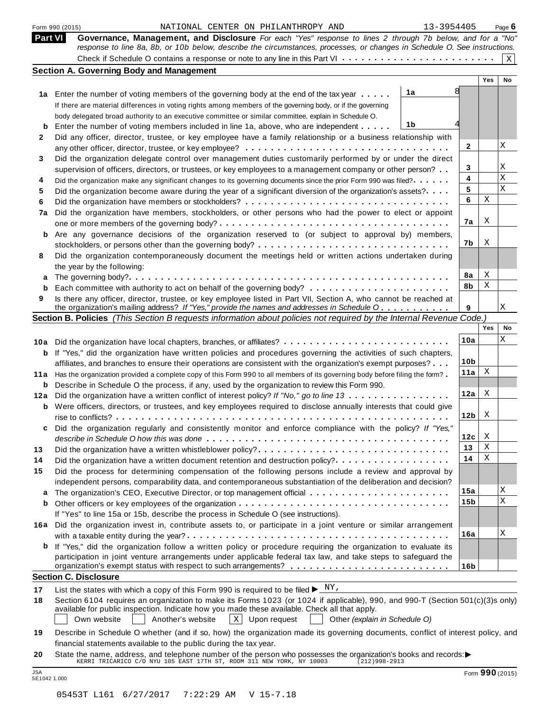|           | 13-3954405<br>NATIONAL CENTER ON PHILANTHROPY AND<br>Form 990 (2015)                                                                                                                                                         |                 |     | Page $6$    |
|-----------|------------------------------------------------------------------------------------------------------------------------------------------------------------------------------------------------------------------------------|-----------------|-----|-------------|
|           | Part VI<br>Governance, Management, and Disclosure For each "Yes" response to lines 2 through 7b below, and for a "No"                                                                                                        |                 |     |             |
|           | response to line 8a, 8b, or 10b below, describe the circumstances, processes, or changes in Schedule O. See instructions.                                                                                                    |                 |     | $\mathbf X$ |
|           | <b>Section A. Governing Body and Management</b>                                                                                                                                                                              |                 |     |             |
|           |                                                                                                                                                                                                                              |                 | Yes | No          |
|           | 1a<br>1a Enter the number of voting members of the governing body at the end of the tax year                                                                                                                                 |                 |     |             |
|           | If there are material differences in voting rights among members of the governing body, or if the governing                                                                                                                  |                 |     |             |
|           | body delegated broad authority to an executive committee or similar committee, explain in Schedule O.                                                                                                                        |                 |     |             |
| b         | 1b<br>Enter the number of voting members included in line 1a, above, who are independent                                                                                                                                     |                 |     |             |
| 2         | Did any officer, director, trustee, or key employee have a family relationship or a business relationship with                                                                                                               |                 |     |             |
|           |                                                                                                                                                                                                                              | 2               |     | Χ           |
| 3         | Did the organization delegate control over management duties customarily performed by or under the direct                                                                                                                    |                 |     |             |
|           | supervision of officers, directors, or trustees, or key employees to a management company or other person?                                                                                                                   | 3               |     | Χ           |
| 4         | Did the organization make any significant changes to its governing documents since the prior Form 990 was filed?                                                                                                             | 4               |     | Χ           |
| 5         | Did the organization become aware during the year of a significant diversion of the organization's assets?                                                                                                                   | 5               |     | X           |
| 6         |                                                                                                                                                                                                                              | 6               | Χ   |             |
| 7a        | Did the organization have members, stockholders, or other persons who had the power to elect or appoint                                                                                                                      |                 |     |             |
|           |                                                                                                                                                                                                                              | 7a              | X   |             |
| b         | Are any governance decisions of the organization reserved to (or subject to approval by) members,                                                                                                                            |                 |     |             |
|           |                                                                                                                                                                                                                              | 7b              | X   |             |
| 8         | Did the organization contemporaneously document the meetings held or written actions undertaken during                                                                                                                       |                 |     |             |
|           | the year by the following:                                                                                                                                                                                                   |                 |     |             |
| а         |                                                                                                                                                                                                                              | 8а              | Χ   |             |
|           |                                                                                                                                                                                                                              | 8b              | Χ   |             |
| 9         | Is there any officer, director, trustee, or key employee listed in Part VII, Section A, who cannot be reached at                                                                                                             |                 |     | Χ           |
|           | the organization's mailing address? If "Yes," provide the names and addresses in Schedule O<br>Section B. Policies (This Section B requests information about policies not required by the Internal Revenue Code.)           | 9               |     |             |
|           |                                                                                                                                                                                                                              |                 | Yes | No          |
|           |                                                                                                                                                                                                                              | 10a             |     | Χ           |
| 10a       | Did the organization have local chapters, branches, or affiliates?                                                                                                                                                           |                 |     |             |
| b         | If "Yes," did the organization have written policies and procedures governing the activities of such chapters,                                                                                                               | 10 <sub>b</sub> |     |             |
|           | affiliates, and branches to ensure their operations are consistent with the organization's exempt purposes?                                                                                                                  | 11a             | X   |             |
| 11 a<br>b | Has the organization provided a complete copy of this Form 990 to all members of its governing body before filing the form?<br>Describe in Schedule O the process, if any, used by the organization to review this Form 990. |                 |     |             |
| 12a       | Did the organization have a written conflict of interest policy? If "No," go to line 13                                                                                                                                      | 12a             | X   |             |
| b         | Were officers, directors, or trustees, and key employees required to disclose annually interests that could give                                                                                                             |                 |     |             |
|           |                                                                                                                                                                                                                              | 12 <sub>b</sub> | X   |             |
|           | Did the organization regularly and consistently monitor and enforce compliance with the policy? If "Yes,                                                                                                                     |                 |     |             |
|           |                                                                                                                                                                                                                              | 12c             | X   |             |
| 13        | Did the organization have a written whistleblower policy?                                                                                                                                                                    | 13              | Χ   |             |
| 14        | Did the organization have a written document retention and destruction policy?                                                                                                                                               | 14              | Χ   |             |
| 15        | Did the process for determining compensation of the following persons include a review and approval by                                                                                                                       |                 |     |             |
|           | independent persons, comparability data, and contemporaneous substantiation of the deliberation and decision?                                                                                                                |                 |     |             |
| а         |                                                                                                                                                                                                                              | 15a             |     | Χ           |
|           |                                                                                                                                                                                                                              | 15b             |     | X           |
|           | If "Yes" to line 15a or 15b, describe the process in Schedule O (see instructions).                                                                                                                                          |                 |     |             |
|           | 16a Did the organization invest in, contribute assets to, or participate in a joint venture or similar arrangement                                                                                                           |                 |     |             |
|           |                                                                                                                                                                                                                              | 16a             |     | Χ           |
|           | <b>b</b> If "Yes," did the organization follow a written policy or procedure requiring the organization to evaluate its                                                                                                      |                 |     |             |
|           | participation in joint venture arrangements under applicable federal tax law, and take steps to safeguard the                                                                                                                |                 |     |             |
|           |                                                                                                                                                                                                                              | 16 <sub>b</sub> |     |             |
|           | <b>Section C. Disclosure</b>                                                                                                                                                                                                 |                 |     |             |
| 17        | List the states with which a copy of this Form 990 is required to be filed $\blacktriangleright \frac{N Y_r}{N}$                                                                                                             |                 |     |             |
| 18        | Section 6104 requires an organization to make its Forms 1023 (or 1024 if applicable), 990, and 990-T (Section 501(c)(3)s only)                                                                                               |                 |     |             |
|           | available for public inspection. Indicate how you made these available. Check all that apply.                                                                                                                                |                 |     |             |
|           | $X$ Upon request<br>Own website<br>Another's website<br>Other (explain in Schedule O)                                                                                                                                        |                 |     |             |
| 19        | Describe in Schedule O whether (and if so, how) the organization made its governing documents, conflict of interest policy, and                                                                                              |                 |     |             |
|           | financial statements available to the public during the tax year.                                                                                                                                                            |                 |     |             |
| 20        | State the name, address, and telephone number of the person who possesses the organization's books and records:                                                                                                              |                 |     |             |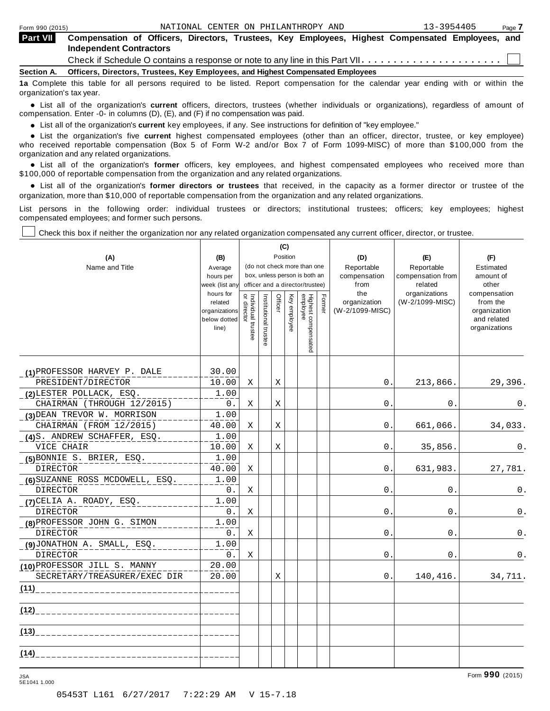| <b>Part VII</b> | Compensation of Officers, Directors, Trustees, Key Employees, Highest Compensated Employees, and<br><b>Independent Contractors</b> |
|-----------------|------------------------------------------------------------------------------------------------------------------------------------|
|                 |                                                                                                                                    |
|                 | Section A. Officers, Directors, Trustees, Key Employees, and Highest Compensated Employees                                         |
|                 | 1a Complete this table for all persons required to be listed. Report compensation for the calendar vear ending with or within the  |

10 be listed. Report compensation for the calendar year organization's tax year.

anization's lax year.<br>● List all of the organization's **current** officers, directors, trustees (whether individuals or organizations), regardless of amount of<br>nnensation Enter -0- in columns (D) (E) and (E) if no compensa compensation. Enter -0- in columns (D), (E), and (F) if no compensation was paid.

• List all of the organization's **current** key employees, if any. See instructions for definition of "key employee."<br>● List the experientials five expect highest expressed explores (other than an efficer director of

**Example in the organization's current** key employees, if any. See instructions for definition of key employee.<br>• List the organization's five **current** highest compensated employees (other than an officer, director, trust who received reportable compensation (Box 5 of Form W-2 and/or Box 7 of Form 1099-MISC) of more than \$100,000 from the

organization and any related organizations.<br>• List all of the organization's **former** officers, key employees, and highest compensated employees who received more than<br>\$1.00.000 of reportable componention from the erganiza \$100,000 of reportable compensation from the organization and any related organizations.

% List all of the organization's **former directors or trustees** that received, in the capacity as a former director or trustee of the organization, more than \$10,000 of reportable compensation from the organization and any related organizations.

List persons in the following order: individual trustees or directors; institutional trustees; officers; key employees; highest compensated employees; and former such persons.

┯

┱

Check this box if neither the organization nor any related organization compensated any current officer, director, or trustee.

┰

|                                 |                                                   | (C)                               |                                                              |         |              |                                 |        |                                 |                              |                                                          |
|---------------------------------|---------------------------------------------------|-----------------------------------|--------------------------------------------------------------|---------|--------------|---------------------------------|--------|---------------------------------|------------------------------|----------------------------------------------------------|
| (A)                             | (B)                                               |                                   |                                                              |         | Position     |                                 |        | (D)                             | (E)                          | (F)                                                      |
| Name and Title                  | Average                                           |                                   | (do not check more than one<br>box, unless person is both an |         |              |                                 |        | Reportable                      | Reportable                   | Estimated                                                |
|                                 | hours per<br>week (list any                       |                                   |                                                              |         |              | officer and a director/trustee) |        | compensation<br>from            | compensation from<br>related | amount of<br>other                                       |
|                                 | hours for                                         |                                   |                                                              |         |              |                                 |        | the                             | organizations                | compensation                                             |
|                                 | related<br>organizations<br>below dotted<br>line) | Individual trustee<br>or director | Institutional trustee                                        | Officer | Key employee | Highest compensated<br>employee | Former | organization<br>(W-2/1099-MISC) | (W-2/1099-MISC)              | from the<br>organization<br>and related<br>organizations |
| (1) PROFESSOR HARVEY P. DALE    | 30.00                                             |                                   |                                                              |         |              |                                 |        |                                 |                              |                                                          |
| PRESIDENT/DIRECTOR              | 10.00                                             | Χ                                 |                                                              | Χ       |              |                                 |        | 0.                              | 213,866.                     | 29,396.                                                  |
| (2) LESTER POLLACK, ESQ.        | 1.00                                              |                                   |                                                              |         |              |                                 |        |                                 |                              |                                                          |
| CHAIRMAN (THROUGH 12/2015)      | 0.                                                | X                                 |                                                              | X       |              |                                 |        | 0.                              | 0.                           | 0.                                                       |
| (3) DEAN TREVOR W. MORRISON     | 1.00                                              |                                   |                                                              |         |              |                                 |        |                                 |                              |                                                          |
| CHAIRMAN (FROM 12/2015)         | 40.00                                             | Χ                                 |                                                              | Χ       |              |                                 |        | 0.                              | 661,066.                     | 34,033.                                                  |
| (4)S. ANDREW SCHAFFER, ESQ.     | 1.00                                              |                                   |                                                              |         |              |                                 |        |                                 |                              |                                                          |
| VICE CHAIR                      | 10.00                                             | X                                 |                                                              | X       |              |                                 |        | 0.                              | 35,856.                      | 0.                                                       |
| (5) BONNIE S. BRIER, ESQ.       | 1.00                                              |                                   |                                                              |         |              |                                 |        |                                 |                              |                                                          |
| DIRECTOR                        | 40.00                                             | Χ                                 |                                                              |         |              |                                 |        | 0.                              | 631,983.                     | 27,781.                                                  |
| (6) SUZANNE ROSS MCDOWELL, ESQ. | 1.00                                              |                                   |                                                              |         |              |                                 |        |                                 |                              |                                                          |
| <b>DIRECTOR</b>                 | $0$ .                                             | Χ                                 |                                                              |         |              |                                 |        | 0.                              | 0.                           | 0.                                                       |
| (7) CELIA A. ROADY, ESQ.        | 1.00                                              |                                   |                                                              |         |              |                                 |        |                                 |                              |                                                          |
| <b>DIRECTOR</b>                 | 0.                                                | Χ                                 |                                                              |         |              |                                 |        | 0.                              | 0.                           | 0.                                                       |
| (8) PROFESSOR JOHN G. SIMON     | 1.00                                              |                                   |                                                              |         |              |                                 |        |                                 |                              |                                                          |
| <b>DIRECTOR</b>                 | 0.                                                | Χ                                 |                                                              |         |              |                                 |        | 0.                              | 0.                           | 0.                                                       |
| (9)JONATHON A. SMALL, ESQ.      | 1.00                                              |                                   |                                                              |         |              |                                 |        |                                 |                              |                                                          |
| <b>DIRECTOR</b>                 | 0.                                                | X                                 |                                                              |         |              |                                 |        | 0.                              | 0.                           | 0.                                                       |
| (10) PROFESSOR JILL S. MANNY    | 20.00                                             |                                   |                                                              |         |              |                                 |        |                                 |                              |                                                          |
| SECRETARY/TREASURER/EXEC DIR    | 20.00                                             |                                   |                                                              | X       |              |                                 |        | 0.                              | 140,416.                     | 34,711.                                                  |
| (11)                            |                                                   |                                   |                                                              |         |              |                                 |        |                                 |                              |                                                          |
| (12)                            |                                                   |                                   |                                                              |         |              |                                 |        |                                 |                              |                                                          |
|                                 |                                                   |                                   |                                                              |         |              |                                 |        |                                 |                              |                                                          |
| (14)                            |                                                   |                                   |                                                              |         |              |                                 |        |                                 |                              |                                                          |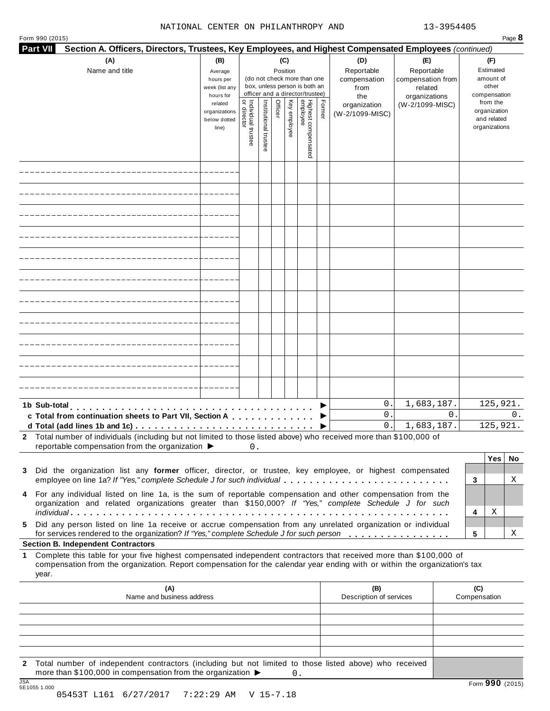#### NATIONAL CENTER ON PHILANTHROPY AND 13-3954405

| Form 990 (2015)<br><b>Part VII</b> | Section A. Officers, Directors, Trustees, Key Employees, and Highest Compensated Employees (continued)                                                                                                                                                                                        |                                                   |                                          |                       |                                                                    |                                                        |                                 |        |                                        |                                        |                     | Page 8                                                   |
|------------------------------------|-----------------------------------------------------------------------------------------------------------------------------------------------------------------------------------------------------------------------------------------------------------------------------------------------|---------------------------------------------------|------------------------------------------|-----------------------|--------------------------------------------------------------------|--------------------------------------------------------|---------------------------------|--------|----------------------------------------|----------------------------------------|---------------------|----------------------------------------------------------|
|                                    | (A)<br>(B)<br>(C)<br>(D)<br>Reportable<br>Name and title<br>Position<br>Average<br>(do not check more than one<br>compensation<br>hours per<br>box, unless person is both an<br>week (list any<br>from<br>officer and a director/trustee)<br>hours for                                        |                                                   |                                          |                       | (E)<br>Reportable<br>compensation from<br>related<br>organizations | (F)<br>Estimated<br>amount of<br>other<br>compensation |                                 |        |                                        |                                        |                     |                                                          |
|                                    |                                                                                                                                                                                                                                                                                               | related<br>organizations<br>below dotted<br>line) | Individual trustee<br> <br>  or director | Institutional trustee | Officer                                                            | Key employee                                           | Highest compensated<br>employee | Former | the<br>organization<br>(W-2/1099-MISC) | (W-2/1099-MISC)                        |                     | from the<br>organization<br>and related<br>organizations |
|                                    |                                                                                                                                                                                                                                                                                               |                                                   |                                          |                       |                                                                    |                                                        |                                 |        |                                        |                                        |                     |                                                          |
|                                    |                                                                                                                                                                                                                                                                                               |                                                   |                                          |                       |                                                                    |                                                        |                                 |        |                                        |                                        |                     |                                                          |
|                                    |                                                                                                                                                                                                                                                                                               |                                                   |                                          |                       |                                                                    |                                                        |                                 |        |                                        |                                        |                     |                                                          |
|                                    |                                                                                                                                                                                                                                                                                               |                                                   |                                          |                       |                                                                    |                                                        |                                 |        |                                        |                                        |                     |                                                          |
|                                    |                                                                                                                                                                                                                                                                                               |                                                   |                                          |                       |                                                                    |                                                        |                                 |        |                                        |                                        |                     |                                                          |
|                                    |                                                                                                                                                                                                                                                                                               |                                                   |                                          |                       |                                                                    |                                                        |                                 |        |                                        |                                        |                     |                                                          |
|                                    |                                                                                                                                                                                                                                                                                               |                                                   |                                          |                       |                                                                    |                                                        |                                 |        |                                        |                                        |                     |                                                          |
|                                    |                                                                                                                                                                                                                                                                                               |                                                   |                                          |                       |                                                                    |                                                        |                                 |        |                                        |                                        |                     |                                                          |
|                                    |                                                                                                                                                                                                                                                                                               |                                                   |                                          |                       |                                                                    |                                                        |                                 |        |                                        |                                        |                     |                                                          |
|                                    |                                                                                                                                                                                                                                                                                               |                                                   |                                          |                       |                                                                    |                                                        |                                 |        |                                        |                                        |                     |                                                          |
|                                    |                                                                                                                                                                                                                                                                                               |                                                   |                                          |                       |                                                                    |                                                        |                                 |        |                                        |                                        |                     |                                                          |
|                                    | 1b Sub-total experience in the sub-<br>c Total from continuation sheets to Part VII, Section A<br>d Total (add lines 1b and 1c) $\ldots \ldots \ldots \ldots \ldots \ldots \ldots \ldots \ldots \ldots \ldots$                                                                                |                                                   |                                          |                       |                                                                    |                                                        |                                 |        | 0.<br>0.<br>0.                         | 1,683,187.<br>$\Omega$ .<br>1,683,187. |                     | 125,921.<br>0.<br>125,921.                               |
|                                    | 2 Total number of individuals (including but not limited to those listed above) who received more than \$100,000 of<br>reportable compensation from the organization $\blacktriangleright$                                                                                                    |                                                   | 0.                                       |                       |                                                                    |                                                        |                                 |        |                                        |                                        |                     |                                                          |
| 3                                  | Did the organization list any former officer, director, or trustee, key employee, or highest compensated<br>employee on line 1a? If "Yes," complete Schedule J for such individual                                                                                                            |                                                   |                                          |                       |                                                                    |                                                        |                                 |        |                                        |                                        | 3                   | Yes <br>No<br>Χ                                          |
| 4                                  | For any individual listed on line 1a, is the sum of reportable compensation and other compensation from the<br>organization and related organizations greater than \$150,000? If "Yes," complete Schedule J for such                                                                          |                                                   |                                          |                       |                                                                    |                                                        |                                 |        |                                        |                                        | 4                   | Χ                                                        |
| 5                                  | Did any person listed on line 1a receive or accrue compensation from any unrelated organization or individual<br>for services rendered to the organization? If "Yes," complete Schedule J for such person                                                                                     |                                                   |                                          |                       |                                                                    |                                                        |                                 |        |                                        |                                        | 5                   | Χ                                                        |
| 1.<br>year.                        | <b>Section B. Independent Contractors</b><br>Complete this table for your five highest compensated independent contractors that received more than \$100,000 of<br>compensation from the organization. Report compensation for the calendar year ending with or within the organization's tax |                                                   |                                          |                       |                                                                    |                                                        |                                 |        |                                        |                                        |                     |                                                          |
|                                    | (A)<br>Name and business address                                                                                                                                                                                                                                                              |                                                   |                                          |                       |                                                                    |                                                        |                                 |        | (B)<br>Description of services         |                                        | (C)<br>Compensation |                                                          |
|                                    |                                                                                                                                                                                                                                                                                               |                                                   |                                          |                       |                                                                    |                                                        |                                 |        |                                        |                                        |                     |                                                          |
|                                    |                                                                                                                                                                                                                                                                                               |                                                   |                                          |                       |                                                                    |                                                        |                                 |        |                                        |                                        |                     |                                                          |
| 2                                  | Total number of independent contractors (including but not limited to those listed above) who received                                                                                                                                                                                        |                                                   |                                          |                       |                                                                    |                                                        |                                 |        |                                        |                                        |                     |                                                          |
| 10A                                | more than \$100,000 in compensation from the organization $\blacktriangleright$                                                                                                                                                                                                               |                                                   |                                          |                       |                                                                    | $0$ .                                                  |                                 |        |                                        |                                        |                     |                                                          |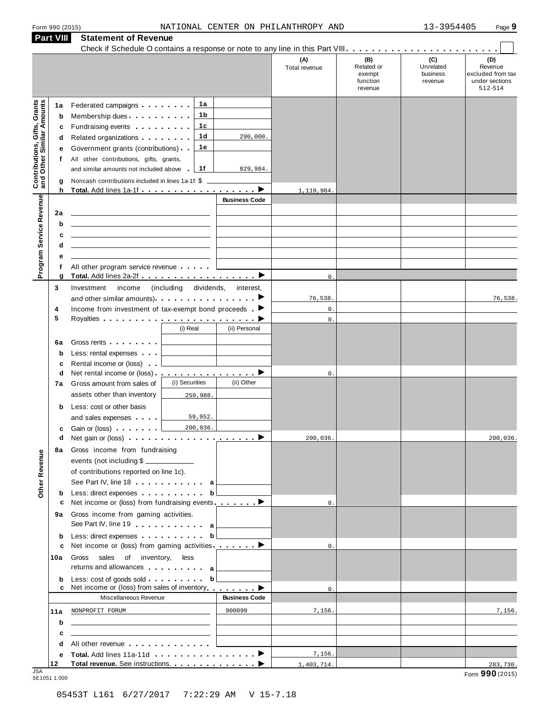| Form 990 (2015) |  |  |
|-----------------|--|--|
|                 |  |  |

| <b>Part VIII</b>                                                 |                                  | <b>Statement of Revenue</b>                                                                                                                                                                                                                                                                                                                                                                                                                                                                                             |                                                             |                      |                                           |                                                    |                                         |                                                                            |
|------------------------------------------------------------------|----------------------------------|-------------------------------------------------------------------------------------------------------------------------------------------------------------------------------------------------------------------------------------------------------------------------------------------------------------------------------------------------------------------------------------------------------------------------------------------------------------------------------------------------------------------------|-------------------------------------------------------------|----------------------|-------------------------------------------|----------------------------------------------------|-----------------------------------------|----------------------------------------------------------------------------|
|                                                                  |                                  |                                                                                                                                                                                                                                                                                                                                                                                                                                                                                                                         |                                                             |                      | (A)<br>Total revenue                      | (B)<br>Related or<br>exempt<br>function<br>revenue | (C)<br>Unrelated<br>business<br>revenue | $\sim$<br>(D)<br>Revenue<br>excluded from tax<br>under sections<br>512-514 |
| <b>Contributions, Gifts, Grants</b><br>and Other Similar Amounts | 1a<br>b<br>c<br>d<br>е<br>f<br>g | Federated campaigns <b>Federated</b><br>Membership dues<br>Fundraising events <b>Fundraising</b><br>Related organizations <b>and the set of the set of the set of the set of the set of the set of the set of the set of the set of the set of the set of the set of the set of the set of the set of the set of the set of the set </b><br>Government grants (contributions)<br>All other contributions, gifts, grants,<br>and similar amounts not included above<br>Noncash contributions included in lines 1a-1f: \$ | 1a<br>1 b<br>1c<br>1d<br>1е<br>1f                           | 290,000.<br>829,984. |                                           |                                                    |                                         |                                                                            |
|                                                                  | h                                | Total. Add lines 1a-1f ▶                                                                                                                                                                                                                                                                                                                                                                                                                                                                                                |                                                             | <b>Business Code</b> | 1,119,984.                                |                                                    |                                         |                                                                            |
| Program Service Revenue                                          | 2a<br>b<br>c<br>d<br>е<br>f      | All other program service revenue                                                                                                                                                                                                                                                                                                                                                                                                                                                                                       |                                                             |                      |                                           |                                                    |                                         |                                                                            |
| 3                                                                | g                                | Total. Add lines 2a-2f ▶<br>Investment<br>income                                                                                                                                                                                                                                                                                                                                                                                                                                                                        | (including dividends,                                       | interest,            | $\mathbf 0$ .                             |                                                    |                                         |                                                                            |
| 4<br>5                                                           |                                  | and other similar amounts) $\cdots$ $\cdots$ $\cdots$ $\cdots$<br>Income from investment of tax-exempt bond proceeds $\blacktriangleright$                                                                                                                                                                                                                                                                                                                                                                              | (i) Real                                                    | (ii) Personal        | 76,538.<br>$\mathbb O$ .<br>$\mathbb O$ . |                                                    |                                         | 76,538.                                                                    |
|                                                                  | 6a<br>$\mathbf b$<br>c           | Gross rents <b>Container</b><br>Less: rental expenses<br>Rental income or (loss)                                                                                                                                                                                                                                                                                                                                                                                                                                        |                                                             |                      |                                           |                                                    |                                         |                                                                            |
|                                                                  | d<br>7a                          | Net rental income or (loss) <b>interact in the set of the set of the set of the set of the set of the set of the set of the set of the set of the set of the set of the set of the set of the set of the set of the set of the </b><br>Gross amount from sales of<br>assets other than inventory                                                                                                                                                                                                                        | (i) Securities<br>259,988.                                  | (ii) Other           | 0.                                        |                                                    |                                         |                                                                            |
|                                                                  | b<br>c                           | Less: cost or other basis<br>and sales expenses<br>Gain or (loss)                                                                                                                                                                                                                                                                                                                                                                                                                                                       | 59,952.<br>200,036.                                         |                      |                                           |                                                    |                                         |                                                                            |
| Other Revenue                                                    | d<br>8а                          | Gross income from fundraising<br>events (not including \$<br>of contributions reported on line 1c).<br>See Part IV, line 18 a                                                                                                                                                                                                                                                                                                                                                                                           |                                                             |                      | 200,036.                                  |                                                    |                                         | 200,036.                                                                   |
|                                                                  | b                                | Less: direct expenses                                                                                                                                                                                                                                                                                                                                                                                                                                                                                                   | b                                                           |                      |                                           |                                                    |                                         |                                                                            |
|                                                                  | с<br>9а                          | Net income or (loss) from fundraising events _________<br>Gross income from gaming activities.<br>See Part IV, line 19 a                                                                                                                                                                                                                                                                                                                                                                                                |                                                             |                      | 0.                                        |                                                    |                                         |                                                                            |
|                                                                  | b                                | Less: direct expenses by the set of the set of the set of the set of the set of the set of the set of the set of the set of the set of the set of the set of the set of the set of the set of the set of the set of the set of                                                                                                                                                                                                                                                                                          |                                                             |                      |                                           |                                                    |                                         |                                                                            |
| 10a                                                              | c                                | Net income or (loss) from gaming activities ________<br>Gross sales of inventory, less<br>returns and allowances entertainment as                                                                                                                                                                                                                                                                                                                                                                                       |                                                             |                      | $\mathbf{0}$ .                            |                                                    |                                         |                                                                            |
|                                                                  | b<br>c                           | Less: cost of goods sold<br>Net income or (loss) from sales of inventory ▶                                                                                                                                                                                                                                                                                                                                                                                                                                              | $\mathbf{b}$                                                |                      | 0.                                        |                                                    |                                         |                                                                            |
|                                                                  |                                  | Miscellaneous Revenue                                                                                                                                                                                                                                                                                                                                                                                                                                                                                                   |                                                             | <b>Business Code</b> |                                           |                                                    |                                         |                                                                            |
| 11a                                                              | b                                | NONPROFIT FORUM<br>the control of the control of the control of the control of the control of the control of                                                                                                                                                                                                                                                                                                                                                                                                            | the control of the control of the control of the control of | 900099               | 7,156.                                    |                                                    |                                         | 7,156.                                                                     |
|                                                                  | c<br>d                           | the contract of the contract of the contract of the contract of the contract of<br>All other revenue entering the series of the series of the series of the series of the series of the series of                                                                                                                                                                                                                                                                                                                       |                                                             |                      |                                           |                                                    |                                         |                                                                            |
|                                                                  | е                                |                                                                                                                                                                                                                                                                                                                                                                                                                                                                                                                         |                                                             |                      | 7,156.                                    |                                                    |                                         |                                                                            |
| 12                                                               |                                  |                                                                                                                                                                                                                                                                                                                                                                                                                                                                                                                         |                                                             |                      | 1,403,714.                                |                                                    |                                         | 283,730.                                                                   |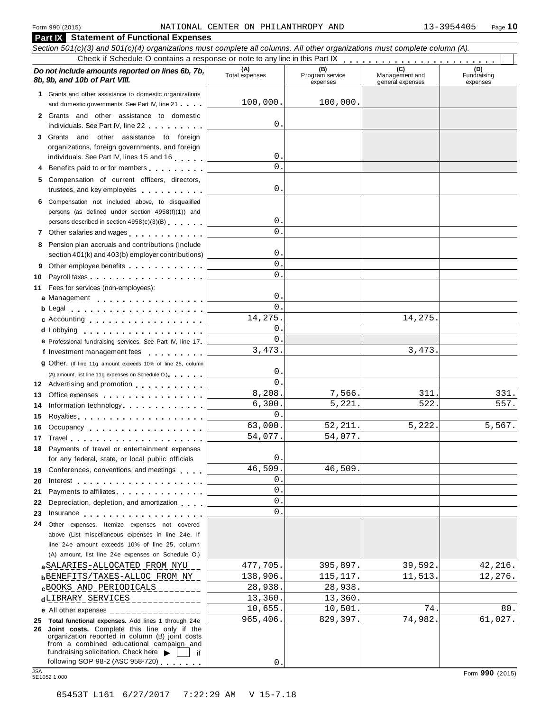| <b>Part IX</b> Statement of Functional Expenses                                                                                                                                                                                      |                       |                                    |                                    |                                |
|--------------------------------------------------------------------------------------------------------------------------------------------------------------------------------------------------------------------------------------|-----------------------|------------------------------------|------------------------------------|--------------------------------|
| Section 501(c)(3) and 501(c)(4) organizations must complete all columns. All other organizations must complete column (A).                                                                                                           |                       |                                    |                                    |                                |
| Check if Schedule O contains a response or note to any line in this Part IX                                                                                                                                                          |                       |                                    |                                    |                                |
| Do not include amounts reported on lines 6b, 7b,<br>8b, 9b, and 10b of Part VIII.                                                                                                                                                    | (A)<br>Total expenses | (B)<br>Program service<br>expenses | Management and<br>general expenses | (D)<br>Fundraising<br>expenses |
| 1 Grants and other assistance to domestic organizations                                                                                                                                                                              |                       |                                    |                                    |                                |
| and domestic governments. See Part IV, line 21                                                                                                                                                                                       | 100,000.              | 100,000.                           |                                    |                                |
| 2 Grants and other assistance to domestic                                                                                                                                                                                            |                       |                                    |                                    |                                |
| individuals. See Part IV, line 22                                                                                                                                                                                                    | 0.                    |                                    |                                    |                                |
| 3 Grants and other assistance to foreign                                                                                                                                                                                             |                       |                                    |                                    |                                |
| organizations, foreign governments, and foreign                                                                                                                                                                                      | 0.                    |                                    |                                    |                                |
| individuals. See Part IV, lines 15 and 16                                                                                                                                                                                            | 0.                    |                                    |                                    |                                |
| 4 Benefits paid to or for members                                                                                                                                                                                                    |                       |                                    |                                    |                                |
| 5 Compensation of current officers, directors,<br>trustees, and key employees                                                                                                                                                        | 0.                    |                                    |                                    |                                |
| 6 Compensation not included above, to disqualified                                                                                                                                                                                   |                       |                                    |                                    |                                |
| persons (as defined under section 4958(f)(1)) and                                                                                                                                                                                    |                       |                                    |                                    |                                |
| persons described in section 4958(c)(3)(B)                                                                                                                                                                                           | 0.                    |                                    |                                    |                                |
| 7 Other salaries and wages                                                                                                                                                                                                           | $^{\circ}$            |                                    |                                    |                                |
| 8 Pension plan accruals and contributions (include                                                                                                                                                                                   |                       |                                    |                                    |                                |
| section 401(k) and 403(b) employer contributions)                                                                                                                                                                                    | 0.                    |                                    |                                    |                                |
| Other employee benefits<br>9.                                                                                                                                                                                                        | 0.                    |                                    |                                    |                                |
| Payroll taxes<br>10                                                                                                                                                                                                                  | $^{\circ}$            |                                    |                                    |                                |
| Fees for services (non-employees):<br>11                                                                                                                                                                                             |                       |                                    |                                    |                                |
| a Management                                                                                                                                                                                                                         | 0.                    |                                    |                                    |                                |
|                                                                                                                                                                                                                                      | 0.                    |                                    |                                    |                                |
| c Accounting                                                                                                                                                                                                                         | 14,275.               |                                    | 14,275.                            |                                |
| d Lobbying                                                                                                                                                                                                                           | 0.                    |                                    |                                    |                                |
| e Professional fundraising services. See Part IV, line 17                                                                                                                                                                            | 0.                    |                                    |                                    |                                |
| f Investment management fees                                                                                                                                                                                                         | 3,473.                |                                    | 3,473.                             |                                |
| <b>g</b> Other. (If line 11g amount exceeds 10% of line 25, column                                                                                                                                                                   |                       |                                    |                                    |                                |
| (A) amount, list line 11g expenses on Schedule O.)                                                                                                                                                                                   | 0.                    |                                    |                                    |                                |
| 12 Advertising and promotion                                                                                                                                                                                                         | 0.                    |                                    |                                    |                                |
| Office expenses expenses<br>13                                                                                                                                                                                                       | 8,208.                | 7,566.                             | 311.                               | 331.                           |
| Information technology experience and the state of the state of the state of the state of the state of the state of the state of the state of the state of the state of the state of the state of the state of the state of th<br>14 | 6,300.                | 5,221.                             | 522.                               | 557.                           |
| Royalties Royalties Providence and Royalties<br>15                                                                                                                                                                                   | 0.                    |                                    |                                    |                                |
| Occupancy<br>16                                                                                                                                                                                                                      | 63,000.               | 52, 211.                           | 5,222.                             | 5,567.                         |
|                                                                                                                                                                                                                                      | 54,077.               | 54,077.                            |                                    |                                |
| 18 Payments of travel or entertainment expenses                                                                                                                                                                                      | 0.                    |                                    |                                    |                                |
| for any federal, state, or local public officials                                                                                                                                                                                    | 46,509.               | 46,509.                            |                                    |                                |
| Conferences, conventions, and meetings<br>19                                                                                                                                                                                         | 0.                    |                                    |                                    |                                |
| 20                                                                                                                                                                                                                                   | 0.                    |                                    |                                    |                                |
| Payments to affiliates experience and the set of the set of the set of the set of the set of the set of the set of the set of the set of the set of the set of the set of the set of the set of the set of the set of the set<br>21  | 0.                    |                                    |                                    |                                |
| Depreciation, depletion, and amortization<br>22                                                                                                                                                                                      | 0.                    |                                    |                                    |                                |
| Insurance<br>23                                                                                                                                                                                                                      |                       |                                    |                                    |                                |
| Other expenses. Itemize expenses not covered<br>24<br>above (List miscellaneous expenses in line 24e. If                                                                                                                             |                       |                                    |                                    |                                |
| line 24e amount exceeds 10% of line 25, column                                                                                                                                                                                       |                       |                                    |                                    |                                |
| (A) amount, list line 24e expenses on Schedule O.)                                                                                                                                                                                   |                       |                                    |                                    |                                |
| a SALARIES-ALLOCATED FROM NYU                                                                                                                                                                                                        | 477,705.              | 395,897.                           | 39,592.                            | 42,216.                        |
| <b>b</b> BENEFITS/TAXES-ALLOC FROM NY                                                                                                                                                                                                | 138,906.              | 115, 117.                          | 11,513.                            | 12,276.                        |
| $c$ BOOKS AND PERIODICALS ________                                                                                                                                                                                                   | 28,938.               | 28,938.                            |                                    |                                |
| dLIBRARY_SERVICES______________                                                                                                                                                                                                      | 13,360.               | 13,360.                            |                                    |                                |
| e All other expenses $\frac{1}{1}$                                                                                                                                                                                                   | 10,655.               | 10,501.                            | 74.                                | 80.                            |
| 25 Total functional expenses. Add lines 1 through 24e                                                                                                                                                                                | 965,406.              | 829,397.                           | 74,982.                            | 61,027.                        |
| 26 Joint costs. Complete this line only if the                                                                                                                                                                                       |                       |                                    |                                    |                                |
| organization reported in column (B) joint costs                                                                                                                                                                                      |                       |                                    |                                    |                                |
| from a combined educational campaign and<br>fundraising solicitation. Check here $\blacktriangleright$<br>if                                                                                                                         |                       |                                    |                                    |                                |
| following SOP 98-2 (ASC 958-720)                                                                                                                                                                                                     | 0                     |                                    |                                    |                                |
| <b>JSA</b><br>5E1052 1.000                                                                                                                                                                                                           |                       |                                    |                                    | Form 990 (2015)                |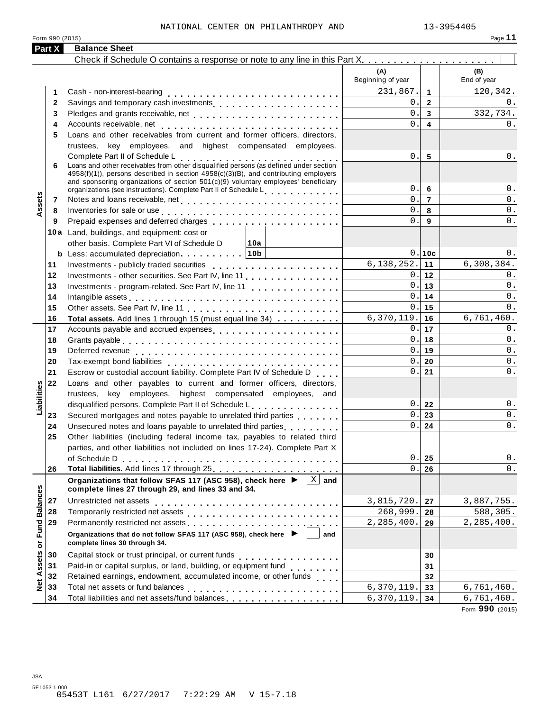|                      | Part X       | <b>Balance Sheet</b>                                                                                                                                                                                                                           |                          |                         |                    |
|----------------------|--------------|------------------------------------------------------------------------------------------------------------------------------------------------------------------------------------------------------------------------------------------------|--------------------------|-------------------------|--------------------|
|                      |              |                                                                                                                                                                                                                                                |                          |                         |                    |
|                      |              |                                                                                                                                                                                                                                                | (A)<br>Beginning of year |                         | (B)<br>End of year |
|                      | 1            |                                                                                                                                                                                                                                                | 231,867.                 | $\mathbf 1$             | 120,342.           |
|                      | $\mathbf{2}$ | Savings and temporary cash investments                                                                                                                                                                                                         | 0.                       | $\overline{2}$          | 0.                 |
|                      | 3            |                                                                                                                                                                                                                                                | $\mathbf 0$ .            | $\mathbf{3}$            | 332,734.           |
|                      | 4            |                                                                                                                                                                                                                                                | 0.                       | $\overline{\mathbf{4}}$ | 0.                 |
|                      | 5            | Loans and other receivables from current and former officers, directors,                                                                                                                                                                       |                          |                         |                    |
|                      |              | trustees, key employees, and highest compensated employees.                                                                                                                                                                                    |                          |                         |                    |
|                      |              | Complete Part II of Schedule L<br>Complete Part if or Scriedule L<br>Loans and other receivables from other disqualified persons (as defined under section                                                                                     | 0.                       | 5                       | $0$ .              |
|                      | 6            | 4958(f)(1)), persons described in section 4958(c)(3)(B), and contributing employers<br>and sponsoring organizations of section 501(c)(9) voluntary employees' beneficiary<br>organizations (see instructions). Complete Part II of Schedule L. | 0.                       | 6                       | $0$ .              |
|                      | 7            |                                                                                                                                                                                                                                                | $\mathbf{0}$ .           | $\overline{7}$          | $0$ .              |
| Assets               | 8            | Inventories for sale or use enterpreteration of the contract of the contract of the contract of the contract of                                                                                                                                | $\mathbf{0}$ .           | 8                       | $0$ .              |
|                      | 9            |                                                                                                                                                                                                                                                | 0.                       | 9                       | $0$ .              |
|                      |              | 10a Land, buildings, and equipment: cost or                                                                                                                                                                                                    |                          |                         |                    |
|                      |              | other basis. Complete Part VI of Schedule D<br>∣10a                                                                                                                                                                                            |                          |                         |                    |
|                      |              | <b>b</b> Less: accumulated depreciation $\cdots$ 10b                                                                                                                                                                                           |                          | 0.10c                   | 0.                 |
|                      | 11           |                                                                                                                                                                                                                                                | $6, 138, 252.$ 11        |                         | 6,308,384.         |
|                      | 12           | Investments - other securities. See Part IV, line 11.                                                                                                                                                                                          |                          | 0.112                   | 0.                 |
|                      | 13           | Investments - program-related. See Part IV, line 11                                                                                                                                                                                            |                          | 0.13                    | 0.                 |
|                      | 14           | Intangible assets enterpreteration of the contract of the contract of the contract of the contract of the contract of the contract of the contract of the contract of the contract of the contract of the contract of the cont                 | 0.                       | 14                      | $0$ .              |
|                      | 15           |                                                                                                                                                                                                                                                |                          | $0.1$ 15                | 0.                 |
|                      | 16           | Total assets. Add lines 1 through 15 (must equal line 34)                                                                                                                                                                                      | $6,370,119.$ 16          |                         | 6,761,460.         |
|                      | 17           | Accounts payable and accrued expenses                                                                                                                                                                                                          |                          | $0.1$ 17                | 0.                 |
|                      | 18           |                                                                                                                                                                                                                                                |                          | 0.118                   | 0.                 |
|                      | 19           |                                                                                                                                                                                                                                                |                          | 0.19                    | $0$ .              |
|                      | 20           |                                                                                                                                                                                                                                                | 0.                       | 20                      | 0.                 |
|                      | 21           | Escrow or custodial account liability. Complete Part IV of Schedule D                                                                                                                                                                          | 0.1                      | 21                      | 0.                 |
|                      | 22           | Loans and other payables to current and former officers, directors,                                                                                                                                                                            |                          |                         |                    |
|                      |              | trustees, key employees, highest compensated employees, and                                                                                                                                                                                    |                          |                         |                    |
| Liabilities          |              | disqualified persons. Complete Part II of Schedule L.                                                                                                                                                                                          | 0.1                      | 22                      | 0.                 |
|                      | 23           | Secured mortgages and notes payable to unrelated third parties                                                                                                                                                                                 | $\mathbf{0}$ .<br>0.     | 23                      | $0$ .<br>$0$ .     |
|                      | 24<br>25     | Unsecured notes and loans payable to unrelated third parties <b>contained</b><br>Other liabilities (including federal income tax, payables to related third                                                                                    |                          | 24                      |                    |
|                      |              | parties, and other liabilities not included on lines 17-24). Complete Part X                                                                                                                                                                   |                          |                         |                    |
|                      |              |                                                                                                                                                                                                                                                | 0.                       | 25                      | $0$ .              |
|                      | 26           |                                                                                                                                                                                                                                                | $\mathbf{0}$ .           | 26                      | $0$ .              |
|                      |              | $\overline{X}$ and<br>Organizations that follow SFAS 117 (ASC 958), check here ▶                                                                                                                                                               |                          |                         |                    |
|                      |              | complete lines 27 through 29, and lines 33 and 34.                                                                                                                                                                                             |                          |                         |                    |
|                      | 27           | Unrestricted net assets                                                                                                                                                                                                                        | 3,815,720.               | 27                      | 3,887,755.         |
|                      | 28           |                                                                                                                                                                                                                                                | 268,999.                 | 28                      | 588,305.           |
|                      | 29           | Permanently restricted net assets<br>intervals and intervals are not restricted to the set of assets are not restricted to the set of the set of the set of the set of the set of the set of the set of the set of the set of th               | 2,285,400.               | 29                      | 2, 285, 400.       |
| <b>Fund Balances</b> |              | Organizations that do not follow SFAS 117 (ASC 958), check here ▶<br>and<br>complete lines 30 through 34.                                                                                                                                      |                          |                         |                    |
|                      | 30           |                                                                                                                                                                                                                                                |                          | 30                      |                    |
| Net Assets or        | 31           | Paid-in or capital surplus, or land, building, or equipment fund                                                                                                                                                                               |                          | 31                      |                    |
|                      | 32           | Retained earnings, endowment, accumulated income, or other funds                                                                                                                                                                               |                          | 32                      |                    |
|                      | 33           |                                                                                                                                                                                                                                                | 6,370,119.               | 33                      | 6,761,460.         |
|                      | 34           | Total liabilities and net assets/fund balances                                                                                                                                                                                                 | 6,370,119.               | 34                      | 6,761,460.         |

Form **990** (2015)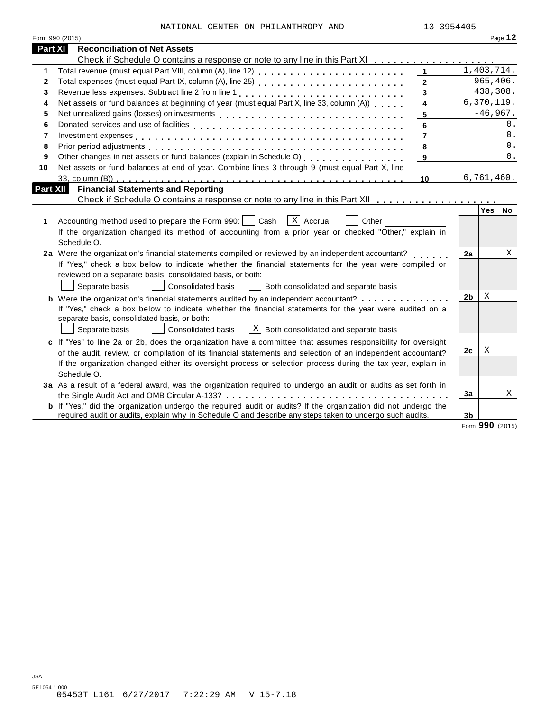| NATIONAL CENTER ON PHILANTHROPY AND |  | 13-3954405 |
|-------------------------------------|--|------------|
|                                     |  |            |

| <b>Part XI</b><br><b>Reconciliation of Net Assets</b><br>Check if Schedule O contains a response or note to any line in this Part XI<br>1,403,714.<br>$\mathbf{1}$<br>1<br>965, 406.<br>$\overline{2}$<br>$\mathbf{2}$<br>438,308.<br>$\overline{3}$<br>3<br>Net assets or fund balances at beginning of year (must equal Part X, line 33, column (A))<br>6,370,119.<br>$\overline{\mathbf{4}}$<br>4<br>$-46,967.$<br>5<br>5<br>0.<br>6<br>6<br>$0$ .<br>$\overline{7}$<br>7<br>0.<br>8<br>8<br>0.<br>9<br>9<br>Net assets or fund balances at end of year. Combine lines 3 through 9 (must equal Part X, line<br>10<br>6,761,460.<br>10<br><b>Part XII</b><br><b>Financial Statements and Reporting</b><br>Check if Schedule O contains a response or note to any line in this Part XII<br>Yes   No<br>  X   Accrual<br>Accounting method used to prepare the Form 990:     Cash<br>Other<br>1<br>If the organization changed its method of accounting from a prior year or checked "Other," explain in<br>Schedule O.<br>2a Were the organization's financial statements compiled or reviewed by an independent accountant?<br>Χ<br>2a<br>If "Yes," check a box below to indicate whether the financial statements for the year were compiled or<br>reviewed on a separate basis, consolidated basis, or both:<br>Separate basis<br><b>Consolidated basis</b><br>Both consolidated and separate basis<br>2 <sub>b</sub><br>Χ<br><b>b</b> Were the organization's financial statements audited by an independent accountant?<br>If "Yes," check a box below to indicate whether the financial statements for the year were audited on a<br>separate basis, consolidated basis, or both:<br>$X$ Both consolidated and separate basis<br>Consolidated basis<br>Separate basis<br>c If "Yes" to line 2a or 2b, does the organization have a committee that assumes responsibility for oversight<br>Χ<br>2c<br>of the audit, review, or compilation of its financial statements and selection of an independent accountant?<br>If the organization changed either its oversight process or selection process during the tax year, explain in<br>Schedule O.<br>3a As a result of a federal award, was the organization required to undergo an audit or audits as set forth in<br>Χ<br>3a<br><b>b</b> If "Yes," did the organization undergo the required audit or audits? If the organization did not undergo the<br>required audit or audits, explain why in Schedule O and describe any steps taken to undergo such audits.<br>3 <sub>b</sub> | Form 990 (2015) |  |  |  |  | Page 12 |  |
|----------------------------------------------------------------------------------------------------------------------------------------------------------------------------------------------------------------------------------------------------------------------------------------------------------------------------------------------------------------------------------------------------------------------------------------------------------------------------------------------------------------------------------------------------------------------------------------------------------------------------------------------------------------------------------------------------------------------------------------------------------------------------------------------------------------------------------------------------------------------------------------------------------------------------------------------------------------------------------------------------------------------------------------------------------------------------------------------------------------------------------------------------------------------------------------------------------------------------------------------------------------------------------------------------------------------------------------------------------------------------------------------------------------------------------------------------------------------------------------------------------------------------------------------------------------------------------------------------------------------------------------------------------------------------------------------------------------------------------------------------------------------------------------------------------------------------------------------------------------------------------------------------------------------------------------------------------------------------------------------------------------------------------------------------------------------------------------------------------------------------------------------------------------------------------------------------------------------------------------------------------------------------------------------------------------------------------------------------------------------------------------------------------------------------------------------------------------------------------------------------------------------------------------------|-----------------|--|--|--|--|---------|--|
|                                                                                                                                                                                                                                                                                                                                                                                                                                                                                                                                                                                                                                                                                                                                                                                                                                                                                                                                                                                                                                                                                                                                                                                                                                                                                                                                                                                                                                                                                                                                                                                                                                                                                                                                                                                                                                                                                                                                                                                                                                                                                                                                                                                                                                                                                                                                                                                                                                                                                                                                              |                 |  |  |  |  |         |  |
|                                                                                                                                                                                                                                                                                                                                                                                                                                                                                                                                                                                                                                                                                                                                                                                                                                                                                                                                                                                                                                                                                                                                                                                                                                                                                                                                                                                                                                                                                                                                                                                                                                                                                                                                                                                                                                                                                                                                                                                                                                                                                                                                                                                                                                                                                                                                                                                                                                                                                                                                              |                 |  |  |  |  |         |  |
|                                                                                                                                                                                                                                                                                                                                                                                                                                                                                                                                                                                                                                                                                                                                                                                                                                                                                                                                                                                                                                                                                                                                                                                                                                                                                                                                                                                                                                                                                                                                                                                                                                                                                                                                                                                                                                                                                                                                                                                                                                                                                                                                                                                                                                                                                                                                                                                                                                                                                                                                              |                 |  |  |  |  |         |  |
|                                                                                                                                                                                                                                                                                                                                                                                                                                                                                                                                                                                                                                                                                                                                                                                                                                                                                                                                                                                                                                                                                                                                                                                                                                                                                                                                                                                                                                                                                                                                                                                                                                                                                                                                                                                                                                                                                                                                                                                                                                                                                                                                                                                                                                                                                                                                                                                                                                                                                                                                              |                 |  |  |  |  |         |  |
|                                                                                                                                                                                                                                                                                                                                                                                                                                                                                                                                                                                                                                                                                                                                                                                                                                                                                                                                                                                                                                                                                                                                                                                                                                                                                                                                                                                                                                                                                                                                                                                                                                                                                                                                                                                                                                                                                                                                                                                                                                                                                                                                                                                                                                                                                                                                                                                                                                                                                                                                              |                 |  |  |  |  |         |  |
|                                                                                                                                                                                                                                                                                                                                                                                                                                                                                                                                                                                                                                                                                                                                                                                                                                                                                                                                                                                                                                                                                                                                                                                                                                                                                                                                                                                                                                                                                                                                                                                                                                                                                                                                                                                                                                                                                                                                                                                                                                                                                                                                                                                                                                                                                                                                                                                                                                                                                                                                              |                 |  |  |  |  |         |  |
|                                                                                                                                                                                                                                                                                                                                                                                                                                                                                                                                                                                                                                                                                                                                                                                                                                                                                                                                                                                                                                                                                                                                                                                                                                                                                                                                                                                                                                                                                                                                                                                                                                                                                                                                                                                                                                                                                                                                                                                                                                                                                                                                                                                                                                                                                                                                                                                                                                                                                                                                              |                 |  |  |  |  |         |  |
|                                                                                                                                                                                                                                                                                                                                                                                                                                                                                                                                                                                                                                                                                                                                                                                                                                                                                                                                                                                                                                                                                                                                                                                                                                                                                                                                                                                                                                                                                                                                                                                                                                                                                                                                                                                                                                                                                                                                                                                                                                                                                                                                                                                                                                                                                                                                                                                                                                                                                                                                              |                 |  |  |  |  |         |  |
|                                                                                                                                                                                                                                                                                                                                                                                                                                                                                                                                                                                                                                                                                                                                                                                                                                                                                                                                                                                                                                                                                                                                                                                                                                                                                                                                                                                                                                                                                                                                                                                                                                                                                                                                                                                                                                                                                                                                                                                                                                                                                                                                                                                                                                                                                                                                                                                                                                                                                                                                              |                 |  |  |  |  |         |  |
|                                                                                                                                                                                                                                                                                                                                                                                                                                                                                                                                                                                                                                                                                                                                                                                                                                                                                                                                                                                                                                                                                                                                                                                                                                                                                                                                                                                                                                                                                                                                                                                                                                                                                                                                                                                                                                                                                                                                                                                                                                                                                                                                                                                                                                                                                                                                                                                                                                                                                                                                              |                 |  |  |  |  |         |  |
|                                                                                                                                                                                                                                                                                                                                                                                                                                                                                                                                                                                                                                                                                                                                                                                                                                                                                                                                                                                                                                                                                                                                                                                                                                                                                                                                                                                                                                                                                                                                                                                                                                                                                                                                                                                                                                                                                                                                                                                                                                                                                                                                                                                                                                                                                                                                                                                                                                                                                                                                              |                 |  |  |  |  |         |  |
|                                                                                                                                                                                                                                                                                                                                                                                                                                                                                                                                                                                                                                                                                                                                                                                                                                                                                                                                                                                                                                                                                                                                                                                                                                                                                                                                                                                                                                                                                                                                                                                                                                                                                                                                                                                                                                                                                                                                                                                                                                                                                                                                                                                                                                                                                                                                                                                                                                                                                                                                              |                 |  |  |  |  |         |  |
|                                                                                                                                                                                                                                                                                                                                                                                                                                                                                                                                                                                                                                                                                                                                                                                                                                                                                                                                                                                                                                                                                                                                                                                                                                                                                                                                                                                                                                                                                                                                                                                                                                                                                                                                                                                                                                                                                                                                                                                                                                                                                                                                                                                                                                                                                                                                                                                                                                                                                                                                              |                 |  |  |  |  |         |  |
|                                                                                                                                                                                                                                                                                                                                                                                                                                                                                                                                                                                                                                                                                                                                                                                                                                                                                                                                                                                                                                                                                                                                                                                                                                                                                                                                                                                                                                                                                                                                                                                                                                                                                                                                                                                                                                                                                                                                                                                                                                                                                                                                                                                                                                                                                                                                                                                                                                                                                                                                              |                 |  |  |  |  |         |  |
|                                                                                                                                                                                                                                                                                                                                                                                                                                                                                                                                                                                                                                                                                                                                                                                                                                                                                                                                                                                                                                                                                                                                                                                                                                                                                                                                                                                                                                                                                                                                                                                                                                                                                                                                                                                                                                                                                                                                                                                                                                                                                                                                                                                                                                                                                                                                                                                                                                                                                                                                              |                 |  |  |  |  |         |  |
|                                                                                                                                                                                                                                                                                                                                                                                                                                                                                                                                                                                                                                                                                                                                                                                                                                                                                                                                                                                                                                                                                                                                                                                                                                                                                                                                                                                                                                                                                                                                                                                                                                                                                                                                                                                                                                                                                                                                                                                                                                                                                                                                                                                                                                                                                                                                                                                                                                                                                                                                              |                 |  |  |  |  |         |  |
|                                                                                                                                                                                                                                                                                                                                                                                                                                                                                                                                                                                                                                                                                                                                                                                                                                                                                                                                                                                                                                                                                                                                                                                                                                                                                                                                                                                                                                                                                                                                                                                                                                                                                                                                                                                                                                                                                                                                                                                                                                                                                                                                                                                                                                                                                                                                                                                                                                                                                                                                              |                 |  |  |  |  |         |  |
|                                                                                                                                                                                                                                                                                                                                                                                                                                                                                                                                                                                                                                                                                                                                                                                                                                                                                                                                                                                                                                                                                                                                                                                                                                                                                                                                                                                                                                                                                                                                                                                                                                                                                                                                                                                                                                                                                                                                                                                                                                                                                                                                                                                                                                                                                                                                                                                                                                                                                                                                              |                 |  |  |  |  |         |  |
|                                                                                                                                                                                                                                                                                                                                                                                                                                                                                                                                                                                                                                                                                                                                                                                                                                                                                                                                                                                                                                                                                                                                                                                                                                                                                                                                                                                                                                                                                                                                                                                                                                                                                                                                                                                                                                                                                                                                                                                                                                                                                                                                                                                                                                                                                                                                                                                                                                                                                                                                              |                 |  |  |  |  |         |  |
|                                                                                                                                                                                                                                                                                                                                                                                                                                                                                                                                                                                                                                                                                                                                                                                                                                                                                                                                                                                                                                                                                                                                                                                                                                                                                                                                                                                                                                                                                                                                                                                                                                                                                                                                                                                                                                                                                                                                                                                                                                                                                                                                                                                                                                                                                                                                                                                                                                                                                                                                              |                 |  |  |  |  |         |  |
|                                                                                                                                                                                                                                                                                                                                                                                                                                                                                                                                                                                                                                                                                                                                                                                                                                                                                                                                                                                                                                                                                                                                                                                                                                                                                                                                                                                                                                                                                                                                                                                                                                                                                                                                                                                                                                                                                                                                                                                                                                                                                                                                                                                                                                                                                                                                                                                                                                                                                                                                              |                 |  |  |  |  |         |  |
|                                                                                                                                                                                                                                                                                                                                                                                                                                                                                                                                                                                                                                                                                                                                                                                                                                                                                                                                                                                                                                                                                                                                                                                                                                                                                                                                                                                                                                                                                                                                                                                                                                                                                                                                                                                                                                                                                                                                                                                                                                                                                                                                                                                                                                                                                                                                                                                                                                                                                                                                              |                 |  |  |  |  |         |  |
|                                                                                                                                                                                                                                                                                                                                                                                                                                                                                                                                                                                                                                                                                                                                                                                                                                                                                                                                                                                                                                                                                                                                                                                                                                                                                                                                                                                                                                                                                                                                                                                                                                                                                                                                                                                                                                                                                                                                                                                                                                                                                                                                                                                                                                                                                                                                                                                                                                                                                                                                              |                 |  |  |  |  |         |  |
|                                                                                                                                                                                                                                                                                                                                                                                                                                                                                                                                                                                                                                                                                                                                                                                                                                                                                                                                                                                                                                                                                                                                                                                                                                                                                                                                                                                                                                                                                                                                                                                                                                                                                                                                                                                                                                                                                                                                                                                                                                                                                                                                                                                                                                                                                                                                                                                                                                                                                                                                              |                 |  |  |  |  |         |  |
|                                                                                                                                                                                                                                                                                                                                                                                                                                                                                                                                                                                                                                                                                                                                                                                                                                                                                                                                                                                                                                                                                                                                                                                                                                                                                                                                                                                                                                                                                                                                                                                                                                                                                                                                                                                                                                                                                                                                                                                                                                                                                                                                                                                                                                                                                                                                                                                                                                                                                                                                              |                 |  |  |  |  |         |  |
|                                                                                                                                                                                                                                                                                                                                                                                                                                                                                                                                                                                                                                                                                                                                                                                                                                                                                                                                                                                                                                                                                                                                                                                                                                                                                                                                                                                                                                                                                                                                                                                                                                                                                                                                                                                                                                                                                                                                                                                                                                                                                                                                                                                                                                                                                                                                                                                                                                                                                                                                              |                 |  |  |  |  |         |  |
|                                                                                                                                                                                                                                                                                                                                                                                                                                                                                                                                                                                                                                                                                                                                                                                                                                                                                                                                                                                                                                                                                                                                                                                                                                                                                                                                                                                                                                                                                                                                                                                                                                                                                                                                                                                                                                                                                                                                                                                                                                                                                                                                                                                                                                                                                                                                                                                                                                                                                                                                              |                 |  |  |  |  |         |  |
|                                                                                                                                                                                                                                                                                                                                                                                                                                                                                                                                                                                                                                                                                                                                                                                                                                                                                                                                                                                                                                                                                                                                                                                                                                                                                                                                                                                                                                                                                                                                                                                                                                                                                                                                                                                                                                                                                                                                                                                                                                                                                                                                                                                                                                                                                                                                                                                                                                                                                                                                              |                 |  |  |  |  |         |  |
|                                                                                                                                                                                                                                                                                                                                                                                                                                                                                                                                                                                                                                                                                                                                                                                                                                                                                                                                                                                                                                                                                                                                                                                                                                                                                                                                                                                                                                                                                                                                                                                                                                                                                                                                                                                                                                                                                                                                                                                                                                                                                                                                                                                                                                                                                                                                                                                                                                                                                                                                              |                 |  |  |  |  |         |  |
|                                                                                                                                                                                                                                                                                                                                                                                                                                                                                                                                                                                                                                                                                                                                                                                                                                                                                                                                                                                                                                                                                                                                                                                                                                                                                                                                                                                                                                                                                                                                                                                                                                                                                                                                                                                                                                                                                                                                                                                                                                                                                                                                                                                                                                                                                                                                                                                                                                                                                                                                              |                 |  |  |  |  |         |  |
|                                                                                                                                                                                                                                                                                                                                                                                                                                                                                                                                                                                                                                                                                                                                                                                                                                                                                                                                                                                                                                                                                                                                                                                                                                                                                                                                                                                                                                                                                                                                                                                                                                                                                                                                                                                                                                                                                                                                                                                                                                                                                                                                                                                                                                                                                                                                                                                                                                                                                                                                              |                 |  |  |  |  |         |  |
|                                                                                                                                                                                                                                                                                                                                                                                                                                                                                                                                                                                                                                                                                                                                                                                                                                                                                                                                                                                                                                                                                                                                                                                                                                                                                                                                                                                                                                                                                                                                                                                                                                                                                                                                                                                                                                                                                                                                                                                                                                                                                                                                                                                                                                                                                                                                                                                                                                                                                                                                              |                 |  |  |  |  |         |  |
|                                                                                                                                                                                                                                                                                                                                                                                                                                                                                                                                                                                                                                                                                                                                                                                                                                                                                                                                                                                                                                                                                                                                                                                                                                                                                                                                                                                                                                                                                                                                                                                                                                                                                                                                                                                                                                                                                                                                                                                                                                                                                                                                                                                                                                                                                                                                                                                                                                                                                                                                              |                 |  |  |  |  |         |  |
|                                                                                                                                                                                                                                                                                                                                                                                                                                                                                                                                                                                                                                                                                                                                                                                                                                                                                                                                                                                                                                                                                                                                                                                                                                                                                                                                                                                                                                                                                                                                                                                                                                                                                                                                                                                                                                                                                                                                                                                                                                                                                                                                                                                                                                                                                                                                                                                                                                                                                                                                              |                 |  |  |  |  |         |  |
|                                                                                                                                                                                                                                                                                                                                                                                                                                                                                                                                                                                                                                                                                                                                                                                                                                                                                                                                                                                                                                                                                                                                                                                                                                                                                                                                                                                                                                                                                                                                                                                                                                                                                                                                                                                                                                                                                                                                                                                                                                                                                                                                                                                                                                                                                                                                                                                                                                                                                                                                              |                 |  |  |  |  |         |  |

Form **990** (2015)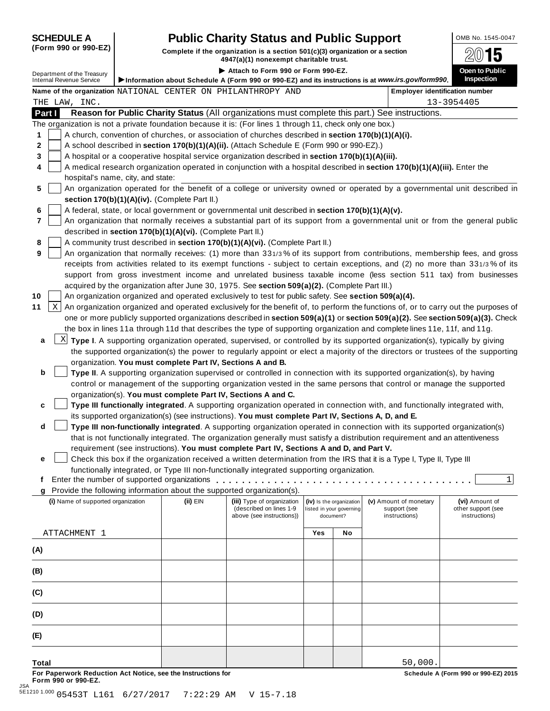# **SCHEDULE A Pub** OMB No. 1545-0047 **lic Charity Status and Public Support**

|                | (Form 990 or 990-EZ)                                          | Complete if the organization is a section 501(c)(3) organization or a section<br>5<br>4947(a)(1) nonexempt charitable trust. |                                                                                                           |     |                                                      |                                                                                                                                           |                                                                                                                                     |  |  |
|----------------|---------------------------------------------------------------|------------------------------------------------------------------------------------------------------------------------------|-----------------------------------------------------------------------------------------------------------|-----|------------------------------------------------------|-------------------------------------------------------------------------------------------------------------------------------------------|-------------------------------------------------------------------------------------------------------------------------------------|--|--|
|                | Department of the Treasury<br><b>Internal Revenue Service</b> |                                                                                                                              | Attach to Form 990 or Form 990-EZ.                                                                        |     |                                                      | Information about Schedule A (Form 990 or 990-EZ) and its instructions is at www.irs.gov/form990.                                         | Open to Public<br><b>Inspection</b>                                                                                                 |  |  |
|                |                                                               |                                                                                                                              | Name of the organization NATIONAL CENTER ON PHILANTHROPY AND                                              |     |                                                      |                                                                                                                                           | <b>Employer identification number</b>                                                                                               |  |  |
|                | THE LAW, INC.                                                 |                                                                                                                              |                                                                                                           |     |                                                      |                                                                                                                                           | 13-3954405                                                                                                                          |  |  |
| Part I         |                                                               |                                                                                                                              |                                                                                                           |     |                                                      | Reason for Public Charity Status (All organizations must complete this part.) See instructions.                                           |                                                                                                                                     |  |  |
|                |                                                               |                                                                                                                              | The organization is not a private foundation because it is: (For lines 1 through 11, check only one box.) |     |                                                      |                                                                                                                                           |                                                                                                                                     |  |  |
| 1              |                                                               |                                                                                                                              | A church, convention of churches, or association of churches described in section 170(b)(1)(A)(i).        |     |                                                      |                                                                                                                                           |                                                                                                                                     |  |  |
| $\mathbf{2}$   |                                                               |                                                                                                                              | A school described in section 170(b)(1)(A)(ii). (Attach Schedule E (Form 990 or 990-EZ).)                 |     |                                                      |                                                                                                                                           |                                                                                                                                     |  |  |
| 3              |                                                               |                                                                                                                              | A hospital or a cooperative hospital service organization described in section 170(b)(1)(A)(iii).         |     |                                                      |                                                                                                                                           |                                                                                                                                     |  |  |
| 4              |                                                               |                                                                                                                              |                                                                                                           |     |                                                      | A medical research organization operated in conjunction with a hospital described in section 170(b)(1)(A)(iii). Enter the                 |                                                                                                                                     |  |  |
|                | hospital's name, city, and state:                             |                                                                                                                              |                                                                                                           |     |                                                      |                                                                                                                                           |                                                                                                                                     |  |  |
| 5              |                                                               |                                                                                                                              |                                                                                                           |     |                                                      |                                                                                                                                           | An organization operated for the benefit of a college or university owned or operated by a governmental unit described in           |  |  |
|                |                                                               | section 170(b)(1)(A)(iv). (Complete Part II.)                                                                                |                                                                                                           |     |                                                      |                                                                                                                                           |                                                                                                                                     |  |  |
| 6              |                                                               |                                                                                                                              | A federal, state, or local government or governmental unit described in section 170(b)(1)(A)(v).          |     |                                                      |                                                                                                                                           |                                                                                                                                     |  |  |
| $\overline{7}$ |                                                               |                                                                                                                              |                                                                                                           |     |                                                      |                                                                                                                                           | An organization that normally receives a substantial part of its support from a governmental unit or from the general public        |  |  |
|                |                                                               | described in section 170(b)(1)(A)(vi). (Complete Part II.)                                                                   |                                                                                                           |     |                                                      |                                                                                                                                           |                                                                                                                                     |  |  |
| 8              |                                                               |                                                                                                                              | A community trust described in section 170(b)(1)(A)(vi). (Complete Part II.)                              |     |                                                      |                                                                                                                                           |                                                                                                                                     |  |  |
| 9              |                                                               |                                                                                                                              |                                                                                                           |     |                                                      |                                                                                                                                           | An organization that normally receives: (1) more than 331/3% of its support from contributions, membership fees, and gross          |  |  |
|                |                                                               |                                                                                                                              |                                                                                                           |     |                                                      |                                                                                                                                           | receipts from activities related to its exempt functions - subject to certain exceptions, and (2) no more than 331/3% of its        |  |  |
|                |                                                               |                                                                                                                              |                                                                                                           |     |                                                      |                                                                                                                                           | support from gross investment income and unrelated business taxable income (less section 511 tax) from businesses                   |  |  |
|                |                                                               |                                                                                                                              | acquired by the organization after June 30, 1975. See section 509(a)(2). (Complete Part III.)             |     |                                                      |                                                                                                                                           |                                                                                                                                     |  |  |
| 10             |                                                               |                                                                                                                              | An organization organized and operated exclusively to test for public safety. See section 509(a)(4).      |     |                                                      |                                                                                                                                           |                                                                                                                                     |  |  |
| 11             | X                                                             |                                                                                                                              |                                                                                                           |     |                                                      |                                                                                                                                           | An organization organized and operated exclusively for the benefit of, to perform the functions of, or to carry out the purposes of |  |  |
|                |                                                               |                                                                                                                              |                                                                                                           |     |                                                      |                                                                                                                                           | one or more publicly supported organizations described in section 509(a)(1) or section 509(a)(2). See section 509(a)(3). Check      |  |  |
|                |                                                               |                                                                                                                              |                                                                                                           |     |                                                      | the box in lines 11a through 11d that describes the type of supporting organization and complete lines 11e, 11f, and 11g.                 |                                                                                                                                     |  |  |
| a              |                                                               |                                                                                                                              |                                                                                                           |     |                                                      | $\frac{X}{X}$ Type I. A supporting organization operated, supervised, or controlled by its supported organization(s), typically by giving |                                                                                                                                     |  |  |
|                |                                                               |                                                                                                                              |                                                                                                           |     |                                                      |                                                                                                                                           | the supported organization(s) the power to regularly appoint or elect a majority of the directors or trustees of the supporting     |  |  |
|                |                                                               | organization. You must complete Part IV, Sections A and B.                                                                   |                                                                                                           |     |                                                      |                                                                                                                                           |                                                                                                                                     |  |  |
| b              |                                                               |                                                                                                                              |                                                                                                           |     |                                                      | Type II. A supporting organization supervised or controlled in connection with its supported organization(s), by having                   |                                                                                                                                     |  |  |
|                |                                                               |                                                                                                                              |                                                                                                           |     |                                                      | control or management of the supporting organization vested in the same persons that control or manage the supported                      |                                                                                                                                     |  |  |
|                |                                                               |                                                                                                                              | organization(s). You must complete Part IV, Sections A and C.                                             |     |                                                      |                                                                                                                                           |                                                                                                                                     |  |  |
| c              |                                                               |                                                                                                                              |                                                                                                           |     |                                                      | Type III functionally integrated. A supporting organization operated in connection with, and functionally integrated with,                |                                                                                                                                     |  |  |
|                |                                                               |                                                                                                                              | its supported organization(s) (see instructions). You must complete Part IV, Sections A, D, and E.        |     |                                                      |                                                                                                                                           |                                                                                                                                     |  |  |
| d              |                                                               |                                                                                                                              |                                                                                                           |     |                                                      | Type III non-functionally integrated. A supporting organization operated in connection with its supported organization(s)                 |                                                                                                                                     |  |  |
|                |                                                               |                                                                                                                              |                                                                                                           |     |                                                      | that is not functionally integrated. The organization generally must satisfy a distribution requirement and an attentiveness              |                                                                                                                                     |  |  |
|                |                                                               |                                                                                                                              | requirement (see instructions). You must complete Part IV, Sections A and D, and Part V.                  |     |                                                      |                                                                                                                                           |                                                                                                                                     |  |  |
| е              |                                                               |                                                                                                                              |                                                                                                           |     |                                                      | Check this box if the organization received a written determination from the IRS that it is a Type I, Type II, Type III                   |                                                                                                                                     |  |  |
|                |                                                               |                                                                                                                              | functionally integrated, or Type III non-functionally integrated supporting organization.                 |     |                                                      |                                                                                                                                           |                                                                                                                                     |  |  |
| f              |                                                               |                                                                                                                              | Enter the number of supported organizations                                                               |     |                                                      |                                                                                                                                           |                                                                                                                                     |  |  |
| g              |                                                               |                                                                                                                              | Provide the following information about the supported organization(s).                                    |     |                                                      |                                                                                                                                           |                                                                                                                                     |  |  |
|                | (i) Name of supported organization                            | (ii) EIN                                                                                                                     | (iii) Type of organization<br>(described on lines 1-9                                                     |     | (iv) Is the organization<br>listed in your governing | (v) Amount of monetary<br>support (see                                                                                                    | (vi) Amount of<br>other support (see                                                                                                |  |  |
|                |                                                               |                                                                                                                              | above (see instructions))                                                                                 |     | document?                                            | instructions)                                                                                                                             | instructions)                                                                                                                       |  |  |
|                |                                                               |                                                                                                                              |                                                                                                           |     |                                                      |                                                                                                                                           |                                                                                                                                     |  |  |
|                | ATTACHMENT 1                                                  |                                                                                                                              |                                                                                                           | Yes | No                                                   |                                                                                                                                           |                                                                                                                                     |  |  |
| (A)            |                                                               |                                                                                                                              |                                                                                                           |     |                                                      |                                                                                                                                           |                                                                                                                                     |  |  |
|                |                                                               |                                                                                                                              |                                                                                                           |     |                                                      |                                                                                                                                           |                                                                                                                                     |  |  |
| (B)            |                                                               |                                                                                                                              |                                                                                                           |     |                                                      |                                                                                                                                           |                                                                                                                                     |  |  |
|                |                                                               |                                                                                                                              |                                                                                                           |     |                                                      |                                                                                                                                           |                                                                                                                                     |  |  |
| (C)            |                                                               |                                                                                                                              |                                                                                                           |     |                                                      |                                                                                                                                           |                                                                                                                                     |  |  |
|                |                                                               |                                                                                                                              |                                                                                                           |     |                                                      |                                                                                                                                           |                                                                                                                                     |  |  |
| (D)            |                                                               |                                                                                                                              |                                                                                                           |     |                                                      |                                                                                                                                           |                                                                                                                                     |  |  |

For Paperwork Reduction Act Notice, see the Instructions for the controll of the control of the Schedule A (Form 990 or 990-EZ) 2015<br>Form 990 or 990-EZ.

**(E)**

**Total**

50,000.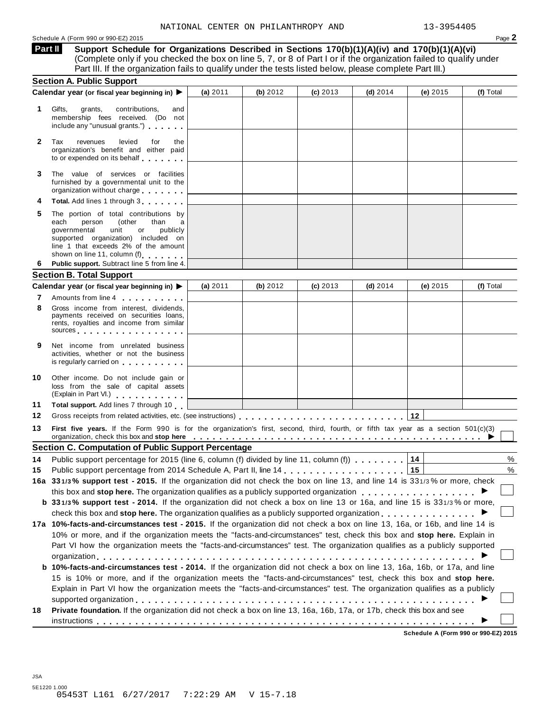**Support Schedule for Organizations Described in Sections 170(b)(1)(A)(iv) and 170(b)(1)(A)(vi)** (Complete only if you checked the box on line 5, 7, or 8 of Part I or if the organization failed to qualify under Part III. If the organization fails to qualify under the tests listed below, please complete Part III.) **Part II**

|              | <b>Section A. Public Support</b>                                                                                                                                                                                                                                                                                                                                    |            |          |            |            |            |           |
|--------------|---------------------------------------------------------------------------------------------------------------------------------------------------------------------------------------------------------------------------------------------------------------------------------------------------------------------------------------------------------------------|------------|----------|------------|------------|------------|-----------|
|              | Calendar year (or fiscal year beginning in) ▶                                                                                                                                                                                                                                                                                                                       | (a) 2011   | (b) 2012 | $(c)$ 2013 | (d) $2014$ | (e) 2015   | (f) Total |
| 1.           | Gifts,<br>grants,<br>contributions,<br>and<br>membership fees received. (Do not<br>include any "unusual grants.")                                                                                                                                                                                                                                                   |            |          |            |            |            |           |
| $\mathbf{2}$ | Tax<br>revenues<br>levied<br>for<br>the<br>organization's benefit and either paid<br>to or expended on its behalf                                                                                                                                                                                                                                                   |            |          |            |            |            |           |
| 3            | The value of services or facilities<br>furnished by a governmental unit to the<br>organization without charge                                                                                                                                                                                                                                                       |            |          |            |            |            |           |
| 4            | Total. Add lines 1 through 3                                                                                                                                                                                                                                                                                                                                        |            |          |            |            |            |           |
| 5            | The portion of total contributions by<br>each<br>person<br>(other<br>than<br>governmental<br>unit<br>or<br>publicly<br>supported organization) included on<br>line 1 that exceeds 2% of the amount<br>shown on line 11, column (f)                                                                                                                                  |            |          |            |            |            |           |
| 6            | Public support. Subtract line 5 from line 4.                                                                                                                                                                                                                                                                                                                        |            |          |            |            |            |           |
|              | <b>Section B. Total Support</b>                                                                                                                                                                                                                                                                                                                                     |            |          |            |            |            |           |
|              | Calendar year (or fiscal year beginning in) ▶                                                                                                                                                                                                                                                                                                                       | (a) $2011$ | (b) 2012 | $(c)$ 2013 | $(d)$ 2014 | (e) $2015$ | (f) Total |
| 7            | Amounts from line 4                                                                                                                                                                                                                                                                                                                                                 |            |          |            |            |            |           |
| 8            | Gross income from interest, dividends,<br>payments received on securities loans,<br>rents, royalties and income from similar<br>sources and the set of the set of the set of the set of the set of the set of the set of the set of the set of                                                                                                                      |            |          |            |            |            |           |
| 9            | Net income from unrelated business<br>activities, whether or not the business<br>is regularly carried on the control of the control of the control of the control of the control of the control o                                                                                                                                                                   |            |          |            |            |            |           |
| 10           | Other income. Do not include gain or<br>loss from the sale of capital assets<br>(Explain in Part VI.)                                                                                                                                                                                                                                                               |            |          |            |            |            |           |
| 11           | Total support. Add lines 7 through 10                                                                                                                                                                                                                                                                                                                               |            |          |            |            |            |           |
| 12           |                                                                                                                                                                                                                                                                                                                                                                     |            |          |            |            |            |           |
| 13           | First five years. If the Form 990 is for the organization's first, second, third, fourth, or fifth tax year as a section 501(c)(3)<br>organization, check this box and stop here entirely and the state of the state of the state of the state of the state of the state of the state of the state of the state of the state of the state of the state of the state |            |          |            |            |            |           |
|              | <b>Section C. Computation of Public Support Percentage</b>                                                                                                                                                                                                                                                                                                          |            |          |            |            |            |           |
| 14           | Public support percentage for 2015 (line 6, column (f) divided by line 11, column (f)                                                                                                                                                                                                                                                                               |            |          |            |            | 14         | $\%$      |
| 15           |                                                                                                                                                                                                                                                                                                                                                                     |            |          |            |            |            | %         |
|              | 16a 331/3% support test - 2015. If the organization did not check the box on line 13, and line 14 is 331/3% or more, check                                                                                                                                                                                                                                          |            |          |            |            |            |           |
|              | this box and stop here. The organization qualifies as a publicly supported organization                                                                                                                                                                                                                                                                             |            |          |            |            |            |           |
|              | b 331/3% support test - 2014. If the organization did not check a box on line 13 or 16a, and line 15 is 331/3% or more,                                                                                                                                                                                                                                             |            |          |            |            |            |           |
|              | check this box and stop here. The organization qualifies as a publicly supported organization                                                                                                                                                                                                                                                                       |            |          |            |            |            |           |
|              | 17a 10%-facts-and-circumstances test - 2015. If the organization did not check a box on line 13, 16a, or 16b, and line 14 is                                                                                                                                                                                                                                        |            |          |            |            |            |           |
|              | 10% or more, and if the organization meets the "facts-and-circumstances" test, check this box and stop here. Explain in                                                                                                                                                                                                                                             |            |          |            |            |            |           |
|              | Part VI how the organization meets the "facts-and-circumstances" test. The organization qualifies as a publicly supported                                                                                                                                                                                                                                           |            |          |            |            |            |           |
|              |                                                                                                                                                                                                                                                                                                                                                                     |            |          |            |            |            |           |
|              | b 10%-facts-and-circumstances test - 2014. If the organization did not check a box on line 13, 16a, 16b, or 17a, and line                                                                                                                                                                                                                                           |            |          |            |            |            |           |
|              | 15 is 10% or more, and if the organization meets the "facts-and-circumstances" test, check this box and stop here.                                                                                                                                                                                                                                                  |            |          |            |            |            |           |
|              | Explain in Part VI how the organization meets the "facts-and-circumstances" test. The organization qualifies as a publicly                                                                                                                                                                                                                                          |            |          |            |            |            |           |
| 18           | Private foundation. If the organization did not check a box on line 13, 16a, 16b, 17a, or 17b, check this box and see                                                                                                                                                                                                                                               |            |          |            |            |            |           |
|              |                                                                                                                                                                                                                                                                                                                                                                     |            |          |            |            |            |           |

**Schedule A (Form 990 or 990-EZ) 2015**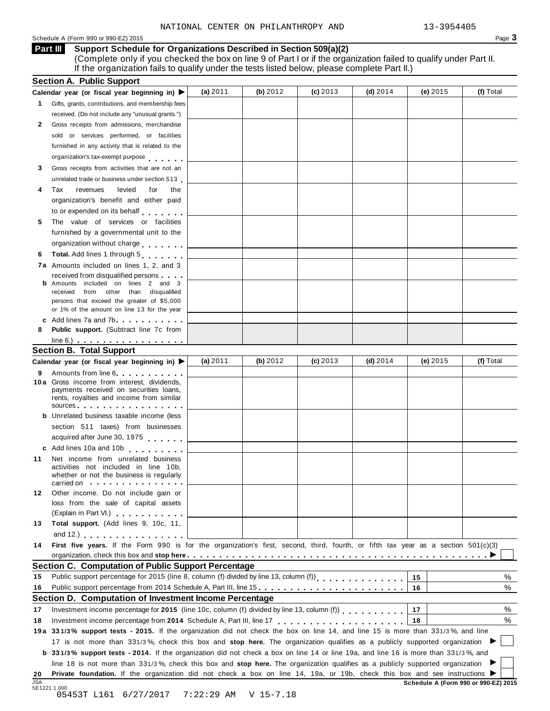#### Schedule <sup>A</sup> (Form <sup>990</sup> or 990-EZ) <sup>2015</sup> Page **3**

**Support Schedule for Organizations Described in Section 509(a)(2)** (Complete only if you checked the box on line 9 of Part I or if the organization failed to qualify under Part II. If the organization fails to qualify under the tests listed below, please complete Part II.) **Part III**

|                                                                                                                                                                                                                                                             | (a) 2011                                                                                                                                                                                                                                                                                                                                                                                                                                                                                                                                                                                                                                                                                                                                                                                                                                                                                                                                                                                                                                                                                                                                                                                                                                                                                                                                                       | (b) 2012 | $(c)$ 2013 | (d) $2014$ | (e) $2015$ | (f) Total                                                                                                                                        |
|-------------------------------------------------------------------------------------------------------------------------------------------------------------------------------------------------------------------------------------------------------------|----------------------------------------------------------------------------------------------------------------------------------------------------------------------------------------------------------------------------------------------------------------------------------------------------------------------------------------------------------------------------------------------------------------------------------------------------------------------------------------------------------------------------------------------------------------------------------------------------------------------------------------------------------------------------------------------------------------------------------------------------------------------------------------------------------------------------------------------------------------------------------------------------------------------------------------------------------------------------------------------------------------------------------------------------------------------------------------------------------------------------------------------------------------------------------------------------------------------------------------------------------------------------------------------------------------------------------------------------------------|----------|------------|------------|------------|--------------------------------------------------------------------------------------------------------------------------------------------------|
| Gifts, grants, contributions, and membership fees                                                                                                                                                                                                           |                                                                                                                                                                                                                                                                                                                                                                                                                                                                                                                                                                                                                                                                                                                                                                                                                                                                                                                                                                                                                                                                                                                                                                                                                                                                                                                                                                |          |            |            |            |                                                                                                                                                  |
| received. (Do not include any "unusual grants.")                                                                                                                                                                                                            |                                                                                                                                                                                                                                                                                                                                                                                                                                                                                                                                                                                                                                                                                                                                                                                                                                                                                                                                                                                                                                                                                                                                                                                                                                                                                                                                                                |          |            |            |            |                                                                                                                                                  |
| Gross receipts from admissions, merchandise                                                                                                                                                                                                                 |                                                                                                                                                                                                                                                                                                                                                                                                                                                                                                                                                                                                                                                                                                                                                                                                                                                                                                                                                                                                                                                                                                                                                                                                                                                                                                                                                                |          |            |            |            |                                                                                                                                                  |
| sold or services performed, or facilities                                                                                                                                                                                                                   |                                                                                                                                                                                                                                                                                                                                                                                                                                                                                                                                                                                                                                                                                                                                                                                                                                                                                                                                                                                                                                                                                                                                                                                                                                                                                                                                                                |          |            |            |            |                                                                                                                                                  |
| furnished in any activity that is related to the                                                                                                                                                                                                            |                                                                                                                                                                                                                                                                                                                                                                                                                                                                                                                                                                                                                                                                                                                                                                                                                                                                                                                                                                                                                                                                                                                                                                                                                                                                                                                                                                |          |            |            |            |                                                                                                                                                  |
|                                                                                                                                                                                                                                                             |                                                                                                                                                                                                                                                                                                                                                                                                                                                                                                                                                                                                                                                                                                                                                                                                                                                                                                                                                                                                                                                                                                                                                                                                                                                                                                                                                                |          |            |            |            |                                                                                                                                                  |
| Gross receipts from activities that are not an                                                                                                                                                                                                              |                                                                                                                                                                                                                                                                                                                                                                                                                                                                                                                                                                                                                                                                                                                                                                                                                                                                                                                                                                                                                                                                                                                                                                                                                                                                                                                                                                |          |            |            |            |                                                                                                                                                  |
|                                                                                                                                                                                                                                                             |                                                                                                                                                                                                                                                                                                                                                                                                                                                                                                                                                                                                                                                                                                                                                                                                                                                                                                                                                                                                                                                                                                                                                                                                                                                                                                                                                                |          |            |            |            |                                                                                                                                                  |
|                                                                                                                                                                                                                                                             |                                                                                                                                                                                                                                                                                                                                                                                                                                                                                                                                                                                                                                                                                                                                                                                                                                                                                                                                                                                                                                                                                                                                                                                                                                                                                                                                                                |          |            |            |            |                                                                                                                                                  |
|                                                                                                                                                                                                                                                             |                                                                                                                                                                                                                                                                                                                                                                                                                                                                                                                                                                                                                                                                                                                                                                                                                                                                                                                                                                                                                                                                                                                                                                                                                                                                                                                                                                |          |            |            |            |                                                                                                                                                  |
|                                                                                                                                                                                                                                                             |                                                                                                                                                                                                                                                                                                                                                                                                                                                                                                                                                                                                                                                                                                                                                                                                                                                                                                                                                                                                                                                                                                                                                                                                                                                                                                                                                                |          |            |            |            |                                                                                                                                                  |
|                                                                                                                                                                                                                                                             |                                                                                                                                                                                                                                                                                                                                                                                                                                                                                                                                                                                                                                                                                                                                                                                                                                                                                                                                                                                                                                                                                                                                                                                                                                                                                                                                                                |          |            |            |            |                                                                                                                                                  |
|                                                                                                                                                                                                                                                             |                                                                                                                                                                                                                                                                                                                                                                                                                                                                                                                                                                                                                                                                                                                                                                                                                                                                                                                                                                                                                                                                                                                                                                                                                                                                                                                                                                |          |            |            |            |                                                                                                                                                  |
|                                                                                                                                                                                                                                                             |                                                                                                                                                                                                                                                                                                                                                                                                                                                                                                                                                                                                                                                                                                                                                                                                                                                                                                                                                                                                                                                                                                                                                                                                                                                                                                                                                                |          |            |            |            |                                                                                                                                                  |
|                                                                                                                                                                                                                                                             |                                                                                                                                                                                                                                                                                                                                                                                                                                                                                                                                                                                                                                                                                                                                                                                                                                                                                                                                                                                                                                                                                                                                                                                                                                                                                                                                                                |          |            |            |            |                                                                                                                                                  |
|                                                                                                                                                                                                                                                             |                                                                                                                                                                                                                                                                                                                                                                                                                                                                                                                                                                                                                                                                                                                                                                                                                                                                                                                                                                                                                                                                                                                                                                                                                                                                                                                                                                |          |            |            |            |                                                                                                                                                  |
|                                                                                                                                                                                                                                                             |                                                                                                                                                                                                                                                                                                                                                                                                                                                                                                                                                                                                                                                                                                                                                                                                                                                                                                                                                                                                                                                                                                                                                                                                                                                                                                                                                                |          |            |            |            |                                                                                                                                                  |
|                                                                                                                                                                                                                                                             |                                                                                                                                                                                                                                                                                                                                                                                                                                                                                                                                                                                                                                                                                                                                                                                                                                                                                                                                                                                                                                                                                                                                                                                                                                                                                                                                                                |          |            |            |            |                                                                                                                                                  |
| received from other than disqualified                                                                                                                                                                                                                       |                                                                                                                                                                                                                                                                                                                                                                                                                                                                                                                                                                                                                                                                                                                                                                                                                                                                                                                                                                                                                                                                                                                                                                                                                                                                                                                                                                |          |            |            |            |                                                                                                                                                  |
| persons that exceed the greater of \$5,000                                                                                                                                                                                                                  |                                                                                                                                                                                                                                                                                                                                                                                                                                                                                                                                                                                                                                                                                                                                                                                                                                                                                                                                                                                                                                                                                                                                                                                                                                                                                                                                                                |          |            |            |            |                                                                                                                                                  |
| or 1% of the amount on line 13 for the year                                                                                                                                                                                                                 |                                                                                                                                                                                                                                                                                                                                                                                                                                                                                                                                                                                                                                                                                                                                                                                                                                                                                                                                                                                                                                                                                                                                                                                                                                                                                                                                                                |          |            |            |            |                                                                                                                                                  |
|                                                                                                                                                                                                                                                             |                                                                                                                                                                                                                                                                                                                                                                                                                                                                                                                                                                                                                                                                                                                                                                                                                                                                                                                                                                                                                                                                                                                                                                                                                                                                                                                                                                |          |            |            |            |                                                                                                                                                  |
| <b>Public support.</b> (Subtract line 7c from                                                                                                                                                                                                               |                                                                                                                                                                                                                                                                                                                                                                                                                                                                                                                                                                                                                                                                                                                                                                                                                                                                                                                                                                                                                                                                                                                                                                                                                                                                                                                                                                |          |            |            |            |                                                                                                                                                  |
| $line 6.)$ $\ldots$ $\ldots$ $\ldots$ $\ldots$ $\ldots$ $\ldots$                                                                                                                                                                                            |                                                                                                                                                                                                                                                                                                                                                                                                                                                                                                                                                                                                                                                                                                                                                                                                                                                                                                                                                                                                                                                                                                                                                                                                                                                                                                                                                                |          |            |            |            |                                                                                                                                                  |
|                                                                                                                                                                                                                                                             |                                                                                                                                                                                                                                                                                                                                                                                                                                                                                                                                                                                                                                                                                                                                                                                                                                                                                                                                                                                                                                                                                                                                                                                                                                                                                                                                                                |          |            |            |            |                                                                                                                                                  |
|                                                                                                                                                                                                                                                             |                                                                                                                                                                                                                                                                                                                                                                                                                                                                                                                                                                                                                                                                                                                                                                                                                                                                                                                                                                                                                                                                                                                                                                                                                                                                                                                                                                |          |            |            |            | (f) Total                                                                                                                                        |
| Amounts from line 6                                                                                                                                                                                                                                         |                                                                                                                                                                                                                                                                                                                                                                                                                                                                                                                                                                                                                                                                                                                                                                                                                                                                                                                                                                                                                                                                                                                                                                                                                                                                                                                                                                |          |            |            |            |                                                                                                                                                  |
|                                                                                                                                                                                                                                                             |                                                                                                                                                                                                                                                                                                                                                                                                                                                                                                                                                                                                                                                                                                                                                                                                                                                                                                                                                                                                                                                                                                                                                                                                                                                                                                                                                                |          |            |            |            |                                                                                                                                                  |
|                                                                                                                                                                                                                                                             |                                                                                                                                                                                                                                                                                                                                                                                                                                                                                                                                                                                                                                                                                                                                                                                                                                                                                                                                                                                                                                                                                                                                                                                                                                                                                                                                                                |          |            |            |            |                                                                                                                                                  |
| sources and the set of the set of the set of the set of the set of the set of the set of the set of the set of the set of the set of the set of the set of the set of the set of the set of the set of the set of the set of t                              |                                                                                                                                                                                                                                                                                                                                                                                                                                                                                                                                                                                                                                                                                                                                                                                                                                                                                                                                                                                                                                                                                                                                                                                                                                                                                                                                                                |          |            |            |            |                                                                                                                                                  |
|                                                                                                                                                                                                                                                             |                                                                                                                                                                                                                                                                                                                                                                                                                                                                                                                                                                                                                                                                                                                                                                                                                                                                                                                                                                                                                                                                                                                                                                                                                                                                                                                                                                |          |            |            |            |                                                                                                                                                  |
| section 511 taxes) from businesses                                                                                                                                                                                                                          |                                                                                                                                                                                                                                                                                                                                                                                                                                                                                                                                                                                                                                                                                                                                                                                                                                                                                                                                                                                                                                                                                                                                                                                                                                                                                                                                                                |          |            |            |            |                                                                                                                                                  |
|                                                                                                                                                                                                                                                             |                                                                                                                                                                                                                                                                                                                                                                                                                                                                                                                                                                                                                                                                                                                                                                                                                                                                                                                                                                                                                                                                                                                                                                                                                                                                                                                                                                |          |            |            |            |                                                                                                                                                  |
|                                                                                                                                                                                                                                                             |                                                                                                                                                                                                                                                                                                                                                                                                                                                                                                                                                                                                                                                                                                                                                                                                                                                                                                                                                                                                                                                                                                                                                                                                                                                                                                                                                                |          |            |            |            |                                                                                                                                                  |
|                                                                                                                                                                                                                                                             |                                                                                                                                                                                                                                                                                                                                                                                                                                                                                                                                                                                                                                                                                                                                                                                                                                                                                                                                                                                                                                                                                                                                                                                                                                                                                                                                                                |          |            |            |            |                                                                                                                                                  |
| activities not included in line 10b,                                                                                                                                                                                                                        |                                                                                                                                                                                                                                                                                                                                                                                                                                                                                                                                                                                                                                                                                                                                                                                                                                                                                                                                                                                                                                                                                                                                                                                                                                                                                                                                                                |          |            |            |            |                                                                                                                                                  |
| whether or not the business is regularly                                                                                                                                                                                                                    |                                                                                                                                                                                                                                                                                                                                                                                                                                                                                                                                                                                                                                                                                                                                                                                                                                                                                                                                                                                                                                                                                                                                                                                                                                                                                                                                                                |          |            |            |            |                                                                                                                                                  |
|                                                                                                                                                                                                                                                             |                                                                                                                                                                                                                                                                                                                                                                                                                                                                                                                                                                                                                                                                                                                                                                                                                                                                                                                                                                                                                                                                                                                                                                                                                                                                                                                                                                |          |            |            |            |                                                                                                                                                  |
|                                                                                                                                                                                                                                                             |                                                                                                                                                                                                                                                                                                                                                                                                                                                                                                                                                                                                                                                                                                                                                                                                                                                                                                                                                                                                                                                                                                                                                                                                                                                                                                                                                                |          |            |            |            |                                                                                                                                                  |
|                                                                                                                                                                                                                                                             |                                                                                                                                                                                                                                                                                                                                                                                                                                                                                                                                                                                                                                                                                                                                                                                                                                                                                                                                                                                                                                                                                                                                                                                                                                                                                                                                                                |          |            |            |            |                                                                                                                                                  |
|                                                                                                                                                                                                                                                             |                                                                                                                                                                                                                                                                                                                                                                                                                                                                                                                                                                                                                                                                                                                                                                                                                                                                                                                                                                                                                                                                                                                                                                                                                                                                                                                                                                |          |            |            |            |                                                                                                                                                  |
|                                                                                                                                                                                                                                                             |                                                                                                                                                                                                                                                                                                                                                                                                                                                                                                                                                                                                                                                                                                                                                                                                                                                                                                                                                                                                                                                                                                                                                                                                                                                                                                                                                                |          |            |            |            |                                                                                                                                                  |
|                                                                                                                                                                                                                                                             |                                                                                                                                                                                                                                                                                                                                                                                                                                                                                                                                                                                                                                                                                                                                                                                                                                                                                                                                                                                                                                                                                                                                                                                                                                                                                                                                                                |          |            |            |            |                                                                                                                                                  |
|                                                                                                                                                                                                                                                             |                                                                                                                                                                                                                                                                                                                                                                                                                                                                                                                                                                                                                                                                                                                                                                                                                                                                                                                                                                                                                                                                                                                                                                                                                                                                                                                                                                |          |            |            |            |                                                                                                                                                  |
|                                                                                                                                                                                                                                                             |                                                                                                                                                                                                                                                                                                                                                                                                                                                                                                                                                                                                                                                                                                                                                                                                                                                                                                                                                                                                                                                                                                                                                                                                                                                                                                                                                                |          |            |            |            |                                                                                                                                                  |
|                                                                                                                                                                                                                                                             |                                                                                                                                                                                                                                                                                                                                                                                                                                                                                                                                                                                                                                                                                                                                                                                                                                                                                                                                                                                                                                                                                                                                                                                                                                                                                                                                                                |          |            |            |            |                                                                                                                                                  |
| <b>Section C. Computation of Public Support Percentage</b>                                                                                                                                                                                                  |                                                                                                                                                                                                                                                                                                                                                                                                                                                                                                                                                                                                                                                                                                                                                                                                                                                                                                                                                                                                                                                                                                                                                                                                                                                                                                                                                                |          |            |            |            |                                                                                                                                                  |
| Public support percentage for 2015 (line 8, column (f) divided by line 13, column (f))<br>[11] reading for the 13, column (f) $\frac{1}{2}$ and $\frac{1}{2}$ and $\frac{1}{2}$ and $\frac{1}{2}$ and $\frac{1}{2}$ and $\frac{1}{2}$ and $\frac{1}{2}$ and |                                                                                                                                                                                                                                                                                                                                                                                                                                                                                                                                                                                                                                                                                                                                                                                                                                                                                                                                                                                                                                                                                                                                                                                                                                                                                                                                                                |          |            |            | 15         |                                                                                                                                                  |
| Public support percentage from 2014 Schedule A, Part III, line 15.                                                                                                                                                                                          |                                                                                                                                                                                                                                                                                                                                                                                                                                                                                                                                                                                                                                                                                                                                                                                                                                                                                                                                                                                                                                                                                                                                                                                                                                                                                                                                                                |          |            |            | 16         |                                                                                                                                                  |
| Section D. Computation of Investment Income Percentage                                                                                                                                                                                                      |                                                                                                                                                                                                                                                                                                                                                                                                                                                                                                                                                                                                                                                                                                                                                                                                                                                                                                                                                                                                                                                                                                                                                                                                                                                                                                                                                                |          |            |            |            |                                                                                                                                                  |
| Investment income percentage for 2015 (line 10c, column (f) divided by line 13, column (f)                                                                                                                                                                  |                                                                                                                                                                                                                                                                                                                                                                                                                                                                                                                                                                                                                                                                                                                                                                                                                                                                                                                                                                                                                                                                                                                                                                                                                                                                                                                                                                |          |            |            | 17         |                                                                                                                                                  |
|                                                                                                                                                                                                                                                             |                                                                                                                                                                                                                                                                                                                                                                                                                                                                                                                                                                                                                                                                                                                                                                                                                                                                                                                                                                                                                                                                                                                                                                                                                                                                                                                                                                |          |            |            | 18         |                                                                                                                                                  |
| 19a 331/3% support tests - 2015. If the organization did not check the box on line 14, and line 15 is more than 331/3%, and line                                                                                                                            |                                                                                                                                                                                                                                                                                                                                                                                                                                                                                                                                                                                                                                                                                                                                                                                                                                                                                                                                                                                                                                                                                                                                                                                                                                                                                                                                                                |          |            |            |            |                                                                                                                                                  |
| 17 is not more than 331/3%, check this box and stop here. The organization qualifies as a publicly supported organization                                                                                                                                   |                                                                                                                                                                                                                                                                                                                                                                                                                                                                                                                                                                                                                                                                                                                                                                                                                                                                                                                                                                                                                                                                                                                                                                                                                                                                                                                                                                |          |            |            |            |                                                                                                                                                  |
|                                                                                                                                                                                                                                                             |                                                                                                                                                                                                                                                                                                                                                                                                                                                                                                                                                                                                                                                                                                                                                                                                                                                                                                                                                                                                                                                                                                                                                                                                                                                                                                                                                                |          |            |            |            |                                                                                                                                                  |
| <b>b</b> 331/3% support tests - 2014. If the organization did not check a box on line 14 or line 19a, and line 16 is more than 331/3%, and                                                                                                                  |                                                                                                                                                                                                                                                                                                                                                                                                                                                                                                                                                                                                                                                                                                                                                                                                                                                                                                                                                                                                                                                                                                                                                                                                                                                                                                                                                                |          |            |            |            | %<br>%<br>%<br>%                                                                                                                                 |
| line 18 is not more than 331/3%, check this box and stop here. The organization qualifies as a publicly supported organization<br>Private foundation. If the organization did not check a box on line 14, 19a, or 19b, check this box and see instructions  |                                                                                                                                                                                                                                                                                                                                                                                                                                                                                                                                                                                                                                                                                                                                                                                                                                                                                                                                                                                                                                                                                                                                                                                                                                                                                                                                                                |          |            |            |            |                                                                                                                                                  |
|                                                                                                                                                                                                                                                             | <b>Section A. Public Support</b><br>Calendar year (or fiscal year beginning in) $\blacktriangleright$<br>organization's tax-exempt purpose<br>unrelated trade or business under section 513<br>levied<br>Tax<br>revenues<br>for<br>the<br>organization's benefit and either paid<br>to or expended on its behalf<br>The value of services or facilities<br>furnished by a governmental unit to the<br>organization without charge<br>Total. Add lines 1 through 5<br><b>7a</b> Amounts included on lines 1, 2, and 3<br>received from disqualified persons<br><b>b</b> Amounts included on lines 2 and 3<br>c Add lines 7a and 7b<br><b>Section B. Total Support</b><br>Calendar year (or fiscal year beginning in) ▶<br>10a Gross income from interest, dividends,<br>payments received on securities loans,<br>rents, royalties and income from similar<br><b>b</b> Unrelated business taxable income (less<br>acquired after June 30, 1975<br>c Add lines 10a and 10b<br>Net income from unrelated business<br>carried on with the state of the state of the state of the state of the state of the state of the state of the<br>Other income. Do not include gain or<br>loss from the sale of capital assets<br>(Explain in Part VI.) <b>All Accords</b><br>Total support. (Add lines 9, 10c, 11,<br>and 12.) $\cdots$ $\cdots$ $\cdots$ $\cdots$ $\cdots$ | (a) 2011 | (b) $2012$ | $(c)$ 2013 | (d) $2014$ | (e) $2015$<br>First five years. If the Form 990 is for the organization's first, second, third, fourth, or fifth tax year as a section 501(c)(3) |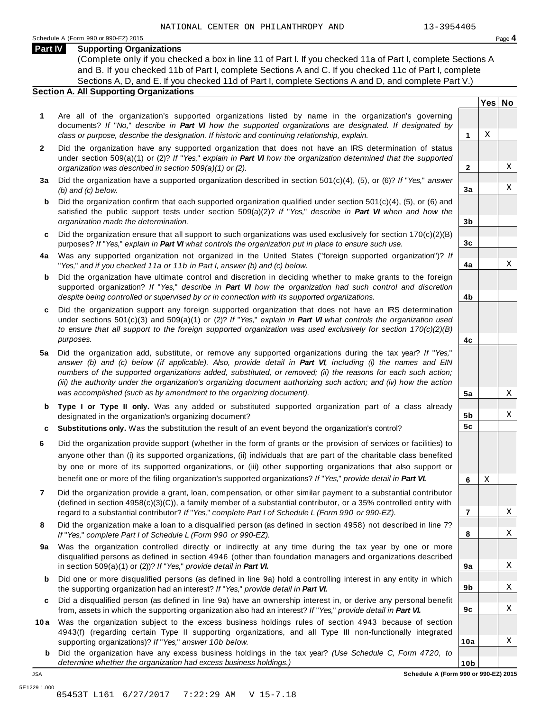### **Part IV Supporting Organizations**

(Complete only if you checked a box in line 11 of Part I. If you checked 11a of Part I, complete Sections A and B. If you checked 11b of Part I, complete Sections A and C. If you checked 11c of Part I, complete Sections A, D, and E. If you checked 11d of Part I, complete Sections A and D, and complete Part V.)

#### **Section A. All Supporting Organizations**

- **1** Are all of the organization's supported organizations listed by name in the organization's governing documents? *If* "*No,*" *describe in Part VI how the supported organizations are designated. If designated by class or purpose, describe the designation. If historic and continuing relationship, explain.* **1**
- **2** Did the organization have any supported organization that does not have an IRS determination of status under section 509(a)(1) or (2)? *If*"*Yes,*" *explain in Part VI how the organization determined that the supported organization was described in section 509(a)(1) or (2).*
- **3 a** Did the organization have a supported organization described in section 501(c)(4), (5), or (6)? *If* "*Yes,*" *answer (b) and (c) below.*
- **b** Did the organization confirm that each supported organization qualified under section 501(c)(4), (5), or (6) and | satisfied the public support tests under section 509(a)(2)? *If* "*Yes,*" *describe in Part VI when and how the organization made the determination.*
- **c** Did the organization ensure that all support to such organizations was used exclusively for section 170(c)(2)(B) purposes? *If*"*Yes,*" *explain in Part VI what controls the organization put in place to ensure such use.*
- **4 a** Was any supported organization not organized in the United States ("foreign supported organization")? *If* "*Yes,*" *and if you checked 11a or 11b in Part I, answer (b) and (c) below.*
- **b** Did the organization have ultimate control and discretion in deciding whether to make grants to the foreign | supported organization? *If* "*Yes,*" *describe in Part VI how the organization had such control and discretion despite being controlled or supervised by or in connection with its supported organizations.*
- **c** Did the organization support any foreign supported organization that does not have an IRS determination | under sections 501(c)(3) and 509(a)(1) or (2)? *If* "*Yes,*" *explain in Part VI what controls the organization used to ensure that all support to the foreign supported organization was used exclusively for section 170(c)(2)(B) purposes.*
- **5 a** Did the organization add, substitute, or remove any supported organizations during the tax year? *If* "*Yes,*" answer (b) and (c) below (if applicable). Also, provide detail in Part VI, including (i) the names and EIN *numbers of the supported organizations added, substituted, or removed; (ii) the reasons for each such action;* (iii) the authority under the organization's organizing document authorizing such action; and (iv) how the action *was accomplished (such as by amendment to the organizing document).*
- **b** Type I or Type II only. Was any added or substituted supported organization part of a class already | designated in the organization's organizing document?
- **c Substitutions only.** Was the substitution the result of an event beyond the organization's control?
- **6** Did the organization provide support (whether in the form of grants or the provision of services or facilities) to anyone other than (i) its supported organizations, (ii) individuals that are part of the charitable class benefited by one or more of its supported organizations, or (iii) other supporting organizations that also support or benefit one or more of the filing organization's supported organizations? *If*"*Yes,*" *provide detail in Part VI.*
- **7** Did the organization provide a grant, loan, compensation, or other similar payment to a substantial contributor (defined in section 4958(c)(3)(C)), a family member of a substantial contributor, or a 35% controlled entity with regard to a substantial contributor? *If*"*Yes,*" *complete Part I of Schedule L (Form 990 or 990-EZ).*
- **8** Did the organization make a loan to a disqualified person (as defined in section 4958) not described in line 7? *If* "*Yes,*" *complete Part I of Schedule L (Form 990 or 990-EZ).*
- **a** Was the organization controlled directly or indirectly at any time during the tax year by one or more | **9** disqualified persons as defined in section 4946 (other than foundation managers and organizations described in section 509(a)(1) or (2))? *If*"*Yes,*" *provide detail in Part VI.*
- **b** Did one or more disqualified persons (as defined in line 9a) hold a controlling interest in any entity in which | the supporting organization had an interest? *If*"*Yes,*" *provide detail in Part VI.*
- **c** Did a disqualified person (as defined in line 9a) have an ownership interest in, or derive any personal benefit from, assets in which the supporting organization also had an interest? *If*"*Yes,*" *provide detail in Part VI.*
- **10a** Was the organization subject to the excess business holdings rules of section 4943 because of section | 4943(f) (regarding certain Type II supporting organizations, and all Type III non-functionally integrated supporting organizations)? *If*"*Yes,*" *answer 10b below.*
	- **b** Did the organization have any excess business holdings in the tax year? *(Use Schedule C, Form 4720, to determine whether the organization had excess business holdings.)*

**Yes No**

X

X

X

X

X

X

X

X

X

X

X

X

**2**

**3a**

**3b**

**3c**

**4a**

**4b**

**4c**

**5a**

**5b 5c**

**6**

X

**7**

**8**

**9a**

**9b**

**9c**

**10a**

**10b** JSA **Schedule A (Form 990 or 990-EZ) 2015**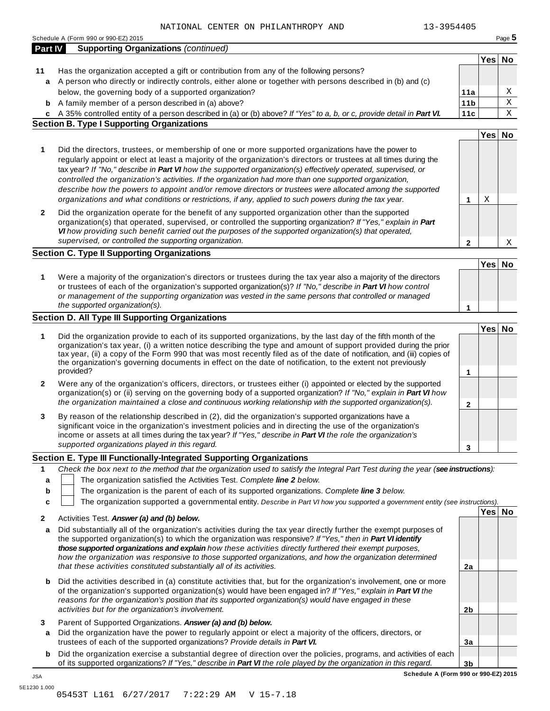|              | 13-3954405<br>NATIONAL CENTER ON PHILANTHROPY AND                                                                                                                                                                                                                                                                                                                                                                                                                           |                 |        |             |
|--------------|-----------------------------------------------------------------------------------------------------------------------------------------------------------------------------------------------------------------------------------------------------------------------------------------------------------------------------------------------------------------------------------------------------------------------------------------------------------------------------|-----------------|--------|-------------|
|              | Schedule A (Form 990 or 990-EZ) 2015                                                                                                                                                                                                                                                                                                                                                                                                                                        |                 |        | Page 5      |
| Part IV      | <b>Supporting Organizations (continued)</b>                                                                                                                                                                                                                                                                                                                                                                                                                                 |                 |        |             |
|              |                                                                                                                                                                                                                                                                                                                                                                                                                                                                             |                 | Yes    | No          |
| 11           | Has the organization accepted a gift or contribution from any of the following persons?                                                                                                                                                                                                                                                                                                                                                                                     |                 |        |             |
| a            | A person who directly or indirectly controls, either alone or together with persons described in (b) and (c)                                                                                                                                                                                                                                                                                                                                                                |                 |        |             |
|              | below, the governing body of a supported organization?                                                                                                                                                                                                                                                                                                                                                                                                                      | 11a             |        | Χ           |
| b            | A family member of a person described in (a) above?                                                                                                                                                                                                                                                                                                                                                                                                                         | 11 <sub>b</sub> |        | $\mathbf X$ |
|              | c A 35% controlled entity of a person described in (a) or (b) above? If "Yes" to a, b, or c, provide detail in Part VI.                                                                                                                                                                                                                                                                                                                                                     | 11c             |        | X           |
|              | <b>Section B. Type I Supporting Organizations</b>                                                                                                                                                                                                                                                                                                                                                                                                                           |                 |        |             |
|              |                                                                                                                                                                                                                                                                                                                                                                                                                                                                             |                 | Yes No |             |
| 1            | Did the directors, trustees, or membership of one or more supported organizations have the power to                                                                                                                                                                                                                                                                                                                                                                         |                 |        |             |
|              | regularly appoint or elect at least a majority of the organization's directors or trustees at all times during the<br>tax year? If "No," describe in Part VI how the supported organization(s) effectively operated, supervised, or                                                                                                                                                                                                                                         |                 |        |             |
|              | controlled the organization's activities. If the organization had more than one supported organization,<br>describe how the powers to appoint and/or remove directors or trustees were allocated among the supported                                                                                                                                                                                                                                                        |                 |        |             |
|              | organizations and what conditions or restrictions, if any, applied to such powers during the tax year.                                                                                                                                                                                                                                                                                                                                                                      | 1               | Χ      |             |
| $\mathbf{2}$ | Did the organization operate for the benefit of any supported organization other than the supported<br>organization(s) that operated, supervised, or controlled the supporting organization? If "Yes," explain in Part<br>VI how providing such benefit carried out the purposes of the supported organization(s) that operated,                                                                                                                                            |                 |        |             |
|              | supervised, or controlled the supporting organization.                                                                                                                                                                                                                                                                                                                                                                                                                      | 2               |        | Χ           |
|              | <b>Section C. Type II Supporting Organizations</b>                                                                                                                                                                                                                                                                                                                                                                                                                          |                 |        |             |
|              |                                                                                                                                                                                                                                                                                                                                                                                                                                                                             |                 | Yes No |             |
|              |                                                                                                                                                                                                                                                                                                                                                                                                                                                                             |                 |        |             |
| 1            | Were a majority of the organization's directors or trustees during the tax year also a majority of the directors<br>or trustees of each of the organization's supported organization(s)? If "No," describe in Part VI how control                                                                                                                                                                                                                                           |                 |        |             |
|              | or management of the supporting organization was vested in the same persons that controlled or managed<br>the supported organization(s).                                                                                                                                                                                                                                                                                                                                    |                 |        |             |
|              |                                                                                                                                                                                                                                                                                                                                                                                                                                                                             | 1               |        |             |
|              | Section D. All Type III Supporting Organizations                                                                                                                                                                                                                                                                                                                                                                                                                            |                 |        |             |
| 1            | Did the organization provide to each of its supported organizations, by the last day of the fifth month of the<br>organization's tax year, (i) a written notice describing the type and amount of support provided during the prior<br>tax year, (ii) a copy of the Form 990 that was most recently filed as of the date of notification, and (iii) copies of<br>the organization's governing documents in effect on the date of notification, to the extent not previously |                 | Yes No |             |
|              | provided?                                                                                                                                                                                                                                                                                                                                                                                                                                                                   | 1               |        |             |
| 2            | Were any of the organization's officers, directors, or trustees either (i) appointed or elected by the supported<br>organization(s) or (ii) serving on the governing body of a supported organization? If "No," explain in Part VI how                                                                                                                                                                                                                                      |                 |        |             |
|              | the organization maintained a close and continuous working relationship with the supported organization(s).                                                                                                                                                                                                                                                                                                                                                                 | $\mathbf 2$     |        |             |
| 3            | By reason of the relationship described in (2), did the organization's supported organizations have a<br>significant voice in the organization's investment policies and in directing the use of the organization's                                                                                                                                                                                                                                                         |                 |        |             |
|              | income or assets at all times during the tax year? If "Yes," describe in Part VI the role the organization's                                                                                                                                                                                                                                                                                                                                                                |                 |        |             |
|              | supported organizations played in this regard.                                                                                                                                                                                                                                                                                                                                                                                                                              | 3               |        |             |
|              | Section E. Type III Functionally-Integrated Supporting Organizations                                                                                                                                                                                                                                                                                                                                                                                                        |                 |        |             |
| 1            | Check the box next to the method that the organization used to satisfy the Integral Part Test during the year (see instructions):                                                                                                                                                                                                                                                                                                                                           |                 |        |             |
|              | The organization satisfied the Activities Test. Complete line 2 below.                                                                                                                                                                                                                                                                                                                                                                                                      |                 |        |             |
| а            | The organization is the parent of each of its supported organizations. Complete line 3 below.                                                                                                                                                                                                                                                                                                                                                                               |                 |        |             |
| b            |                                                                                                                                                                                                                                                                                                                                                                                                                                                                             |                 |        |             |
| c            | The organization supported a governmental entity. Describe in Part VI how you supported a government entity (see instructions).                                                                                                                                                                                                                                                                                                                                             |                 |        |             |
| 2            | Activities Test. Answer (a) and (b) below.                                                                                                                                                                                                                                                                                                                                                                                                                                  |                 | Yes No |             |
| a            | Did substantially all of the organization's activities during the tax year directly further the exempt purposes of<br>the supported organization(s) to which the organization was responsive? If "Yes," then in Part VI identify<br>those supported organizations and explain how these activities directly furthered their exempt purposes,                                                                                                                                |                 |        |             |
|              | how the organization was responsive to those supported organizations, and how the organization determined<br>that these activities constituted substantially all of its activities.                                                                                                                                                                                                                                                                                         | 2a              |        |             |
| b            | Did the activities described in (a) constitute activities that, but for the organization's involvement, one or more<br>of the organization's supported organization(s) would have been engaged in? If "Yes," explain in Part VI the<br>reasons for the organization's position that its supported organization(s) would have engaged in these                                                                                                                               |                 |        |             |
|              | activities but for the organization's involvement.                                                                                                                                                                                                                                                                                                                                                                                                                          | 2 <sub>b</sub>  |        |             |
| 3            | Parent of Supported Organizations. Answer (a) and (b) below.                                                                                                                                                                                                                                                                                                                                                                                                                |                 |        |             |
|              | Did the erganization have the nower to requierly appoint or elect a majority of the officers directors, or                                                                                                                                                                                                                                                                                                                                                                  |                 |        |             |

- **a** Did the organization have the power to regularly appoint or elect a majority of the officers, directors, or trustees of each of the supported organizations? *Provide details in Part VI.*
- **b** Did the organization exercise a substantial degree of direction over the policies, programs, and activities of each of its supported organizations? *If"Yes," describe in Part VI the role played by the organization in this regard.*

**3b Schedule A (Form 990 or 990-EZ) 2015**

**3a**

JSA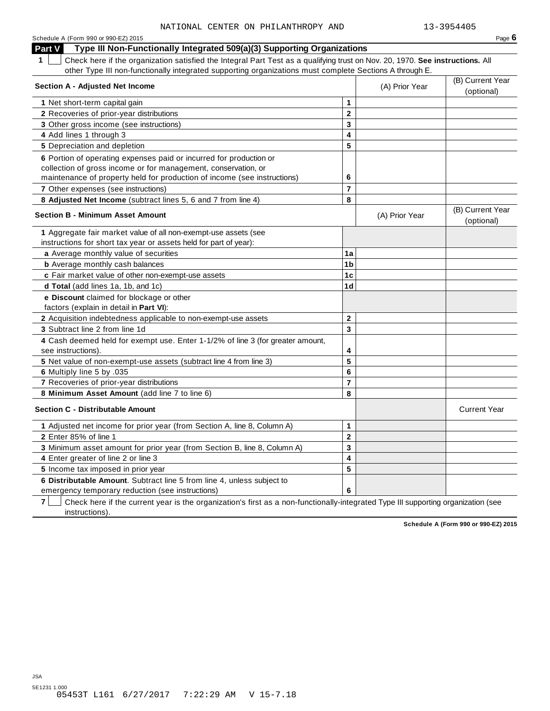| Schedule A (Form 990 or 990-EZ) 2015                                                                                                                                                                                                     |        |                | Page 6                         |
|------------------------------------------------------------------------------------------------------------------------------------------------------------------------------------------------------------------------------------------|--------|----------------|--------------------------------|
| Type III Non-Functionally Integrated 509(a)(3) Supporting Organizations<br>Part V                                                                                                                                                        |        |                |                                |
| Check here if the organization satisfied the Integral Part Test as a qualifying trust on Nov. 20, 1970. See instructions. All<br>other Type III non-functionally integrated supporting organizations must complete Sections A through E. |        |                |                                |
| <b>Section A - Adjusted Net Income</b>                                                                                                                                                                                                   |        | (A) Prior Year | (B) Current Year<br>(optional) |
| 1 Net short-term capital gain                                                                                                                                                                                                            |        |                |                                |
| 2 Recoveries of prior-year distributions                                                                                                                                                                                                 | ◠      |                |                                |
|                                                                                                                                                                                                                                          | $\sim$ |                |                                |

| 1 Net short-term capital gain                                                                                                        | 1                       |                |                                |
|--------------------------------------------------------------------------------------------------------------------------------------|-------------------------|----------------|--------------------------------|
| 2 Recoveries of prior-year distributions                                                                                             | $\overline{2}$          |                |                                |
| 3 Other gross income (see instructions)                                                                                              | 3                       |                |                                |
| 4 Add lines 1 through 3                                                                                                              | $\overline{\mathbf{4}}$ |                |                                |
| 5 Depreciation and depletion                                                                                                         | 5                       |                |                                |
| 6 Portion of operating expenses paid or incurred for production or                                                                   |                         |                |                                |
| collection of gross income or for management, conservation, or                                                                       |                         |                |                                |
| maintenance of property held for production of income (see instructions)                                                             | 6                       |                |                                |
| 7 Other expenses (see instructions)                                                                                                  | $\overline{7}$          |                |                                |
| 8 Adjusted Net Income (subtract lines 5, 6 and 7 from line 4)                                                                        | 8                       |                |                                |
| <b>Section B - Minimum Asset Amount</b>                                                                                              |                         | (A) Prior Year | (B) Current Year<br>(optional) |
| 1 Aggregate fair market value of all non-exempt-use assets (see<br>instructions for short tax year or assets held for part of year): |                         |                |                                |
| a Average monthly value of securities                                                                                                | 1a                      |                |                                |
| <b>b</b> Average monthly cash balances                                                                                               | 1 <sub>b</sub>          |                |                                |
| c Fair market value of other non-exempt-use assets                                                                                   | 1c                      |                |                                |
| d Total (add lines 1a, 1b, and 1c)                                                                                                   | 1 <sub>d</sub>          |                |                                |
| e Discount claimed for blockage or other                                                                                             |                         |                |                                |
| factors (explain in detail in Part VI):                                                                                              |                         |                |                                |
| 2 Acquisition indebtedness applicable to non-exempt-use assets                                                                       | $\mathbf 2$             |                |                                |
| 3 Subtract line 2 from line 1d                                                                                                       | 3                       |                |                                |
| 4 Cash deemed held for exempt use. Enter 1-1/2% of line 3 (for greater amount,<br>see instructions).                                 | 4                       |                |                                |
| 5 Net value of non-exempt-use assets (subtract line 4 from line 3)                                                                   | 5                       |                |                                |
| 6 Multiply line 5 by .035                                                                                                            | 6                       |                |                                |
| 7 Recoveries of prior-year distributions                                                                                             | 7                       |                |                                |
| 8 Minimum Asset Amount (add line 7 to line 6)                                                                                        | 8                       |                |                                |
| Section C - Distributable Amount                                                                                                     |                         |                | <b>Current Year</b>            |
| 1 Adjusted net income for prior year (from Section A, line 8, Column A)                                                              | 1                       |                |                                |
| 2 Enter 85% of line 1                                                                                                                | $\overline{2}$          |                |                                |
| 3 Minimum asset amount for prior year (from Section B, line 8, Column A)                                                             | 3                       |                |                                |
| 4 Enter greater of line 2 or line 3                                                                                                  | 4                       |                |                                |
| 5 Income tax imposed in prior year                                                                                                   | 5                       |                |                                |
| 6 Distributable Amount. Subtract line 5 from line 4, unless subject to                                                               |                         |                |                                |
| emergency temporary reduction (see instructions)                                                                                     | 6                       |                |                                |

**7** Check here if the current year is the organization's first as a non-functionally-integrated Type III supporting organization (see instructions).

**Schedule A (Form 990 or 990-EZ) 2015**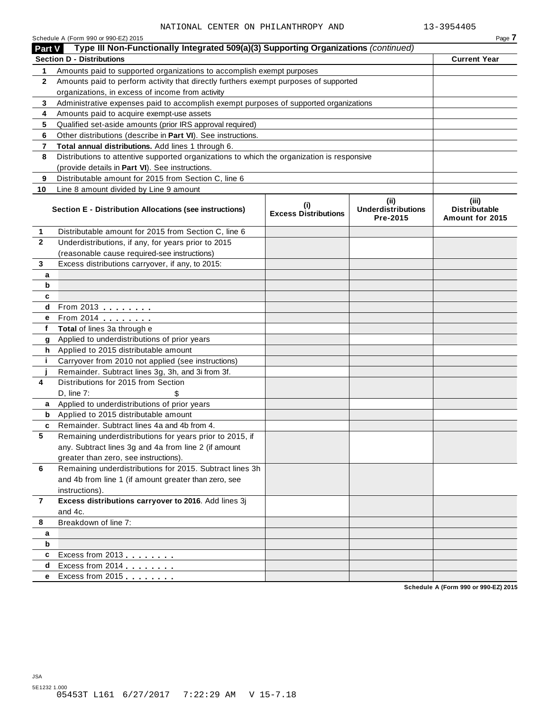| Part V       | Schedule A (Form 990 or 990-EZ) 2015<br>Type III Non-Functionally Integrated 509(a)(3) Supporting Organizations (continued) |                                    |                                               | Page 7                                           |
|--------------|-----------------------------------------------------------------------------------------------------------------------------|------------------------------------|-----------------------------------------------|--------------------------------------------------|
|              | <b>Section D - Distributions</b>                                                                                            |                                    |                                               | <b>Current Year</b>                              |
| 1            | Amounts paid to supported organizations to accomplish exempt purposes                                                       |                                    |                                               |                                                  |
| $\mathbf{2}$ | Amounts paid to perform activity that directly furthers exempt purposes of supported                                        |                                    |                                               |                                                  |
|              | organizations, in excess of income from activity                                                                            |                                    |                                               |                                                  |
| 3            | Administrative expenses paid to accomplish exempt purposes of supported organizations                                       |                                    |                                               |                                                  |
| 4            | Amounts paid to acquire exempt-use assets                                                                                   |                                    |                                               |                                                  |
| 5            | Qualified set-aside amounts (prior IRS approval required)                                                                   |                                    |                                               |                                                  |
| 6            | Other distributions (describe in Part VI). See instructions.                                                                |                                    |                                               |                                                  |
| 7            | Total annual distributions. Add lines 1 through 6.                                                                          |                                    |                                               |                                                  |
| 8            | Distributions to attentive supported organizations to which the organization is responsive                                  |                                    |                                               |                                                  |
|              | (provide details in Part VI). See instructions.                                                                             |                                    |                                               |                                                  |
| 9            | Distributable amount for 2015 from Section C, line 6                                                                        |                                    |                                               |                                                  |
| 10           | Line 8 amount divided by Line 9 amount                                                                                      |                                    |                                               |                                                  |
|              | Section E - Distribution Allocations (see instructions)                                                                     | (i)<br><b>Excess Distributions</b> | (ii)<br><b>Underdistributions</b><br>Pre-2015 | (iii)<br><b>Distributable</b><br>Amount for 2015 |
| 1            | Distributable amount for 2015 from Section C, line 6                                                                        |                                    |                                               |                                                  |
| 2            | Underdistributions, if any, for years prior to 2015                                                                         |                                    |                                               |                                                  |
|              | (reasonable cause required-see instructions)                                                                                |                                    |                                               |                                                  |
| 3            | Excess distributions carryover, if any, to 2015:                                                                            |                                    |                                               |                                                  |
| а            |                                                                                                                             |                                    |                                               |                                                  |
| b            |                                                                                                                             |                                    |                                               |                                                  |
| c            |                                                                                                                             |                                    |                                               |                                                  |
| d            | From 2013                                                                                                                   |                                    |                                               |                                                  |
| е            | From 2014 <b></b>                                                                                                           |                                    |                                               |                                                  |
| f            | Total of lines 3a through e                                                                                                 |                                    |                                               |                                                  |
| g            | Applied to underdistributions of prior years                                                                                |                                    |                                               |                                                  |
| h.           | Applied to 2015 distributable amount                                                                                        |                                    |                                               |                                                  |
| j.           | Carryover from 2010 not applied (see instructions)                                                                          |                                    |                                               |                                                  |
|              | Remainder. Subtract lines 3g, 3h, and 3i from 3f.                                                                           |                                    |                                               |                                                  |
| 4            | Distributions for 2015 from Section                                                                                         |                                    |                                               |                                                  |
|              | D, line 7:                                                                                                                  |                                    |                                               |                                                  |
| a            | Applied to underdistributions of prior years                                                                                |                                    |                                               |                                                  |
| b            | Applied to 2015 distributable amount                                                                                        |                                    |                                               |                                                  |
| c            | Remainder. Subtract lines 4a and 4b from 4.                                                                                 |                                    |                                               |                                                  |
| 5            | Remaining underdistributions for years prior to 2015, if                                                                    |                                    |                                               |                                                  |
|              | any. Subtract lines 3g and 4a from line 2 (if amount                                                                        |                                    |                                               |                                                  |
|              | greater than zero, see instructions).                                                                                       |                                    |                                               |                                                  |
| 6            | Remaining underdistributions for 2015. Subtract lines 3h                                                                    |                                    |                                               |                                                  |
|              | and 4b from line 1 (if amount greater than zero, see                                                                        |                                    |                                               |                                                  |
|              | instructions).                                                                                                              |                                    |                                               |                                                  |
| 7            | Excess distributions carryover to 2016. Add lines 3j                                                                        |                                    |                                               |                                                  |
|              | and 4c.                                                                                                                     |                                    |                                               |                                                  |
| 8            | Breakdown of line 7:                                                                                                        |                                    |                                               |                                                  |
| a            |                                                                                                                             |                                    |                                               |                                                  |
| b            |                                                                                                                             |                                    |                                               |                                                  |
| c            | Excess from 2013                                                                                                            |                                    |                                               |                                                  |
| d            | Excess from 2014                                                                                                            |                                    |                                               |                                                  |
| е            | Excess from 2015                                                                                                            |                                    |                                               |                                                  |

**Schedule A (Form 990 or 990-EZ) 2015**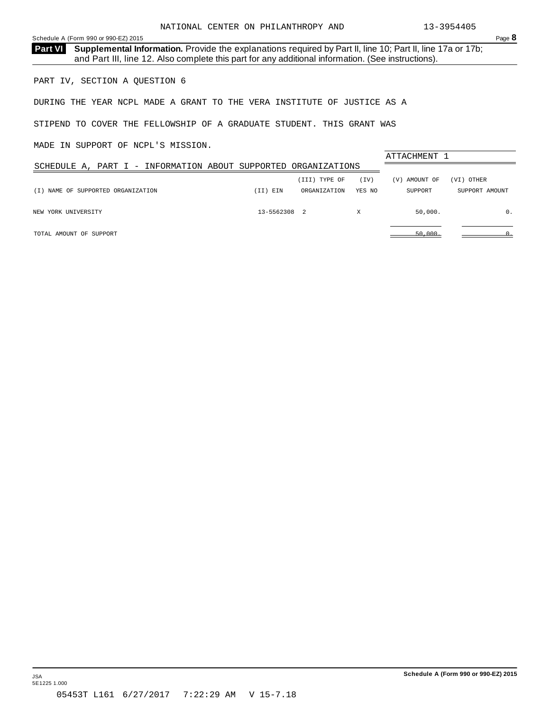<span id="page-21-0"></span>**Part VI** Supplemental Information. Provide the explanations required by Part II, line 10; Part II, line 17a or 17b; and Part III, line 12. Also complete this part for any additional information. (See instructions).

PART IV, SECTION A QUESTION 6

DURING THE YEAR NCPL MADE A GRANT TO THE VERA INSTITUTE OF JUSTICE AS A

STIPEND TO COVER THE FELLOWSHIP OF A GRADUATE STUDENT. THIS GRANT WAS

MADE IN SUPPORT OF NCPL'S MISSION.

|                                                                |              |               |        | ATTACHMENT 1  |                |
|----------------------------------------------------------------|--------------|---------------|--------|---------------|----------------|
| SCHEDULE A, PART I - INFORMATION ABOUT SUPPORTED ORGANIZATIONS |              |               |        |               |                |
|                                                                |              | (III) TYPE OF | (TV)   | (V) AMOUNT OF | (VI) OTHER     |
| NAME OF SUPPORTED ORGANIZATION<br>(T)                          | (II) EIN     | ORGANIZATION  | YES NO | SUPPORT       | SUPPORT AMOUNT |
|                                                                |              |               |        |               |                |
| NEW YORK UNIVERSITY                                            | 13-5562308 2 |               | Χ      | 50,000.       | 0.             |
|                                                                |              |               |        |               |                |
| TOTAL AMOUNT OF SUPPORT                                        |              |               |        | 50,000        |                |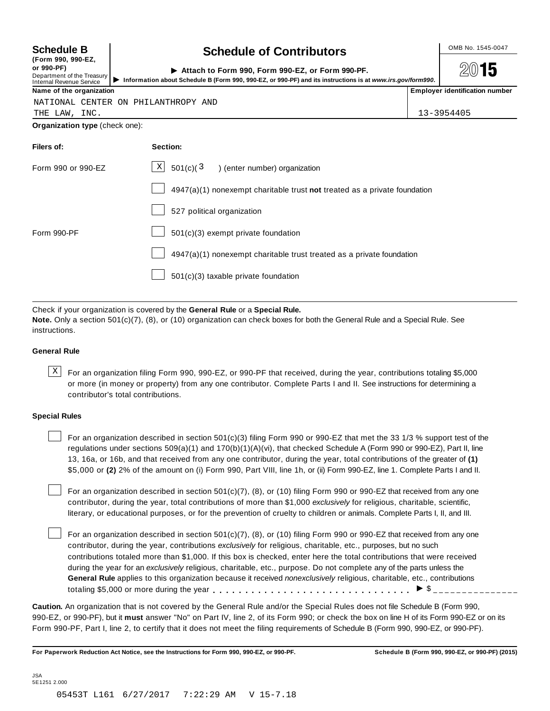| <b>Schedule B</b>             | <b>Schedule of Contributors</b> | OMB No. 1545-0047 |
|-------------------------------|---------------------------------|-------------------|
| $\sqrt{2}$ and and $\sqrt{2}$ |                                 |                   |

|  |            | (FORM 990, 990-EZ, |
|--|------------|--------------------|
|  | or 990-PF) |                    |

#### **(Form 990, 990-EZ,**

Department of the Treasury

or 990-PF)<br>Department of the Treasury<br>Internal Revenue Service **Department of the Treasury** Information about Schedule B (Form 990, 990-EZ, or 990-PF) and its instructions is at www.irs.gov/form990.<br>Name of the organizatio

NATIONAL CENTER ON PHILANTHROPY AND

2015

|  | 12.20001100 |  |
|--|-------------|--|

THE LAW, INC. 13-3954405

**Organization type** (check one):

| Filers of:         | Section:                                                                  |
|--------------------|---------------------------------------------------------------------------|
| Form 990 or 990-EZ | $\boxed{\text{X}}$ 501(c)(3) (enter number) organization                  |
|                    | 4947(a)(1) nonexempt charitable trust not treated as a private foundation |
|                    | 527 political organization                                                |
| Form 990-PF        | 501(c)(3) exempt private foundation                                       |
|                    | 4947(a)(1) nonexempt charitable trust treated as a private foundation     |
|                    | 501(c)(3) taxable private foundation                                      |

Check if your organization is covered by the **General Rule** or a **Special Rule.**

**Note.** Only a section 501(c)(7), (8), or (10) organization can check boxes for both the General Rule and a Special Rule. See instructions.

#### **General Rule**

 $\text{X}$  For an organization filing Form 990, 990-EZ, or 990-PF that received, during the year, contributions totaling \$5,000 or more (in money or property) from any one contributor. Complete Parts I and II. See instructions for determining a contributor's total contributions.

#### **Special Rules**

For an organization described in section 501(c)(3) filing Form 990 or 990-EZ that met the 33 1/3 % support test of the regulations under sections 509(a)(1) and 170(b)(1)(A)(vi), that checked Schedule A (Form 990 or 990-EZ), Part II, line 13, 16a, or 16b, and that received from any one contributor, during the year, total contributions of the greater of **(1)** \$5,000 or **(2)** 2% of the amount on (i) Form 990, Part VIII, line 1h, or (ii) Form 990-EZ, line 1. Complete Parts I and II.

For an organization described in section 501(c)(7), (8), or (10) filing Form 990 or 990-EZ that received from any one contributor, during the year, total contributions of more than \$1,000 *exclusively* for religious, charitable, scientific, literary, or educational purposes, or for the prevention of cruelty to children or animals. Complete Parts I, II, and III.

For an organization described in section 501(c)(7), (8), or (10) filing Form 990 or 990-EZ that received from any one contributor, during the year, contributions *exclusively* for religious, charitable, etc., purposes, but no such contributions totaled more than \$1,000. If this box is checked, enter here the total contributions that were received during the year for an *exclusively* religious, charitable, etc., purpose. Do not complete any of the parts unless the **General Rule** applies to this organization because it received *nonexclusively* religious, charitable, etc., contributions totaling \$5,000 or more during the year m, m, m, m, m, m, m, m, m, m, m, m, m m  $\frac{1}{2}$   $\frac{1}{2}$ 

**Caution.** An organization that is not covered by the General Rule and/or the Special Rules does not file Schedule B (Form 990, 990-EZ, or 990-PF), but it **must** answer "No" on Part IV, line 2, of its Form 990; or check the box on line H of its Form 990-EZ or on its Form 990-PF, Part I, line 2, to certify that it does not meet the filing requirements of Schedule B (Form 990, 990-EZ, or 990-PF).

For Paperwork Reduction Act Notice, see the Instructions for Form 990, 990-EZ, or 990-PF. Schedule B (Form 990, 990-EZ, or 990-PF) (2015)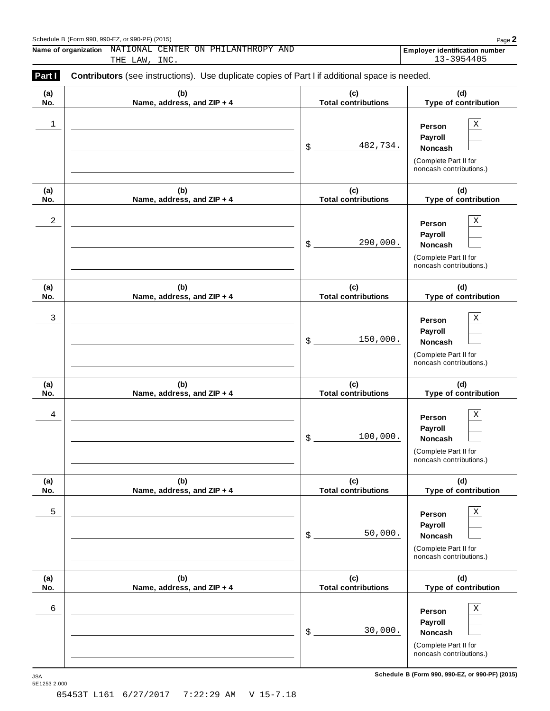#### Schedule <sup>B</sup> (Form 990, 990-EZ, or 990-PF) (2015) Page **2**

**Name of organization Employer identification number** NATIONAL CENTER ON PHILANTHROPY AND THE LAW, INC. 13-3954405

| Part I     | <b>Contributors</b> (see instructions). Use duplicate copies of Part I if additional space is needed. |                                   |                                                                                                        |  |  |  |  |
|------------|-------------------------------------------------------------------------------------------------------|-----------------------------------|--------------------------------------------------------------------------------------------------------|--|--|--|--|
| (a)<br>No. | (b)<br>Name, address, and ZIP + 4                                                                     | (c)<br><b>Total contributions</b> | (d)<br>Type of contribution                                                                            |  |  |  |  |
| 1          |                                                                                                       | 482,734.<br>\$                    | $\mathbf X$<br>Person<br>Payroll<br><b>Noncash</b><br>(Complete Part II for<br>noncash contributions.) |  |  |  |  |
| (a)<br>No. | (b)<br>Name, address, and ZIP + 4                                                                     | (c)<br><b>Total contributions</b> | (d)<br>Type of contribution                                                                            |  |  |  |  |
| 2          |                                                                                                       | 290,000.<br>\$                    | $\mathbf X$<br>Person<br>Payroll<br><b>Noncash</b><br>(Complete Part II for<br>noncash contributions.) |  |  |  |  |
| (a)<br>No. | (b)<br>Name, address, and ZIP + 4                                                                     | (c)<br><b>Total contributions</b> | (d)<br>Type of contribution                                                                            |  |  |  |  |
| 3          |                                                                                                       | 150,000.<br>\$                    | $\mathbf X$<br>Person<br>Payroll<br><b>Noncash</b><br>(Complete Part II for<br>noncash contributions.) |  |  |  |  |
| (a)<br>No. | (b)<br>Name, address, and ZIP + 4                                                                     | (c)<br><b>Total contributions</b> | (d)<br>Type of contribution                                                                            |  |  |  |  |
| 4          |                                                                                                       | 100,000.<br>\$                    | $\mathbf X$<br>Person<br>Payroll<br><b>Noncash</b><br>(Complete Part II for<br>noncash contributions.) |  |  |  |  |
| (a)<br>No. | (b)<br>Name, address, and ZIP + 4                                                                     | (c)<br><b>Total contributions</b> | (d)<br>Type of contribution                                                                            |  |  |  |  |
| 5          |                                                                                                       | 50,000.<br>\$                     | $\rm X$<br>Person<br>Payroll<br><b>Noncash</b><br>(Complete Part II for<br>noncash contributions.)     |  |  |  |  |
| (a)<br>No. | (b)<br>Name, address, and ZIP + 4                                                                     | (c)<br><b>Total contributions</b> | (d)<br>Type of contribution                                                                            |  |  |  |  |
| 6          |                                                                                                       | 30,000.<br>\$                     | $\rm X$<br>Person<br>Payroll<br><b>Noncash</b><br>(Complete Part II for<br>noncash contributions.)     |  |  |  |  |

5E1253 2.000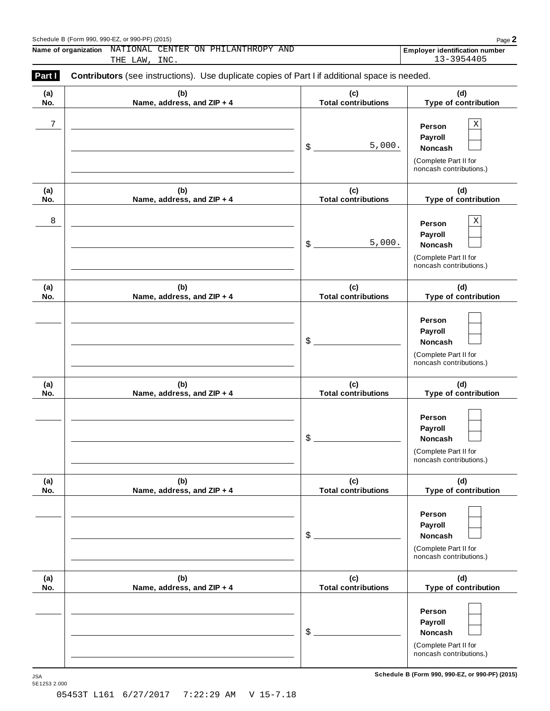#### Schedule <sup>B</sup> (Form 990, 990-EZ, or 990-PF) (2015) Page **2**

**Name of organization Employer identification number** NATIONAL CENTER ON PHILANTHROPY AND THE LAW, INC. 13-3954405

| (a) | (b)                        | (c)                                    | (d)                                              |
|-----|----------------------------|----------------------------------------|--------------------------------------------------|
| No. | Name, address, and ZIP + 4 | <b>Total contributions</b>             | Type of contribution                             |
| 7   |                            |                                        | $\mathbf X$<br>Person                            |
|     |                            |                                        | Payroll                                          |
|     |                            | 5,000.<br>$$$ $\overline{\phantom{a}}$ |                                                  |
|     |                            |                                        | Noncash                                          |
|     |                            |                                        | (Complete Part II for<br>noncash contributions.) |
| (a) | (b)                        | (c)                                    | (d)                                              |
| No. | Name, address, and ZIP + 4 | <b>Total contributions</b>             | Type of contribution                             |
| 8   |                            |                                        | $\rm X$<br>Person                                |
|     |                            |                                        |                                                  |
|     |                            | 5,000.                                 | Payroll                                          |
|     |                            | $\frac{1}{2}$                          | <b>Noncash</b>                                   |
|     |                            |                                        | (Complete Part II for<br>noncash contributions.) |
| (a) | (b)                        | (c)                                    | (d)                                              |
| No. | Name, address, and ZIP + 4 | <b>Total contributions</b>             | Type of contribution                             |
|     |                            |                                        | Person                                           |
|     |                            |                                        |                                                  |
|     |                            | $\frac{1}{2}$                          | Payroll                                          |
|     |                            |                                        | <b>Noncash</b>                                   |
|     |                            |                                        | (Complete Part II for<br>noncash contributions.) |
| (a) | (b)                        | (c)                                    | (d)                                              |
| No. | Name, address, and ZIP + 4 | <b>Total contributions</b>             | Type of contribution                             |
|     |                            |                                        |                                                  |
|     |                            |                                        | Person                                           |
|     |                            |                                        | Payroll                                          |
|     |                            | \$                                     | <b>Noncash</b>                                   |
|     |                            |                                        | (Complete Part II for                            |
|     |                            |                                        | noncash contributions.)                          |
| (a) | (b)                        | (c)                                    | (d)                                              |
| No. | Name, address, and ZIP + 4 | <b>Total contributions</b>             | Type of contribution                             |
|     |                            |                                        |                                                  |
|     |                            |                                        | Person                                           |
|     |                            |                                        | Payroll                                          |
|     |                            | $\boldsymbol{\$}$                      | <b>Noncash</b>                                   |
|     |                            |                                        | (Complete Part II for                            |
|     |                            |                                        | noncash contributions.)                          |
| (a) | (b)                        | (c)                                    | (d)                                              |
| No. | Name, address, and ZIP + 4 | <b>Total contributions</b>             | Type of contribution                             |
|     |                            |                                        |                                                  |
|     |                            |                                        | Person                                           |
|     |                            |                                        | Payroll                                          |
|     |                            | $\boldsymbol{\mathsf{S}}$              | Noncash                                          |
|     |                            |                                        | (Complete Part II for                            |
|     |                            |                                        | noncash contributions.)                          |
|     |                            |                                        |                                                  |

JSA<br>5E1253 2.000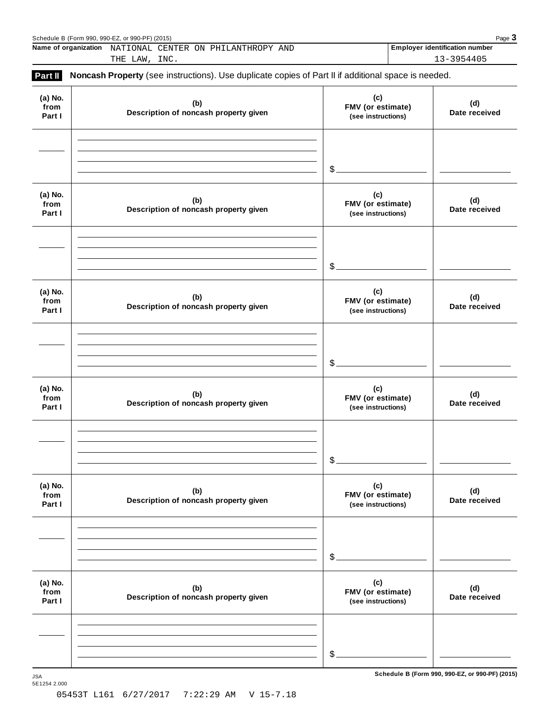|                           | Name of organization NATIONAL CENTER ON PHILANTHROPY AND<br>THE LAW, INC.                           |                                                | <b>Employer identification number</b><br>13-3954405 |
|---------------------------|-----------------------------------------------------------------------------------------------------|------------------------------------------------|-----------------------------------------------------|
| Part II                   | Noncash Property (see instructions). Use duplicate copies of Part II if additional space is needed. |                                                |                                                     |
| (a) No.<br>from<br>Part I | (b)<br>Description of noncash property given                                                        | (c)<br>FMV (or estimate)<br>(see instructions) | (d)<br>Date received                                |
|                           |                                                                                                     | $\mathcal{S}_{-}$                              |                                                     |
| (a) No.<br>from<br>Part I | (b)<br>Description of noncash property given                                                        | (c)<br>FMV (or estimate)<br>(see instructions) | (d)<br>Date received                                |
|                           |                                                                                                     | $\mathcal{S}_{-}$                              |                                                     |
| (a) No.<br>from<br>Part I | (b)<br>Description of noncash property given                                                        | (c)<br>FMV (or estimate)<br>(see instructions) | (d)<br>Date received                                |
|                           |                                                                                                     | $\mathcal{S}_{-}$                              |                                                     |
| (a) No.<br>from<br>Part I | (b)<br>Description of noncash property given                                                        | (c)<br>FMV (or estimate)<br>(see instructions) | (d)<br>Date received                                |
|                           |                                                                                                     | $$$ .                                          |                                                     |
| (a) No.<br>from<br>Part I | (b)<br>Description of noncash property given                                                        | (c)<br>FMV (or estimate)<br>(see instructions) | (d)<br>Date received                                |
|                           |                                                                                                     | $\mathcal{S}_{-}$                              |                                                     |
| (a) No.<br>from<br>Part I | (b)<br>Description of noncash property given                                                        | (c)<br>FMV (or estimate)<br>(see instructions) | (d)<br>Date received                                |
|                           |                                                                                                     |                                                |                                                     |
|                           |                                                                                                     | $$$ .                                          |                                                     |

 $S$ chedule B (Form 990, 990-EZ, or 990-PF) (2015)

5E1254 2.000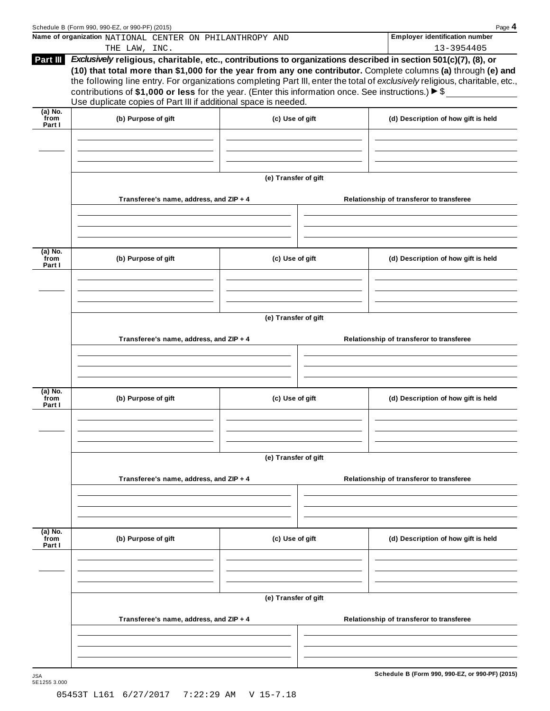|                           | Schedule B (Form 990, 990-EZ, or 990-PF) (2015)                                                                                                                                                                                                                                                           |                      |  | Page 4                                                                                                                                                                                                                                        |  |
|---------------------------|-----------------------------------------------------------------------------------------------------------------------------------------------------------------------------------------------------------------------------------------------------------------------------------------------------------|----------------------|--|-----------------------------------------------------------------------------------------------------------------------------------------------------------------------------------------------------------------------------------------------|--|
|                           | Name of organization NATIONAL CENTER ON PHILANTHROPY AND<br>THE LAW, INC.                                                                                                                                                                                                                                 |                      |  | <b>Employer identification number</b><br>13-3954405                                                                                                                                                                                           |  |
| Part III                  | Exclusively religious, charitable, etc., contributions to organizations described in section 501(c)(7), (8), or<br>contributions of \$1,000 or less for the year. (Enter this information once. See instructions.) $\triangleright$ \$<br>Use duplicate copies of Part III if additional space is needed. |                      |  | (10) that total more than \$1,000 for the year from any one contributor. Complete columns (a) through (e) and<br>the following line entry. For organizations completing Part III, enter the total of exclusively religious, charitable, etc., |  |
| $(a)$ No.<br>from         |                                                                                                                                                                                                                                                                                                           |                      |  |                                                                                                                                                                                                                                               |  |
| Part I                    | (b) Purpose of gift                                                                                                                                                                                                                                                                                       | (c) Use of gift      |  | (d) Description of how gift is held                                                                                                                                                                                                           |  |
|                           |                                                                                                                                                                                                                                                                                                           | (e) Transfer of gift |  |                                                                                                                                                                                                                                               |  |
|                           | Transferee's name, address, and ZIP + 4                                                                                                                                                                                                                                                                   |                      |  | Relationship of transferor to transferee                                                                                                                                                                                                      |  |
| (a) No.                   |                                                                                                                                                                                                                                                                                                           |                      |  |                                                                                                                                                                                                                                               |  |
| from<br>Part I            | (b) Purpose of gift                                                                                                                                                                                                                                                                                       | (c) Use of gift      |  | (d) Description of how gift is held                                                                                                                                                                                                           |  |
|                           |                                                                                                                                                                                                                                                                                                           |                      |  |                                                                                                                                                                                                                                               |  |
|                           | Transferee's name, address, and ZIP + 4                                                                                                                                                                                                                                                                   | (e) Transfer of gift |  | Relationship of transferor to transferee                                                                                                                                                                                                      |  |
|                           |                                                                                                                                                                                                                                                                                                           |                      |  |                                                                                                                                                                                                                                               |  |
| (a) No.<br>from<br>Part I | (b) Purpose of gift                                                                                                                                                                                                                                                                                       | (c) Use of gift      |  | (d) Description of how gift is held                                                                                                                                                                                                           |  |
|                           |                                                                                                                                                                                                                                                                                                           |                      |  |                                                                                                                                                                                                                                               |  |
|                           |                                                                                                                                                                                                                                                                                                           | (e) Transfer of gift |  |                                                                                                                                                                                                                                               |  |
|                           | Transferee's name, address, and ZIP + 4                                                                                                                                                                                                                                                                   |                      |  | Relationship of transferor to transferee                                                                                                                                                                                                      |  |
| (a) No.                   |                                                                                                                                                                                                                                                                                                           |                      |  |                                                                                                                                                                                                                                               |  |
| from<br>Part I            | (b) Purpose of gift                                                                                                                                                                                                                                                                                       | (c) Use of gift      |  | (d) Description of how gift is held                                                                                                                                                                                                           |  |
|                           |                                                                                                                                                                                                                                                                                                           |                      |  |                                                                                                                                                                                                                                               |  |
|                           | Transferee's name, address, and ZIP + 4                                                                                                                                                                                                                                                                   | (e) Transfer of gift |  | Relationship of transferor to transferee                                                                                                                                                                                                      |  |
|                           |                                                                                                                                                                                                                                                                                                           |                      |  |                                                                                                                                                                                                                                               |  |
|                           |                                                                                                                                                                                                                                                                                                           |                      |  |                                                                                                                                                                                                                                               |  |
|                           |                                                                                                                                                                                                                                                                                                           |                      |  | Schedule B (Form 990, 990-EZ, or 990-PF) (2015)                                                                                                                                                                                               |  |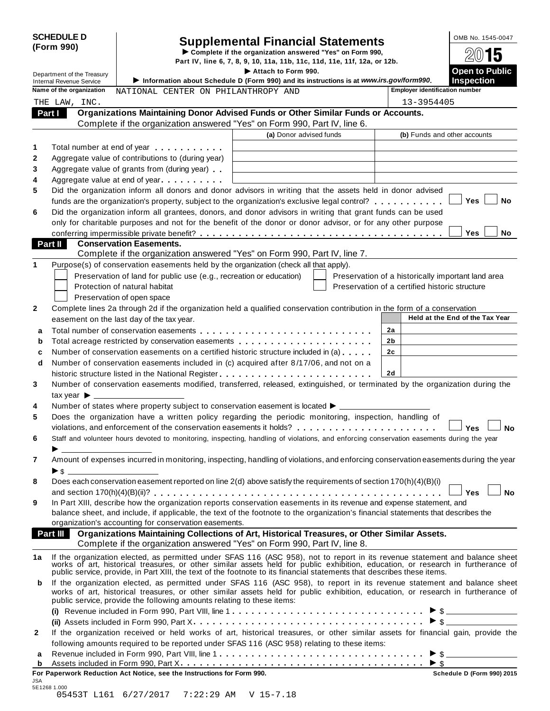| <b>SCHEDULE D</b><br>(Form 990)                               |                                                                                                          | <b>Supplemental Financial Statements</b><br>Complete if the organization answered "Yes" on Form 990,                                                                                                                                                         | Part IV, line 6, 7, 8, 9, 10, 11a, 11b, 11c, 11d, 11e, 11f, 12a, or 12b. |                                            |  |  |  |
|---------------------------------------------------------------|----------------------------------------------------------------------------------------------------------|--------------------------------------------------------------------------------------------------------------------------------------------------------------------------------------------------------------------------------------------------------------|--------------------------------------------------------------------------|--------------------------------------------|--|--|--|
| Department of the Treasury<br><b>Internal Revenue Service</b> |                                                                                                          | Attach to Form 990.<br>Information about Schedule D (Form 990) and its instructions is at www.irs.gov/form990.                                                                                                                                               |                                                                          | <b>Open to Public</b><br><b>Inspection</b> |  |  |  |
| Name of the organization                                      | NATIONAL CENTER ON PHILANTHROPY AND                                                                      |                                                                                                                                                                                                                                                              | <b>Employer identification number</b>                                    |                                            |  |  |  |
| THE LAW, INC.                                                 |                                                                                                          |                                                                                                                                                                                                                                                              | 13-3954405                                                               |                                            |  |  |  |
| Part I                                                        |                                                                                                          | Organizations Maintaining Donor Advised Funds or Other Similar Funds or Accounts.                                                                                                                                                                            |                                                                          |                                            |  |  |  |
|                                                               |                                                                                                          | Complete if the organization answered "Yes" on Form 990, Part IV, line 6.                                                                                                                                                                                    |                                                                          |                                            |  |  |  |
|                                                               |                                                                                                          | (a) Donor advised funds                                                                                                                                                                                                                                      | (b) Funds and other accounts                                             |                                            |  |  |  |
| 1                                                             | Total number at end of year manufacturers and the Total number                                           |                                                                                                                                                                                                                                                              |                                                                          |                                            |  |  |  |
| $\boldsymbol{2}$                                              | Aggregate value of contributions to (during year)                                                        |                                                                                                                                                                                                                                                              |                                                                          |                                            |  |  |  |
| 3                                                             | Aggregate value of grants from (during year)                                                             |                                                                                                                                                                                                                                                              |                                                                          |                                            |  |  |  |
| 4                                                             | Aggregate value at end of year                                                                           |                                                                                                                                                                                                                                                              |                                                                          |                                            |  |  |  |
| 5                                                             |                                                                                                          | Did the organization inform all donors and donor advisors in writing that the assets held in donor advised                                                                                                                                                   |                                                                          |                                            |  |  |  |
|                                                               |                                                                                                          | funds are the organization's property, subject to the organization's exclusive legal control?                                                                                                                                                                |                                                                          | <b>Yes</b><br>No                           |  |  |  |
| 6                                                             |                                                                                                          | Did the organization inform all grantees, donors, and donor advisors in writing that grant funds can be used                                                                                                                                                 |                                                                          |                                            |  |  |  |
|                                                               |                                                                                                          | only for charitable purposes and not for the benefit of the donor or donor advisor, or for any other purpose                                                                                                                                                 |                                                                          | No<br><b>Yes</b>                           |  |  |  |
| Part II                                                       | <b>Conservation Easements.</b>                                                                           |                                                                                                                                                                                                                                                              |                                                                          |                                            |  |  |  |
|                                                               |                                                                                                          | Complete if the organization answered "Yes" on Form 990, Part IV, line 7.                                                                                                                                                                                    |                                                                          |                                            |  |  |  |
| 1                                                             | Purpose(s) of conservation easements held by the organization (check all that apply).                    |                                                                                                                                                                                                                                                              |                                                                          |                                            |  |  |  |
|                                                               | Preservation of land for public use (e.g., recreation or education)                                      |                                                                                                                                                                                                                                                              | Preservation of a historically important land area                       |                                            |  |  |  |
|                                                               | Protection of natural habitat                                                                            |                                                                                                                                                                                                                                                              | Preservation of a certified historic structure                           |                                            |  |  |  |
|                                                               | Preservation of open space                                                                               |                                                                                                                                                                                                                                                              |                                                                          |                                            |  |  |  |
| 2                                                             |                                                                                                          | Complete lines 2a through 2d if the organization held a qualified conservation contribution in the form of a conservation                                                                                                                                    |                                                                          |                                            |  |  |  |
|                                                               | easement on the last day of the tax year.                                                                |                                                                                                                                                                                                                                                              |                                                                          | Held at the End of the Tax Year            |  |  |  |
| a                                                             |                                                                                                          |                                                                                                                                                                                                                                                              | 2a                                                                       |                                            |  |  |  |
| b                                                             |                                                                                                          | Total acreage restricted by conservation easements                                                                                                                                                                                                           | 2b                                                                       |                                            |  |  |  |
| c                                                             |                                                                                                          | Number of conservation easements on a certified historic structure included in (a)                                                                                                                                                                           | 2c                                                                       |                                            |  |  |  |
| d                                                             |                                                                                                          | Number of conservation easements included in (c) acquired after 8/17/06, and not on a                                                                                                                                                                        |                                                                          |                                            |  |  |  |
|                                                               |                                                                                                          | historic structure listed in the National Register                                                                                                                                                                                                           | 2d                                                                       |                                            |  |  |  |
| 3                                                             |                                                                                                          | Number of conservation easements modified, transferred, released, extinguished, or terminated by the organization during the                                                                                                                                 |                                                                          |                                            |  |  |  |
| tax year $\blacktriangleright$ $\_\_$                         |                                                                                                          |                                                                                                                                                                                                                                                              |                                                                          |                                            |  |  |  |
| 4<br>5                                                        | Number of states where property subject to conservation easement is located $\blacktriangleright$ $\bot$ | Does the organization have a written policy regarding the periodic monitoring, inspection, handling of                                                                                                                                                       |                                                                          |                                            |  |  |  |
|                                                               |                                                                                                          | violations, and enforcement of the conservation easements it holds? $\ldots \ldots \ldots \ldots \ldots \ldots$                                                                                                                                              |                                                                          |                                            |  |  |  |
| 6                                                             |                                                                                                          | Staff and volunteer hours devoted to monitoring, inspecting, handling of violations, and enforcing conservation easements during the year                                                                                                                    |                                                                          |                                            |  |  |  |
|                                                               | $\blacktriangleright$ and the contract of $\frac{1}{\sqrt{2}}$                                           |                                                                                                                                                                                                                                                              |                                                                          |                                            |  |  |  |
| 7                                                             |                                                                                                          | Amount of expenses incurred in monitoring, inspecting, handling of violations, and enforcing conservation easements during the year                                                                                                                          |                                                                          |                                            |  |  |  |
|                                                               | $\triangleright$ \$                                                                                      |                                                                                                                                                                                                                                                              |                                                                          |                                            |  |  |  |
|                                                               |                                                                                                          | Does each conservation easement reported on line 2(d) above satisfy the requirements of section 170(h)(4)(B)(i)                                                                                                                                              |                                                                          |                                            |  |  |  |
| 8                                                             |                                                                                                          |                                                                                                                                                                                                                                                              |                                                                          |                                            |  |  |  |
|                                                               |                                                                                                          |                                                                                                                                                                                                                                                              |                                                                          | <b>No</b><br>— Yes                         |  |  |  |
|                                                               |                                                                                                          | In Part XIII, describe how the organization reports conservation easements in its revenue and expense statement, and                                                                                                                                         |                                                                          |                                            |  |  |  |
| 9                                                             |                                                                                                          | balance sheet, and include, if applicable, the text of the footnote to the organization's financial statements that describes the                                                                                                                            |                                                                          |                                            |  |  |  |
|                                                               | organization's accounting for conservation easements.                                                    |                                                                                                                                                                                                                                                              |                                                                          |                                            |  |  |  |
| <b>Part III</b>                                               |                                                                                                          | Organizations Maintaining Collections of Art, Historical Treasures, or Other Similar Assets.                                                                                                                                                                 |                                                                          |                                            |  |  |  |
|                                                               |                                                                                                          | Complete if the organization answered "Yes" on Form 990, Part IV, line 8.                                                                                                                                                                                    |                                                                          |                                            |  |  |  |
|                                                               |                                                                                                          | If the organization elected, as permitted under SFAS 116 (ASC 958), not to report in its revenue statement and balance sheet works of art, historical treasures, or other similar assets held for public exhibition, education                               |                                                                          |                                            |  |  |  |
| b                                                             | public service, provide the following amounts relating to these items:                                   | If the organization elected, as permitted under SFAS 116 (ASC 958), to report in its revenue statement and balance sheet<br>works of art, historical treasures, or other similar assets held for public exhibition, education, or research in furtherance of |                                                                          |                                            |  |  |  |
|                                                               |                                                                                                          |                                                                                                                                                                                                                                                              |                                                                          |                                            |  |  |  |
|                                                               |                                                                                                          |                                                                                                                                                                                                                                                              |                                                                          |                                            |  |  |  |
| 1a<br>$\mathbf{2}$                                            |                                                                                                          | If the organization received or held works of art, historical treasures, or other similar assets for financial gain, provide the                                                                                                                             |                                                                          |                                            |  |  |  |
|                                                               |                                                                                                          | following amounts required to be reported under SFAS 116 (ASC 958) relating to these items:                                                                                                                                                                  |                                                                          |                                            |  |  |  |
| a<br>b                                                        |                                                                                                          |                                                                                                                                                                                                                                                              | $\blacktriangleright$ \$                                                 |                                            |  |  |  |

| 05453T L161 6/27/2017 7:22:29 AM V 15-7.18 |  |  |  |
|--------------------------------------------|--|--|--|
|--------------------------------------------|--|--|--|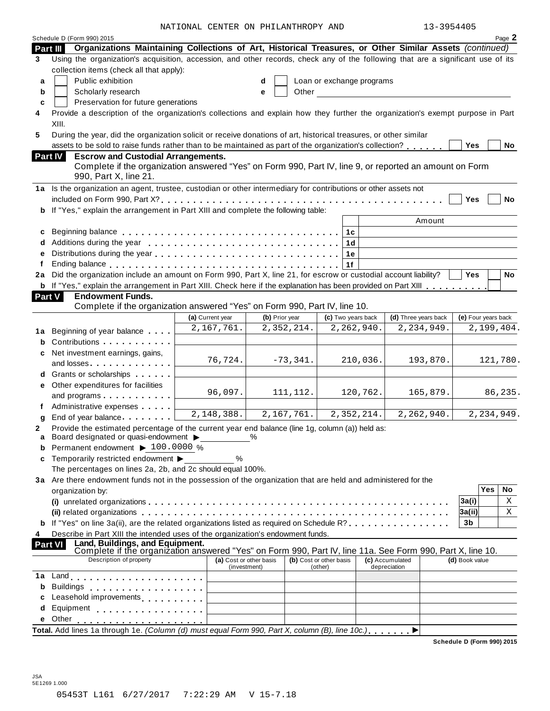NATIONAL CENTER ON PHILANTHROPY AND 13-3954405

|                | Schedule D (Form 990) 2015                                                                                                                                                                                                     |                                         |                |                          |                                    |                           |                                 |          |                     |     | Page 2     |
|----------------|--------------------------------------------------------------------------------------------------------------------------------------------------------------------------------------------------------------------------------|-----------------------------------------|----------------|--------------------------|------------------------------------|---------------------------|---------------------------------|----------|---------------------|-----|------------|
| Part III       | Organizations Maintaining Collections of Art, Historical Treasures, or Other Similar Assets (continued)                                                                                                                        |                                         |                |                          |                                    |                           |                                 |          |                     |     |            |
| 3              | Using the organization's acquisition, accession, and other records, check any of the following that are a significant use of its<br>collection items (check all that apply):                                                   |                                         |                |                          |                                    |                           |                                 |          |                     |     |            |
| a              | Public exhibition                                                                                                                                                                                                              |                                         | d              |                          |                                    | Loan or exchange programs |                                 |          |                     |     |            |
| b              | Scholarly research                                                                                                                                                                                                             |                                         | e              | Other                    |                                    |                           |                                 |          |                     |     |            |
| c              | Preservation for future generations                                                                                                                                                                                            |                                         |                |                          |                                    |                           |                                 |          |                     |     |            |
| 4              | Provide a description of the organization's collections and explain how they further the organization's exempt purpose in Part<br>XIII.                                                                                        |                                         |                |                          |                                    |                           |                                 |          |                     |     |            |
| 5              | During the year, did the organization solicit or receive donations of art, historical treasures, or other similar                                                                                                              |                                         |                |                          |                                    |                           |                                 |          |                     |     |            |
|                | assets to be sold to raise funds rather than to be maintained as part of the organization's collection?                                                                                                                        |                                         |                |                          |                                    |                           |                                 |          | <b>Yes</b>          |     | No         |
| <b>Part IV</b> | <b>Escrow and Custodial Arrangements.</b>                                                                                                                                                                                      |                                         |                |                          |                                    |                           |                                 |          |                     |     |            |
|                | Complete if the organization answered "Yes" on Form 990, Part IV, line 9, or reported an amount on Form<br>990, Part X, line 21.                                                                                               |                                         |                |                          |                                    |                           |                                 |          |                     |     |            |
|                | 1a Is the organization an agent, trustee, custodian or other intermediary for contributions or other assets not                                                                                                                |                                         |                |                          |                                    |                           |                                 |          |                     |     |            |
|                |                                                                                                                                                                                                                                |                                         |                |                          |                                    |                           |                                 |          | Yes                 |     | No         |
|                | b If "Yes," explain the arrangement in Part XIII and complete the following table:                                                                                                                                             |                                         |                |                          |                                    |                           |                                 |          |                     |     |            |
|                |                                                                                                                                                                                                                                |                                         |                |                          |                                    |                           |                                 | Amount   |                     |     |            |
| c              |                                                                                                                                                                                                                                |                                         |                |                          |                                    |                           |                                 |          |                     |     |            |
| d              |                                                                                                                                                                                                                                |                                         |                |                          |                                    | 1с<br>1d                  |                                 |          |                     |     |            |
| е              |                                                                                                                                                                                                                                |                                         |                |                          |                                    | 1е                        |                                 |          |                     |     |            |
| f              |                                                                                                                                                                                                                                |                                         |                |                          |                                    | 1f                        |                                 |          |                     |     |            |
|                | 2a Did the organization include an amount on Form 990, Part X, line 21, for escrow or custodial account liability?                                                                                                             |                                         |                |                          |                                    |                           |                                 |          | <b>Yes</b>          |     | No         |
|                | <b>b</b> If "Yes," explain the arrangement in Part XIII. Check here if the explanation has been provided on Part XIII                                                                                                          |                                         |                |                          |                                    |                           |                                 |          |                     |     |            |
| <b>Part V</b>  | <b>Endowment Funds.</b>                                                                                                                                                                                                        |                                         |                |                          |                                    |                           |                                 |          |                     |     |            |
|                | Complete if the organization answered "Yes" on Form 990, Part IV, line 10.                                                                                                                                                     |                                         |                |                          |                                    |                           |                                 |          |                     |     |            |
|                |                                                                                                                                                                                                                                | (a) Current year                        | (b) Prior year |                          |                                    | (c) Two years back        | (d) Three years back            |          | (e) Four years back |     |            |
|                |                                                                                                                                                                                                                                | 2,167,761.                              |                | 2,352,214.               |                                    | 2,262,940.                | 2, 234, 949.                    |          |                     |     | 2,199,404. |
| 1a             | Beginning of year balance                                                                                                                                                                                                      |                                         |                |                          |                                    |                           |                                 |          |                     |     |            |
| b              | Contributions                                                                                                                                                                                                                  |                                         |                |                          |                                    |                           |                                 |          |                     |     |            |
| c              | Net investment earnings, gains,                                                                                                                                                                                                | 76,724.                                 |                | $-73,341.$               |                                    | 210,036.                  |                                 | 193,870. |                     |     | 121,780.   |
|                | and losses                                                                                                                                                                                                                     |                                         |                |                          |                                    |                           |                                 |          |                     |     |            |
|                | Grants or scholarships                                                                                                                                                                                                         |                                         |                |                          |                                    |                           |                                 |          |                     |     |            |
| е              | Other expenditures for facilities                                                                                                                                                                                              | 96,097.                                 |                | 111, 112.                |                                    | 120,762.                  |                                 | 165,879. |                     |     | 86,235.    |
|                | and programs                                                                                                                                                                                                                   |                                         |                |                          |                                    |                           |                                 |          |                     |     |            |
|                | Administrative expenses                                                                                                                                                                                                        | 2,148,388.                              |                | $\overline{2,167,761}$ . |                                    | 2,352,214.                | 2,262,940.                      |          |                     |     | 2,234,949. |
| g              | End of year balance expansion of year balance                                                                                                                                                                                  |                                         |                |                          |                                    |                           |                                 |          |                     |     |            |
| 2<br>a         | Provide the estimated percentage of the current year end balance (line 1g, column (a)) held as:<br>Board designated or quasi-endowment >                                                                                       |                                         | %              |                          |                                    |                           |                                 |          |                     |     |            |
| b              | Permanent endowment > 100.0000 %                                                                                                                                                                                               |                                         |                |                          |                                    |                           |                                 |          |                     |     |            |
| c              | Temporarily restricted endowment ▶                                                                                                                                                                                             | %                                       |                |                          |                                    |                           |                                 |          |                     |     |            |
|                | The percentages on lines 2a, 2b, and 2c should equal 100%.                                                                                                                                                                     |                                         |                |                          |                                    |                           |                                 |          |                     |     |            |
|                | 3a Are there endowment funds not in the possession of the organization that are held and administered for the                                                                                                                  |                                         |                |                          |                                    |                           |                                 |          |                     |     |            |
|                | organization by:                                                                                                                                                                                                               |                                         |                |                          |                                    |                           |                                 |          |                     | Yes | No         |
|                |                                                                                                                                                                                                                                |                                         |                |                          |                                    |                           |                                 |          | 3a(i)               |     | Χ          |
|                |                                                                                                                                                                                                                                |                                         |                |                          |                                    |                           |                                 |          | 3a(ii)              |     | Χ          |
|                | If "Yes" on line 3a(ii), are the related organizations listed as required on Schedule R?                                                                                                                                       |                                         |                |                          |                                    |                           |                                 |          | 3 <sub>b</sub>      |     |            |
| 4              | Describe in Part XIII the intended uses of the organization's endowment funds.                                                                                                                                                 |                                         |                |                          |                                    |                           |                                 |          |                     |     |            |
| <b>Part VI</b> | Land, Buildings, and Equipment.<br>Complete if the organization answered "Yes" on Form 990, Part IV, line 11a. See Form 990, Part X, line 10.                                                                                  |                                         |                |                          |                                    |                           |                                 |          |                     |     |            |
|                | Description of property                                                                                                                                                                                                        |                                         |                |                          |                                    |                           |                                 |          |                     |     |            |
|                |                                                                                                                                                                                                                                | (a) Cost or other basis<br>(investment) |                |                          | (b) Cost or other basis<br>(other) |                           | (c) Accumulated<br>depreciation |          | (d) Book value      |     |            |
| 1a             | Land experience and the series of the series of the series of the series of the series of the series of the series of the series of the series of the series of the series of the series of the series of the series of the se |                                         |                |                          |                                    |                           |                                 |          |                     |     |            |
| b              | Buildings                                                                                                                                                                                                                      |                                         |                |                          |                                    |                           |                                 |          |                     |     |            |
| c              | Leasehold improvements <b>Leasehold</b> improvements                                                                                                                                                                           |                                         |                |                          |                                    |                           |                                 |          |                     |     |            |
| d              | Equipment experience and the set of the set of the set of the set of the set of the set of the set of the set o                                                                                                                |                                         |                |                          |                                    |                           |                                 |          |                     |     |            |
| е              | Other                                                                                                                                                                                                                          |                                         |                |                          |                                    |                           |                                 |          |                     |     |            |
|                | Total. Add lines 1a through 1e. (Column (d) must equal Form 990, Part X, column (B), line 10c.)                                                                                                                                |                                         |                |                          |                                    |                           |                                 |          |                     |     |            |
|                |                                                                                                                                                                                                                                |                                         |                |                          |                                    |                           |                                 |          |                     |     |            |

**Schedule D (Form 990) 2015**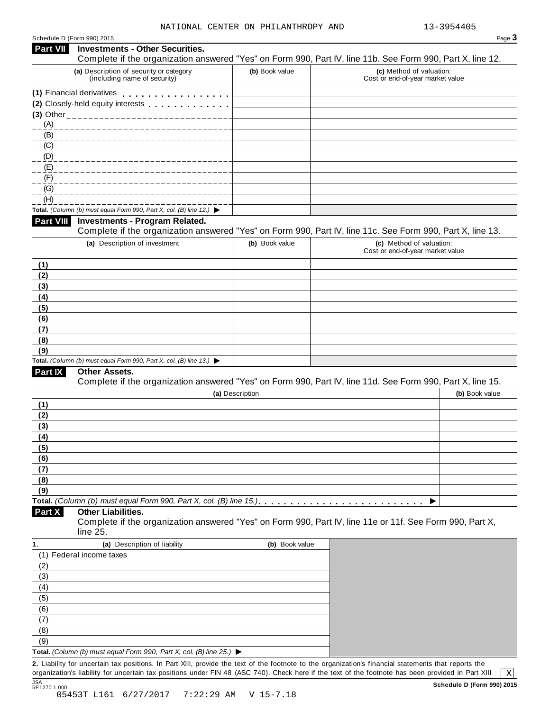| <b>Part VII</b>                                                                  |                                                                                          |                 |                                                                                                               |
|----------------------------------------------------------------------------------|------------------------------------------------------------------------------------------|-----------------|---------------------------------------------------------------------------------------------------------------|
|                                                                                  | <b>Investments - Other Securities.</b>                                                   |                 | Complete if the organization answered "Yes" on Form 990, Part IV, line 11b. See Form 990, Part X, line 12.    |
|                                                                                  | (a) Description of security or category<br>(including name of security)                  | (b) Book value  | (c) Method of valuation:<br>Cost or end-of-year market value                                                  |
|                                                                                  | (1) Financial derivatives                                                                |                 |                                                                                                               |
|                                                                                  | (2) Closely-held equity interests entitled and closely-held equity interests             |                 |                                                                                                               |
|                                                                                  |                                                                                          |                 |                                                                                                               |
| (A)                                                                              | ____________________________                                                             |                 |                                                                                                               |
| (B)                                                                              |                                                                                          |                 |                                                                                                               |
| (C)                                                                              |                                                                                          |                 |                                                                                                               |
| (D)                                                                              |                                                                                          |                 |                                                                                                               |
| (E)                                                                              |                                                                                          |                 |                                                                                                               |
| (F)                                                                              |                                                                                          |                 |                                                                                                               |
| (G)                                                                              |                                                                                          |                 |                                                                                                               |
| (H)                                                                              |                                                                                          |                 |                                                                                                               |
|                                                                                  | Total. (Column (b) must equal Form 990, Part X, col. (B) line 12.) $\blacktriangleright$ |                 |                                                                                                               |
| <b>Part VIII</b>                                                                 | <b>Investments - Program Related.</b>                                                    |                 | Complete if the organization answered "Yes" on Form 990, Part IV, line 11c. See Form 990, Part X, line 13.    |
|                                                                                  |                                                                                          |                 |                                                                                                               |
|                                                                                  | (a) Description of investment                                                            | (b) Book value  | (c) Method of valuation:<br>Cost or end-of-year market value                                                  |
| (1)                                                                              |                                                                                          |                 |                                                                                                               |
| (2)                                                                              |                                                                                          |                 |                                                                                                               |
| (3)                                                                              |                                                                                          |                 |                                                                                                               |
| (4)                                                                              |                                                                                          |                 |                                                                                                               |
| (5)                                                                              |                                                                                          |                 |                                                                                                               |
| (6)                                                                              |                                                                                          |                 |                                                                                                               |
| (7)                                                                              |                                                                                          |                 |                                                                                                               |
| (8)                                                                              |                                                                                          |                 |                                                                                                               |
| (9)                                                                              |                                                                                          |                 |                                                                                                               |
|                                                                                  | Total. (Column (b) must equal Form 990, Part X, col. (B) line 13.) $\blacktriangleright$ |                 |                                                                                                               |
|                                                                                  |                                                                                          |                 |                                                                                                               |
|                                                                                  | <b>Other Assets.</b>                                                                     |                 |                                                                                                               |
|                                                                                  |                                                                                          |                 | Complete if the organization answered "Yes" on Form 990, Part IV, line 11d. See Form 990, Part X, line 15.    |
|                                                                                  |                                                                                          | (a) Description | (b) Book value                                                                                                |
|                                                                                  |                                                                                          |                 |                                                                                                               |
|                                                                                  |                                                                                          |                 |                                                                                                               |
|                                                                                  |                                                                                          |                 |                                                                                                               |
|                                                                                  |                                                                                          |                 |                                                                                                               |
|                                                                                  |                                                                                          |                 |                                                                                                               |
|                                                                                  |                                                                                          |                 |                                                                                                               |
|                                                                                  |                                                                                          |                 |                                                                                                               |
|                                                                                  |                                                                                          |                 |                                                                                                               |
|                                                                                  |                                                                                          |                 |                                                                                                               |
| Part IX<br>(1)<br>(2)<br>(3)<br>(4)<br>(5)<br>(6)<br>(7)<br>(8)<br>(9)<br>Part X | <b>Other Liabilities.</b>                                                                |                 | ▶<br>Complete if the organization answered "Yes" on Form 990, Part IV, line 11e or 11f. See Form 990, Part X, |
|                                                                                  | line 25.                                                                                 |                 |                                                                                                               |
|                                                                                  | (a) Description of liability                                                             | (b) Book value  |                                                                                                               |
|                                                                                  | (1) Federal income taxes                                                                 |                 |                                                                                                               |
|                                                                                  |                                                                                          |                 |                                                                                                               |
|                                                                                  |                                                                                          |                 |                                                                                                               |
|                                                                                  |                                                                                          |                 |                                                                                                               |
|                                                                                  |                                                                                          |                 |                                                                                                               |
|                                                                                  |                                                                                          |                 |                                                                                                               |
| 1.<br>(2)<br>(3)<br>(4)<br>(5)<br>(6)<br>(7)                                     |                                                                                          |                 |                                                                                                               |
| (8)<br>(9)                                                                       |                                                                                          |                 |                                                                                                               |

organization's liability for uncertain tax positions under FIN 48 (ASC 740). Check here ifthe text of the footnote has been provided in Part XIII JSA **Schedule D (Form 990) 2015** 5E1270 1.000

X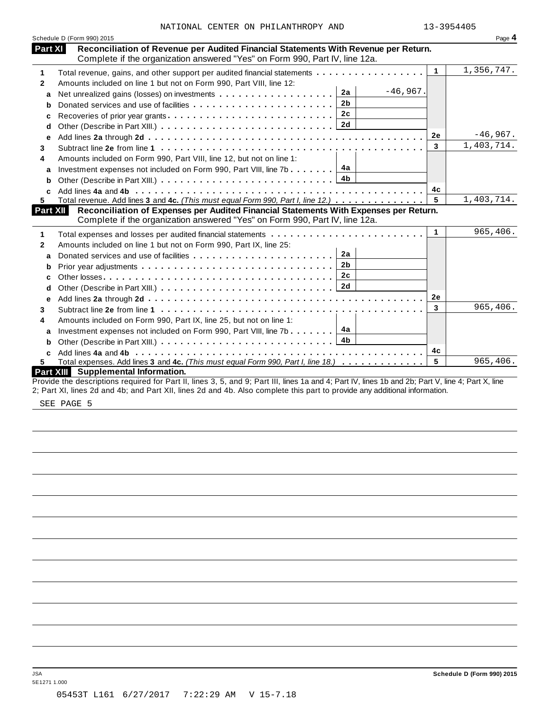|              | Schedule D (Form 990) 2015                                                                                                                                         |                      | Page 4     |
|--------------|--------------------------------------------------------------------------------------------------------------------------------------------------------------------|----------------------|------------|
| Part XI      | Reconciliation of Revenue per Audited Financial Statements With Revenue per Return.<br>Complete if the organization answered "Yes" on Form 990, Part IV, line 12a. |                      |            |
| 1            | Total revenue, gains, and other support per audited financial statements                                                                                           | $\blacktriangleleft$ | 1,356,747. |
| $\mathbf{2}$ | Amounts included on line 1 but not on Form 990, Part VIII, line 12:                                                                                                |                      |            |
| a            | $-46,967.$<br>2a<br>Net unrealized gains (losses) on investments                                                                                                   |                      |            |
| b            | 2 <sub>b</sub><br>Donated services and use of facilities                                                                                                           |                      |            |
| c            | 2c<br>Recoveries of prior year grants                                                                                                                              |                      |            |
| d            | 2d                                                                                                                                                                 |                      |            |
| е            |                                                                                                                                                                    | <b>2e</b>            | $-46,967.$ |
| 3            |                                                                                                                                                                    | 3                    | 1,403,714. |
| 4            | Amounts included on Form 990, Part VIII, line 12, but not on line 1:                                                                                               |                      |            |
| a            | 4а<br>Investment expenses not included on Form 990, Part VIII, line 7b                                                                                             |                      |            |
| b            | 4 <sub>b</sub>                                                                                                                                                     |                      |            |
|              |                                                                                                                                                                    | 4c                   |            |
| 5            | Total revenue. Add lines 3 and 4c. (This must equal Form 990, Part I, line 12.)                                                                                    | 5                    | 1,403,714. |
| Part XII     | Reconciliation of Expenses per Audited Financial Statements With Expenses per Return.                                                                              |                      |            |
|              | Complete if the organization answered "Yes" on Form 990, Part IV, line 12a.                                                                                        |                      |            |
| 1            |                                                                                                                                                                    | $\mathbf{1}$         | 965,406.   |
| $\mathbf{2}$ | Amounts included on line 1 but not on Form 990, Part IX, line 25:                                                                                                  |                      |            |
| a            | 2a                                                                                                                                                                 |                      |            |
| b            | 2 <sub>b</sub>                                                                                                                                                     |                      |            |
| c            | 2c                                                                                                                                                                 |                      |            |
| d            |                                                                                                                                                                    |                      |            |
| е            |                                                                                                                                                                    | 2e                   |            |
| 3            |                                                                                                                                                                    | 3                    | 965,406.   |
| 4            | Amounts included on Form 990, Part IX, line 25, but not on line 1:                                                                                                 |                      |            |
| a            | 4a<br>Investment expenses not included on Form 990, Part VIII, line 7b                                                                                             |                      |            |
| b            | 4 <sub>b</sub>                                                                                                                                                     |                      |            |
| C            |                                                                                                                                                                    | 4с                   |            |
| 5.           | Total expenses. Add lines 3 and 4c. (This must equal Form 990, Part I, line 18.)                                                                                   | 5                    | 965,406.   |
|              | Part XIII Supplemental Information.                                                                                                                                |                      |            |
|              | Provide the descriptions required for Part II, lines 3, 5, and 9; Part III, lines 1a and 4; Part IV, lines 1b and 2b; Part V, line 4; Part X, line                 |                      |            |
|              | 2; Part XI, lines 2d and 4b; and Part XII, lines 2d and 4b. Also complete this part to provide any additional information.                                         |                      |            |

SEE PAGE 5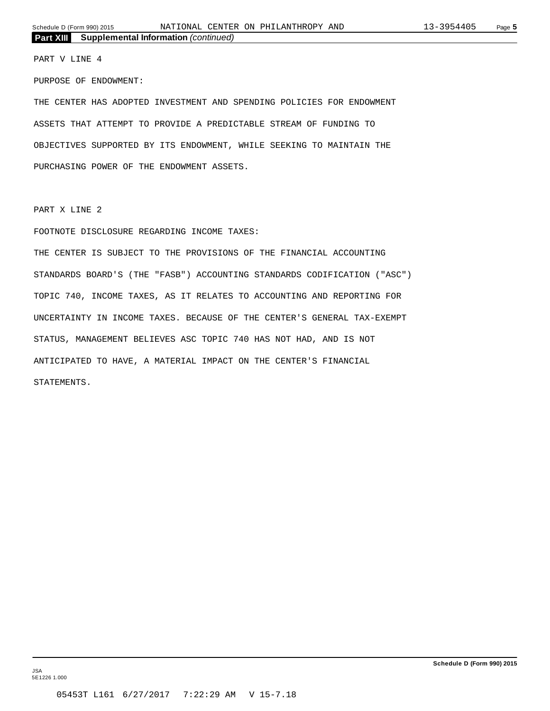PART V LINE 4

PURPOSE OF ENDOWMENT:

THE CENTER HAS ADOPTED INVESTMENT AND SPENDING POLICIES FOR ENDOWMENT ASSETS THAT ATTEMPT TO PROVIDE A PREDICTABLE STREAM OF FUNDING TO OBJECTIVES SUPPORTED BY ITS ENDOWMENT, WHILE SEEKING TO MAINTAIN THE PURCHASING POWER OF THE ENDOWMENT ASSETS.

PART X LINE 2

FOOTNOTE DISCLOSURE REGARDING INCOME TAXES:

THE CENTER IS SUBJECT TO THE PROVISIONS OF THE FINANCIAL ACCOUNTING STANDARDS BOARD'S (THE "FASB") ACCOUNTING STANDARDS CODIFICATION ("ASC") TOPIC 740, INCOME TAXES, AS IT RELATES TO ACCOUNTING AND REPORTING FOR UNCERTAINTY IN INCOME TAXES. BECAUSE OF THE CENTER'S GENERAL TAX-EXEMPT STATUS, MANAGEMENT BELIEVES ASC TOPIC 740 HAS NOT HAD, AND IS NOT ANTICIPATED TO HAVE, A MATERIAL IMPACT ON THE CENTER'S FINANCIAL STATEMENTS.

JSA 5E1226 1.000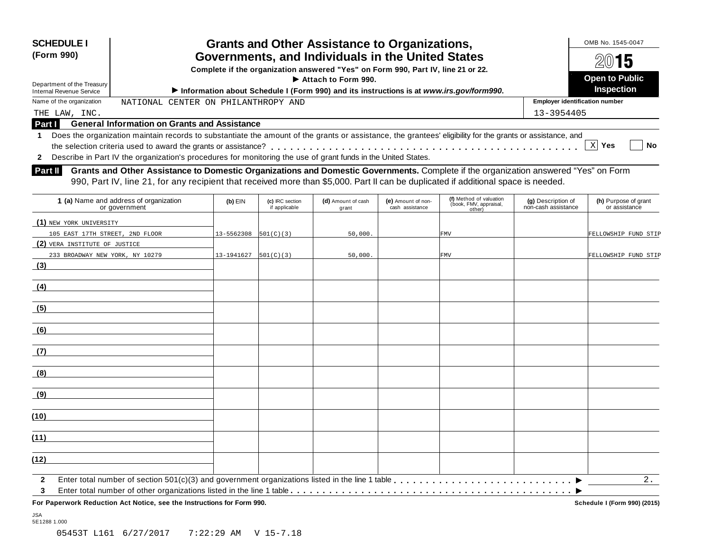| <b>SCHEDULE I</b><br>Grants and Other Assistance to Organizations,<br>(Form 990)<br>Governments, and Individuals in the United States                                                         |                                                                                                                                                                                                                                                                           |            |                                  |                                                                                  |                                       |                                                             |                                           | OMB No. 1545-0047<br>15                    |
|-----------------------------------------------------------------------------------------------------------------------------------------------------------------------------------------------|---------------------------------------------------------------------------------------------------------------------------------------------------------------------------------------------------------------------------------------------------------------------------|------------|----------------------------------|----------------------------------------------------------------------------------|---------------------------------------|-------------------------------------------------------------|-------------------------------------------|--------------------------------------------|
|                                                                                                                                                                                               |                                                                                                                                                                                                                                                                           |            |                                  | Complete if the organization answered "Yes" on Form 990, Part IV, line 21 or 22. |                                       |                                                             |                                           |                                            |
| Department of the Treasury                                                                                                                                                                    |                                                                                                                                                                                                                                                                           |            |                                  | Attach to Form 990.                                                              |                                       |                                                             |                                           | <b>Open to Public</b><br><b>Inspection</b> |
| Information about Schedule I (Form 990) and its instructions is at www.irs.gov/form990.<br><b>Internal Revenue Service</b><br>Name of the organization<br>NATIONAL CENTER ON PHILANTHROPY AND |                                                                                                                                                                                                                                                                           |            |                                  |                                                                                  |                                       |                                                             | <b>Employer identification number</b>     |                                            |
|                                                                                                                                                                                               |                                                                                                                                                                                                                                                                           |            |                                  |                                                                                  |                                       |                                                             |                                           |                                            |
| THE LAW, INC.<br><b>Part I</b>                                                                                                                                                                | <b>General Information on Grants and Assistance</b>                                                                                                                                                                                                                       |            |                                  |                                                                                  |                                       |                                                             | 13-3954405                                |                                            |
| $\mathbf{2}$                                                                                                                                                                                  | Describe in Part IV the organization's procedures for monitoring the use of grant funds in the United States.                                                                                                                                                             |            |                                  |                                                                                  |                                       |                                                             |                                           | X Yes<br><b>No</b>                         |
| <b>Part II</b>                                                                                                                                                                                | Grants and Other Assistance to Domestic Organizations and Domestic Governments. Complete if the organization answered "Yes" on Form<br>990, Part IV, line 21, for any recipient that received more than \$5,000. Part II can be duplicated if additional space is needed. |            |                                  |                                                                                  |                                       |                                                             |                                           |                                            |
|                                                                                                                                                                                               | 1 (a) Name and address of organization<br>or government                                                                                                                                                                                                                   | $(b)$ EIN  | (c) IRC section<br>if applicable | (d) Amount of cash<br>grant                                                      | (e) Amount of non-<br>cash assistance | (f) Method of valuation<br>(book, FMV, appraisal,<br>other) | (g) Description of<br>non-cash assistance | (h) Purpose of grant<br>or assistance      |
| (1) NEW YORK UNIVERSITY                                                                                                                                                                       |                                                                                                                                                                                                                                                                           |            |                                  |                                                                                  |                                       |                                                             |                                           |                                            |
| 105 EAST 17TH STREET, 2ND FLOOR                                                                                                                                                               |                                                                                                                                                                                                                                                                           | 13-5562308 | 501(C)(3)                        | 50,000.                                                                          |                                       | <b>FMV</b>                                                  |                                           | FELLOWSHIP FUND STIP                       |
| (2) VERA INSTITUTE OF JUSTICE                                                                                                                                                                 |                                                                                                                                                                                                                                                                           |            |                                  |                                                                                  |                                       |                                                             |                                           |                                            |
| 233 BROADWAY NEW YORK, NY 10279                                                                                                                                                               |                                                                                                                                                                                                                                                                           | 13-1941627 | 501(C)(3)                        | 50,000.                                                                          |                                       | <b>FMV</b>                                                  |                                           | FELLOWSHIP FUND STIP                       |
| (3)                                                                                                                                                                                           |                                                                                                                                                                                                                                                                           |            |                                  |                                                                                  |                                       |                                                             |                                           |                                            |
| (4)                                                                                                                                                                                           |                                                                                                                                                                                                                                                                           |            |                                  |                                                                                  |                                       |                                                             |                                           |                                            |
| (5)                                                                                                                                                                                           |                                                                                                                                                                                                                                                                           |            |                                  |                                                                                  |                                       |                                                             |                                           |                                            |
|                                                                                                                                                                                               |                                                                                                                                                                                                                                                                           |            |                                  |                                                                                  |                                       |                                                             |                                           |                                            |
| (6)                                                                                                                                                                                           |                                                                                                                                                                                                                                                                           |            |                                  |                                                                                  |                                       |                                                             |                                           |                                            |

I Enter total number of section 501(c)(3) and government organizations listed in the line 1 table m m m m m m m m m m m m m m m m m m m m m m m m m m m m

**For Paperwork Reduction Act Notice, see the Instructions for Form 990. Schedule I (Form 990) (2015)**

Enter total number of other organizations listed in the line 1 table m m m m m m m m m m m m m m m m m m m m m m m m m m m m m m m m m m m m m m m m m m m m

 $\overline{\phantom{a}}$ 

2.

|  | 05453T L161 6/27/2017 |  | 7:22:29 AM V 15-7.18 |  |
|--|-----------------------|--|----------------------|--|

**(8)**

**(9)**

**(10)**

**(11)**

**(12)**

**2 3**

JSA 5E1288 1.000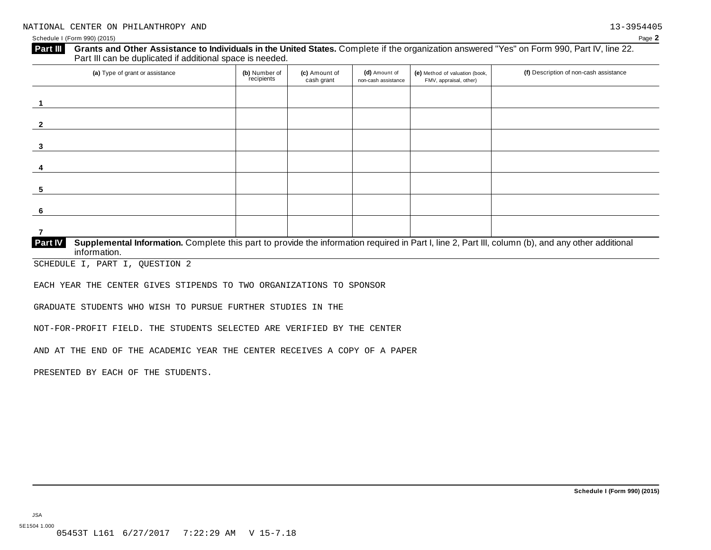| (a) Type of grant or assistance | (b) Number of<br>recipients | (c) Amount of<br>cash grant | (d) Amount of<br>non-cash assistance | (e) Method of valuation (book,<br>FMV, appraisal, other) | (f) Description of non-cash assistance |
|---------------------------------|-----------------------------|-----------------------------|--------------------------------------|----------------------------------------------------------|----------------------------------------|
|                                 |                             |                             |                                      |                                                          |                                        |
|                                 |                             |                             |                                      |                                                          |                                        |
|                                 |                             |                             |                                      |                                                          |                                        |
|                                 |                             |                             |                                      |                                                          |                                        |
|                                 |                             |                             |                                      |                                                          |                                        |
|                                 |                             |                             |                                      |                                                          |                                        |
|                                 |                             |                             |                                      |                                                          |                                        |

SCHEDULE I, PART I, QUESTION 2

EACH YEAR THE CENTER GIVES STIPENDS TO TWO ORGANIZATIONS TO SPONSOR

GRADUATE STUDENTS WHO WISH TO PURSUE FURTHER STUDIES IN THE

NOT-FOR-PROFIT FIELD. THE STUDENTS SELECTED ARE VERIFIED BY THE CENTER

AND AT THE END OF THE ACADEMIC YEAR THE CENTER RECEIVES A COPY OF A PAPER

PRESENTED BY EACH OF THE STUDENTS.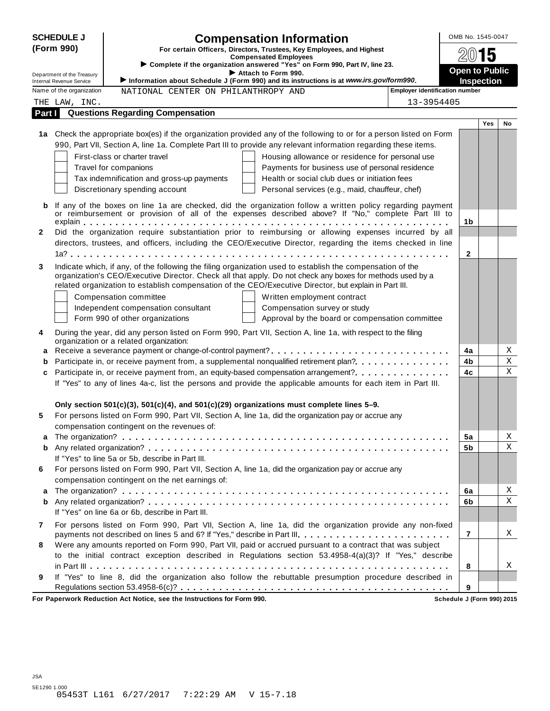| <b>SCHEDULE J</b> |                            |                                                                        | <b>Compensation Information</b>                                                                                      |                                       | OMB No. 1545-0047     |            |             |  |  |
|-------------------|----------------------------|------------------------------------------------------------------------|----------------------------------------------------------------------------------------------------------------------|---------------------------------------|-----------------------|------------|-------------|--|--|
|                   | (Form 990)                 |                                                                        | For certain Officers, Directors, Trustees, Key Employees, and Highest                                                |                                       | 2015                  |            |             |  |  |
|                   |                            |                                                                        | <b>Compensated Employees</b><br>Complete if the organization answered "Yes" on Form 990, Part IV, line 23.           |                                       |                       |            |             |  |  |
|                   | Department of the Treasury |                                                                        | Attach to Form 990.                                                                                                  |                                       | <b>Open to Public</b> |            |             |  |  |
|                   | Internal Revenue Service   |                                                                        | Information about Schedule J (Form 990) and its instructions is at www.irs.gov/form990.                              | <b>Employer identification number</b> | <b>Inspection</b>     |            |             |  |  |
|                   | Name of the organization   | NATIONAL CENTER ON PHILANTHROPY AND                                    |                                                                                                                      |                                       |                       |            |             |  |  |
|                   | THE LAW, INC.              | <b>Questions Regarding Compensation</b>                                |                                                                                                                      | 13-3954405                            |                       |            |             |  |  |
| Part I            |                            |                                                                        |                                                                                                                      |                                       |                       | <b>Yes</b> | No          |  |  |
|                   |                            |                                                                        | 1a Check the appropriate box(es) if the organization provided any of the following to or for a person listed on Form |                                       |                       |            |             |  |  |
|                   |                            |                                                                        | 990, Part VII, Section A, line 1a. Complete Part III to provide any relevant information regarding these items.      |                                       |                       |            |             |  |  |
|                   |                            | First-class or charter travel                                          | Housing allowance or residence for personal use                                                                      |                                       |                       |            |             |  |  |
|                   |                            | Travel for companions                                                  | Payments for business use of personal residence                                                                      |                                       |                       |            |             |  |  |
|                   |                            | Tax indemnification and gross-up payments                              | Health or social club dues or initiation fees                                                                        |                                       |                       |            |             |  |  |
|                   |                            | Discretionary spending account                                         | Personal services (e.g., maid, chauffeur, chef)                                                                      |                                       |                       |            |             |  |  |
|                   |                            |                                                                        |                                                                                                                      |                                       |                       |            |             |  |  |
| b                 |                            |                                                                        | If any of the boxes on line 1a are checked, did the organization follow a written policy regarding payment           |                                       |                       |            |             |  |  |
|                   |                            |                                                                        | or reimbursement or provision of all of the expenses described above? If "No," complete Part III to                  |                                       | 1b                    |            |             |  |  |
| $\mathbf{2}$      |                            |                                                                        | Did the organization require substantiation prior to reimbursing or allowing expenses incurred by all                |                                       |                       |            |             |  |  |
|                   |                            |                                                                        | directors, trustees, and officers, including the CEO/Executive Director, regarding the items checked in line         |                                       |                       |            |             |  |  |
|                   |                            |                                                                        |                                                                                                                      |                                       | $\mathbf{2}$          |            |             |  |  |
| 3                 |                            |                                                                        | Indicate which, if any, of the following the filing organization used to establish the compensation of the           |                                       |                       |            |             |  |  |
|                   |                            |                                                                        | organization's CEO/Executive Director. Check all that apply. Do not check any boxes for methods used by a            |                                       |                       |            |             |  |  |
|                   |                            |                                                                        | related organization to establish compensation of the CEO/Executive Director, but explain in Part III.               |                                       |                       |            |             |  |  |
|                   |                            | Compensation committee                                                 | Written employment contract                                                                                          |                                       |                       |            |             |  |  |
|                   |                            | Independent compensation consultant                                    | Compensation survey or study                                                                                         |                                       |                       |            |             |  |  |
|                   |                            | Form 990 of other organizations                                        | Approval by the board or compensation committee                                                                      |                                       |                       |            |             |  |  |
| 4                 |                            |                                                                        | During the year, did any person listed on Form 990, Part VII, Section A, line 1a, with respect to the filing         |                                       |                       |            |             |  |  |
|                   |                            | organization or a related organization:                                |                                                                                                                      |                                       |                       |            |             |  |  |
| a                 |                            |                                                                        |                                                                                                                      |                                       | 4a                    |            | Χ           |  |  |
| b                 |                            |                                                                        | Participate in, or receive payment from, a supplemental nonqualified retirement plan?                                |                                       | 4b                    |            | Χ           |  |  |
| c                 |                            |                                                                        | Participate in, or receive payment from, an equity-based compensation arrangement?                                   |                                       | 4c                    |            | $\mathbf X$ |  |  |
|                   |                            |                                                                        | If "Yes" to any of lines 4a-c, list the persons and provide the applicable amounts for each item in Part III.        |                                       |                       |            |             |  |  |
|                   |                            |                                                                        |                                                                                                                      |                                       |                       |            |             |  |  |
|                   |                            |                                                                        | Only section $501(c)(3)$ , $501(c)(4)$ , and $501(c)(29)$ organizations must complete lines 5–9.                     |                                       |                       |            |             |  |  |
| 5                 |                            |                                                                        | For persons listed on Form 990, Part VII, Section A, line 1a, did the organization pay or accrue any                 |                                       |                       |            |             |  |  |
|                   |                            | compensation contingent on the revenues of:                            |                                                                                                                      |                                       |                       |            |             |  |  |
| a                 |                            |                                                                        |                                                                                                                      |                                       | 5a                    |            | Χ           |  |  |
| b                 |                            |                                                                        |                                                                                                                      |                                       | 5b                    |            | X           |  |  |
|                   |                            | If "Yes" to line 5a or 5b, describe in Part III.                       |                                                                                                                      |                                       |                       |            |             |  |  |
| 6                 |                            |                                                                        | For persons listed on Form 990, Part VII, Section A, line 1a, did the organization pay or accrue any                 |                                       |                       |            |             |  |  |
|                   |                            | compensation contingent on the net earnings of:                        |                                                                                                                      |                                       |                       |            |             |  |  |
| a                 |                            |                                                                        |                                                                                                                      |                                       | 6a                    |            | Χ           |  |  |
| b                 |                            |                                                                        |                                                                                                                      |                                       | 6b                    |            | Χ           |  |  |
|                   |                            | If "Yes" on line 6a or 6b, describe in Part III.                       |                                                                                                                      |                                       |                       |            |             |  |  |
| 7                 |                            |                                                                        | For persons listed on Form 990, Part VII, Section A, line 1a, did the organization provide any non-fixed             |                                       |                       |            |             |  |  |
|                   |                            |                                                                        | payments not described on lines 5 and 6? If "Yes," describe in Part III.                                             |                                       | $\overline{7}$        |            | Χ           |  |  |
| 8                 |                            |                                                                        | Were any amounts reported on Form 990, Part VII, paid or accrued pursuant to a contract that was subject             |                                       |                       |            |             |  |  |
|                   |                            |                                                                        | to the initial contract exception described in Regulations section 53.4958-4(a)(3)? If "Yes," describe               |                                       |                       |            |             |  |  |
|                   |                            |                                                                        |                                                                                                                      |                                       | 8                     |            | X           |  |  |
| 9                 |                            |                                                                        | If "Yes" to line 8, did the organization also follow the rebuttable presumption procedure described in               |                                       |                       |            |             |  |  |
|                   |                            |                                                                        |                                                                                                                      |                                       | 9                     |            |             |  |  |
|                   |                            | For Paperwork Reduction Act Notice, see the Instructions for Form 990. |                                                                                                                      | Schedule J (Form 990) 2015            |                       |            |             |  |  |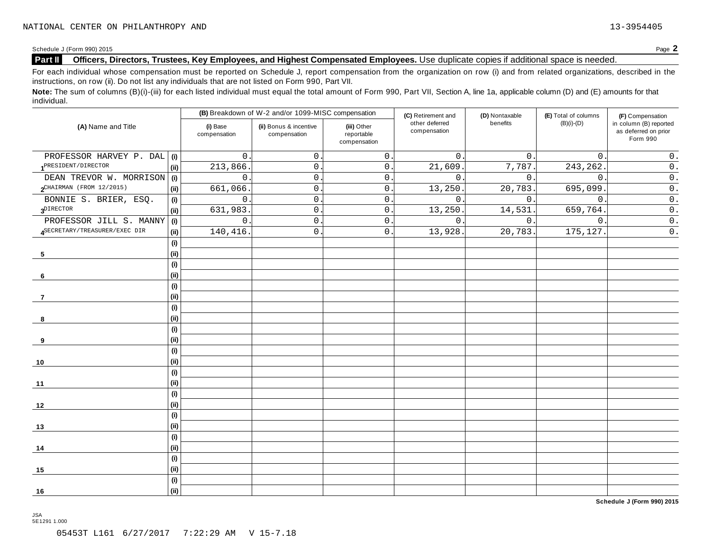#### **Part II Officers, Directors, Trustees, Key Employees, and Highest Compensated Employees.** Use duplicate copies ifadditional space is needed.

For each individual whose compensation must be reported on Schedule J, report compensation from the organization on row (i) and from related organizations, described in the instructions, on row (ii). Do not list any individuals that are not listed on Form 990, Part VII.

Note: The sum of columns (B)(i)-(iii) for each listed individual must equal the total amount of Form 990, Part VII, Section A, line 1a, applicable column (D) and (E) amounts for that individual.

|                               |      |                          | (B) Breakdown of W-2 and/or 1099-MISC compensation |                                           |                                                      | (D) Nontaxable | (E) Total of columns | (F) Compensation                                           |  |
|-------------------------------|------|--------------------------|----------------------------------------------------|-------------------------------------------|------------------------------------------------------|----------------|----------------------|------------------------------------------------------------|--|
| (A) Name and Title            |      | (i) Base<br>compensation | (ii) Bonus & incentive<br>compensation             | (iii) Other<br>reportable<br>compensation | (C) Retirement and<br>other deferred<br>compensation | benefits       | $(B)(i)-(D)$         | in column (B) reported<br>as deferred on prior<br>Form 990 |  |
| PROFESSOR HARVEY P. DAL (i)   |      | 0                        | $\mathsf{O}$ .                                     | $\mathsf{O}$ .                            | $\mathbf{0}$ .                                       | $0$ .          | $\mathbf{0}$ .       | $0$ .                                                      |  |
| 1PRESIDENT/DIRECTOR           | (i)  | 213,866                  | $\mathsf{O}$ .                                     | $\mathsf{O}$ .                            | 21,609                                               | 7,787.         | 243,262.             | $\mathtt{0}$ .                                             |  |
| DEAN TREVOR W. MORRISON (i)   |      | $\mathsf{O}$             | $\mathsf{O}\xspace$                                | $\mathsf{O}$ .                            | $\mathbf{0}$ .                                       | 0.             | $\mathsf{O}$         | $\mathsf{0}$ .                                             |  |
| $2$ CHAIRMAN (FROM 12/2015)   | (ii) | 661,066                  | $\mathsf{O}$                                       | $\mathsf{O}$ .                            | 13,250                                               | 20, 783.       | 695,099              | $\overline{0}$ .                                           |  |
| BONNIE S. BRIER, ESQ.         | (i)  | $\mathbf 0$              | $\mathsf{O}$ .                                     | $\mathsf{O}$ .                            | $\mathbf{0}$ .                                       | 0.             | $\mathbf{0}$ .       | $\mathsf{0}$ .                                             |  |
| $3^{\text{DIFFOR}}$           | (i)  | 631,983.                 | $\mathsf{O}$ .                                     | $0$ .                                     | 13,250.                                              | 14,531.        | 659,764.             | $\overline{0}$ .                                           |  |
| PROFESSOR JILL S. MANNY       | (i)  | 0                        | $\mathsf{O}$ .                                     | $\mathsf{O}$ .                            | 0.                                                   | $0$ .          | $\mathbf 0$ .        | $\overline{0}$ .                                           |  |
| ASECRETARY/TREASURER/EXEC DIR | (i)  | 140,416                  | $\mathsf{O}$ .                                     | $\mathbf{0}$                              | 13,928                                               | 20,783.        | 175,127.             | $\overline{0}$ .                                           |  |
|                               | (i)  |                          |                                                    |                                           |                                                      |                |                      |                                                            |  |
| 5                             | (i)  |                          |                                                    |                                           |                                                      |                |                      |                                                            |  |
|                               | (i)  |                          |                                                    |                                           |                                                      |                |                      |                                                            |  |
| 6                             | (i)  |                          |                                                    |                                           |                                                      |                |                      |                                                            |  |
|                               | (i)  |                          |                                                    |                                           |                                                      |                |                      |                                                            |  |
| $\overline{7}$                | (i)  |                          |                                                    |                                           |                                                      |                |                      |                                                            |  |
|                               | (i)  |                          |                                                    |                                           |                                                      |                |                      |                                                            |  |
| 8                             | (i)  |                          |                                                    |                                           |                                                      |                |                      |                                                            |  |
|                               | (i)  |                          |                                                    |                                           |                                                      |                |                      |                                                            |  |
| 9                             | (ii) |                          |                                                    |                                           |                                                      |                |                      |                                                            |  |
|                               | (i)  |                          |                                                    |                                           |                                                      |                |                      |                                                            |  |
| 10                            | (i)  |                          |                                                    |                                           |                                                      |                |                      |                                                            |  |
|                               | (i)  |                          |                                                    |                                           |                                                      |                |                      |                                                            |  |
| 11                            | (i)  |                          |                                                    |                                           |                                                      |                |                      |                                                            |  |
|                               | (i)  |                          |                                                    |                                           |                                                      |                |                      |                                                            |  |
| 12                            | (i)  |                          |                                                    |                                           |                                                      |                |                      |                                                            |  |
|                               | (i)  |                          |                                                    |                                           |                                                      |                |                      |                                                            |  |
| 13                            | (i)  |                          |                                                    |                                           |                                                      |                |                      |                                                            |  |
|                               | (i)  |                          |                                                    |                                           |                                                      |                |                      |                                                            |  |
| 14                            | (i)  |                          |                                                    |                                           |                                                      |                |                      |                                                            |  |
|                               | (i)  |                          |                                                    |                                           |                                                      |                |                      |                                                            |  |
| 15                            | (i)  |                          |                                                    |                                           |                                                      |                |                      |                                                            |  |
|                               | (i)  |                          |                                                    |                                           |                                                      |                |                      |                                                            |  |
| 16                            | (i)  |                          |                                                    |                                           |                                                      |                |                      |                                                            |  |

**Schedule J (Form 990) 2015**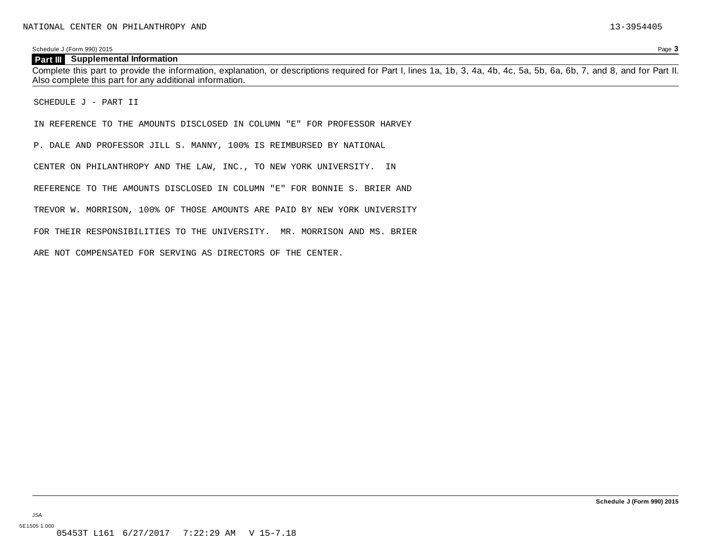#### **Part III Supplemental Information**

Complete this part to provide the information, explanation, or descriptions required for Part I, lines 1a, 1b, 3, 4a, 4b, 4c, 5a, 5b, 6a, 6b, 7, and 8, and for Part II. Also complete this part for any additional information.

SCHEDULE J - PART II

IN REFERENCE TO THE AMOUNTS DISCLOSED IN COLUMN "E" FOR PROFESSOR HARVEY

P. DALE AND PROFESSOR JILL S. MANNY, 100% IS REIMBURSED BY NATIONAL

CENTER ON PHILANTHROPY AND THE LAW, INC., TO NEW YORK UNIVERSITY. IN

REFERENCE TO THE AMOUNTS DISCLOSED IN COLUMN "E" FOR BONNIE S. BRIER AND

TREVOR W. MORRISON, 100% OF THOSE AMOUNTS ARE PAID BY NEW YORK UNIVERSITY

FOR THEIR RESPONSIBILITIES TO THE UNIVERSITY. MR. MORRISON AND MS. BRIER

ARE NOT COMPENSATED FOR SERVING AS DIRECTORS OF THE CENTER.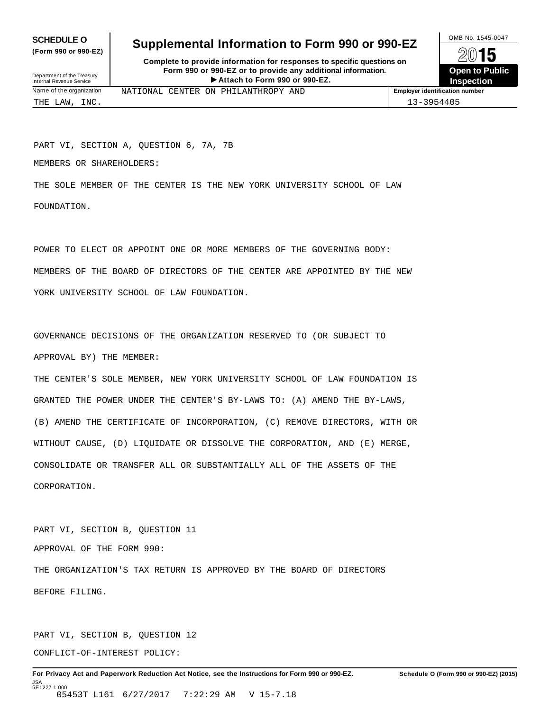**(Form 990 or 990-EZ)**

## **SCHEDULE O** Supplemental Information to Form 990 or 990-EZ  $\frac{100\text{dB No. }1545-0047}{\text{O}}$

**Complete to provide information for responses to specific questions on Form 990 or 990-EZ or to provide any additional information.** Fristen **Attach to Form 1990** or 990-EZ.<br>
Attach to Form 990 or 990-EZ.<br>
Attach to Form 990 or 990-EZ.<br> **Attach to Form 990 or 990-EZ.** Department of the Treasury Internal Revenue Service I



THE LAW, INC. 13-3954405

Name of the organization **MATIONAL CENTER ON PHILANTHROPY AND Employer identification number** 

PART VI, SECTION A, QUESTION 6, 7A, 7B

MEMBERS OR SHAREHOLDERS:

THE SOLE MEMBER OF THE CENTER IS THE NEW YORK UNIVERSITY SCHOOL OF LAW FOUNDATION.

POWER TO ELECT OR APPOINT ONE OR MORE MEMBERS OF THE GOVERNING BODY: MEMBERS OF THE BOARD OF DIRECTORS OF THE CENTER ARE APPOINTED BY THE NEW YORK UNIVERSITY SCHOOL OF LAW FOUNDATION.

GOVERNANCE DECISIONS OF THE ORGANIZATION RESERVED TO (OR SUBJECT TO APPROVAL BY) THE MEMBER:

THE CENTER'S SOLE MEMBER, NEW YORK UNIVERSITY SCHOOL OF LAW FOUNDATION IS GRANTED THE POWER UNDER THE CENTER'S BY-LAWS TO: (A) AMEND THE BY-LAWS, (B) AMEND THE CERTIFICATE OF INCORPORATION, (C) REMOVE DIRECTORS, WITH OR WITHOUT CAUSE, (D) LIQUIDATE OR DISSOLVE THE CORPORATION, AND (E) MERGE, CONSOLIDATE OR TRANSFER ALL OR SUBSTANTIALLY ALL OF THE ASSETS OF THE CORPORATION.

PART VI, SECTION B, QUESTION 11 APPROVAL OF THE FORM 990: THE ORGANIZATION'S TAX RETURN IS APPROVED BY THE BOARD OF DIRECTORS BEFORE FILING.

PART VI, SECTION B, QUESTION 12 CONFLICT-OF-INTEREST POLICY: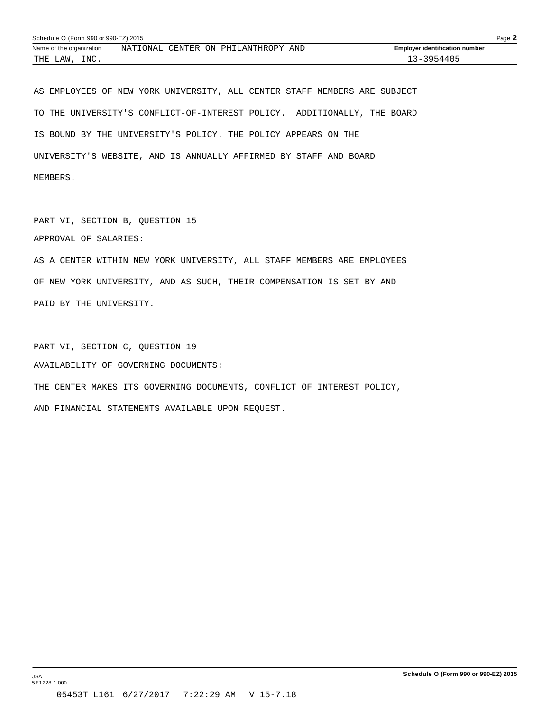| Schedule O (Form 990 or 990-EZ) 2015 |                                                        |                                       |  |
|--------------------------------------|--------------------------------------------------------|---------------------------------------|--|
| Name of the organization             | NATIONAL<br><b>CENTER</b><br>าง<br>AND<br>PHILANTHROPY | <b>Employer identification number</b> |  |
| INC.<br>THE<br>LAW                   |                                                        | $-3 - 3954405$                        |  |

AS EMPLOYEES OF NEW YORK UNIVERSITY, ALL CENTER STAFF MEMBERS ARE SUBJECT TO THE UNIVERSITY'S CONFLICT-OF-INTEREST POLICY. ADDITIONALLY, THE BOARD IS BOUND BY THE UNIVERSITY'S POLICY. THE POLICY APPEARS ON THE UNIVERSITY'S WEBSITE, AND IS ANNUALLY AFFIRMED BY STAFF AND BOARD MEMBERS.

PART VI, SECTION B, QUESTION 15

APPROVAL OF SALARIES:

AS A CENTER WITHIN NEW YORK UNIVERSITY, ALL STAFF MEMBERS ARE EMPLOYEES OF NEW YORK UNIVERSITY, AND AS SUCH, THEIR COMPENSATION IS SET BY AND PAID BY THE UNIVERSITY.

PART VI, SECTION C, QUESTION 19 AVAILABILITY OF GOVERNING DOCUMENTS: THE CENTER MAKES ITS GOVERNING DOCUMENTS, CONFLICT OF INTEREST POLICY, AND FINANCIAL STATEMENTS AVAILABLE UPON REQUEST.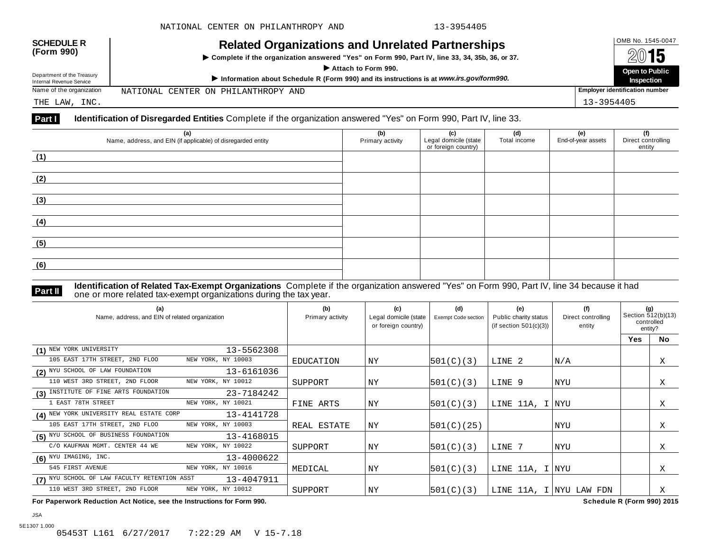| <b>SCHEDULE R</b><br>(Form 990)<br>Department of the Treasury<br>Internal Revenue Service | <b>Related Organizations and Unrelated Partnerships</b><br>▶ Complete if the organization answered "Yes" on Form 990, Part IV, line 33, 34, 35b, 36, or 37.<br>Attach to Form 990.<br>Information about Schedule R (Form 990) and its instructions is at www.irs.gov/form990. |                                       |  |  |
|-------------------------------------------------------------------------------------------|-------------------------------------------------------------------------------------------------------------------------------------------------------------------------------------------------------------------------------------------------------------------------------|---------------------------------------|--|--|
| Name of the organization                                                                  | NATIONAL CENTER ON PHILANTHROPY AND                                                                                                                                                                                                                                           | <b>Employer identification number</b> |  |  |
| THE LAW, INC.                                                                             |                                                                                                                                                                                                                                                                               | 13-3954405                            |  |  |

| (a)<br>Name, address, and EIN (if applicable) of disregarded entity | (b)<br>Primary activity | (c)<br>Legal domicile (state<br>or foreign country) | (d)<br>Total income | (e)<br>End-of-year assets | (f)<br>Direct controlling<br>entity |
|---------------------------------------------------------------------|-------------------------|-----------------------------------------------------|---------------------|---------------------------|-------------------------------------|
| (1)                                                                 |                         |                                                     |                     |                           |                                     |
| (2)                                                                 |                         |                                                     |                     |                           |                                     |
| (3)                                                                 |                         |                                                     |                     |                           |                                     |
| (4)                                                                 |                         |                                                     |                     |                           |                                     |
| (5)                                                                 |                         |                                                     |                     |                           |                                     |
| (6)                                                                 |                         |                                                     |                     |                           |                                     |

**Part II Identification of Related Tax-Exempt Organizations** Complete if the organization answered "Yes" on Form 990, Part IV, line 34 because it had<br>The one or more related tax-exempt organizations during the tax year.

| (a)<br>Name, address, and EIN of related organization |                    | (b)<br>Primary activity | (c)<br>Legal domicile (state<br>or foreign country) | (d)<br><b>Exempt Code section</b> | (e)<br>Public charity status<br>(if section $501(c)(3)$ ) | (f)<br>Direct controlling<br>entity | (g)<br>Section 512(b)(13)<br>controlled<br>entity? |           |
|-------------------------------------------------------|--------------------|-------------------------|-----------------------------------------------------|-----------------------------------|-----------------------------------------------------------|-------------------------------------|----------------------------------------------------|-----------|
|                                                       |                    |                         |                                                     |                                   |                                                           |                                     | Yes                                                | <b>No</b> |
| (1) NEW YORK UNIVERSITY                               | 13-5562308         |                         |                                                     |                                   |                                                           |                                     |                                                    |           |
| 105 EAST 17TH STREET, 2ND FLOO                        | NEW YORK, NY 10003 | EDUCATION               | ΝY                                                  | 501(C)(3)                         | LINE 2                                                    | N/A                                 |                                                    | Χ         |
| (2) NYU SCHOOL OF LAW FOUNDATION                      | 13-6161036         |                         |                                                     |                                   |                                                           |                                     |                                                    |           |
| 110 WEST 3RD STREET, 2ND FLOOR                        | NEW YORK, NY 10012 | SUPPORT                 | ΝY                                                  | 501(C)(3)                         | LINE 9                                                    | NYU                                 |                                                    | Χ         |
| (3) INSTITUTE OF FINE ARTS FOUNDATION                 | 23-7184242         |                         |                                                     |                                   |                                                           |                                     |                                                    |           |
| 1 EAST 78TH STREET                                    | NEW YORK, NY 10021 | FINE ARTS               | ΝY                                                  | 501(C)(3)                         | LINE 11A, I NYU                                           |                                     |                                                    | X         |
| (4) NEW YORK UNIVERSITY REAL ESTATE CORP              | 13-4141728         |                         |                                                     |                                   |                                                           |                                     |                                                    |           |
| 105 EAST 17TH STREET, 2ND FLOO                        | NEW YORK, NY 10003 | REAL ESTATE             | ΝY                                                  | 501(C)(25)                        |                                                           | NYU                                 |                                                    | Χ         |
| (5) NYU SCHOOL OF BUSINESS FOUNDATION                 | 13-4168015         |                         |                                                     |                                   |                                                           |                                     |                                                    |           |
| C/O KAUFMAN MGMT. CENTER 44 WE                        | NEW YORK, NY 10022 | SUPPORT                 | NY                                                  | 501(C)(3)                         | LINE 7                                                    | <b>NYU</b>                          |                                                    | X         |
| $(6)$ NYU IMAGING, INC.                               | 13-4000622         |                         |                                                     |                                   |                                                           |                                     |                                                    |           |
| 545 FIRST AVENUE                                      | NEW YORK, NY 10016 | MEDICAL                 | ΝY                                                  | 501(C)(3)                         | LINE 11A, I NYU                                           |                                     |                                                    | Χ         |
| (7) NYU SCHOOL OF LAW FACULTY RETENTION ASST          | 13-4047911         |                         |                                                     |                                   |                                                           |                                     |                                                    |           |
| 110 WEST 3RD STREET, 2ND FLOOR                        | NEW YORK, NY 10012 | SUPPORT                 | ΝY                                                  | 501(C)(3)                         |                                                           | LINE 11A, I NYU LAW FDN             |                                                    | X         |

**For Paperwork Reduction Act Notice, see the Instructions for Form 990. Schedule R (Form 990) 2015**

5E1307 1.000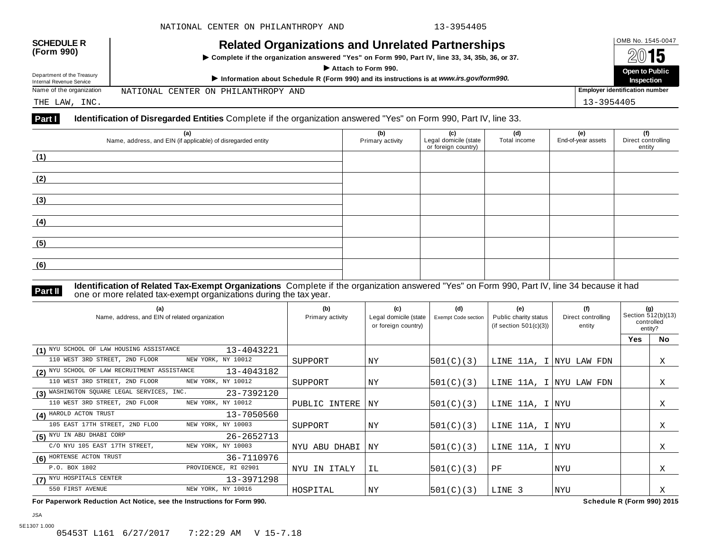| <b>SCHEDULE R</b><br>(Form 990)<br>Department of the Treasury<br>Internal Revenue Service | <b>Related Organizations and Unrelated Partnerships</b><br>Complete if the organization answered "Yes" on Form 990, Part IV, line 33, 34, 35b, 36, or 37.<br>Attach to Form 990.<br>Information about Schedule R (Form 990) and its instructions is at www.irs.gov/form990. |                                       |  |  |
|-------------------------------------------------------------------------------------------|-----------------------------------------------------------------------------------------------------------------------------------------------------------------------------------------------------------------------------------------------------------------------------|---------------------------------------|--|--|
| Name of the organization                                                                  | NATIONAL CENTER ON PHILANTHROPY AND                                                                                                                                                                                                                                         | <b>Employer identification number</b> |  |  |
| THE LAW, INC.                                                                             |                                                                                                                                                                                                                                                                             | 13-3954405                            |  |  |

| (a)<br>Name, address, and EIN (if applicable) of disregarded entity | (b)<br>Primary activity | (c)<br>Legal domicile (state<br>or foreign country) | (d)<br>Total income | (e)<br>End-of-year assets | (f)<br>Direct controlling<br>entity |
|---------------------------------------------------------------------|-------------------------|-----------------------------------------------------|---------------------|---------------------------|-------------------------------------|
| (1)                                                                 |                         |                                                     |                     |                           |                                     |
| (2)                                                                 |                         |                                                     |                     |                           |                                     |
| (3)                                                                 |                         |                                                     |                     |                           |                                     |
| (4)                                                                 |                         |                                                     |                     |                           |                                     |
| (5)                                                                 |                         |                                                     |                     |                           |                                     |
| (6)                                                                 |                         |                                                     |                     |                           |                                     |

JSA

**Part II Identification of Related Tax-Exempt Organizations** Complete if the organization answered "Yes" on Form 990, Part IV, line 34 because it had<br>The one or more related tax-exempt organizations during the tax year.

| (a)<br>Name, address, and EIN of related organization      | (b)<br>Primary activity | (c)<br>Legal domicile (state<br>or foreign country) | (d)<br>Exempt Code section | (e)<br>Public charity status<br>(if section $501(c)(3)$ ) | (f)<br>Direct controlling<br>entity | (g)<br>Section 512(b)(13)<br>controlled<br>entity? |           |
|------------------------------------------------------------|-------------------------|-----------------------------------------------------|----------------------------|-----------------------------------------------------------|-------------------------------------|----------------------------------------------------|-----------|
|                                                            |                         |                                                     |                            |                                                           |                                     | Yes                                                | <b>No</b> |
| (1) NYU SCHOOL OF LAW HOUSING ASSISTANCE<br>13-4043221     |                         |                                                     |                            |                                                           |                                     |                                                    |           |
| NEW YORK, NY 10012<br>110 WEST 3RD STREET, 2ND FLOOR       | SUPPORT                 | ΝY                                                  | 501(C)(3)                  |                                                           | LINE 11A, I NYU LAW FDN             |                                                    | X         |
| (2) NYU SCHOOL OF LAW RECRUITMENT ASSISTANCE<br>13-4043182 |                         |                                                     |                            |                                                           |                                     |                                                    |           |
| NEW YORK, NY 10012<br>110 WEST 3RD STREET, 2ND FLOOR       | SUPPORT                 | ΝY                                                  | 501(C)(3)                  | LINE 11A, I NYU LAW FDN                                   |                                     |                                                    | Χ         |
| (3) WASHINGTON SQUARE LEGAL SERVICES, INC.<br>23-7392120   |                         |                                                     |                            |                                                           |                                     |                                                    |           |
| 110 WEST 3RD STREET, 2ND FLOOR<br>NEW YORK, NY 10012       | PUBLIC INTERE           | NY                                                  | 501(C)(3)                  | LINE 11A, I NYU                                           |                                     |                                                    | Χ         |
| (4) HAROLD ACTON TRUST<br>13-7050560                       |                         |                                                     |                            |                                                           |                                     |                                                    |           |
| 105 EAST 17TH STREET, 2ND FLOO<br>NEW YORK, NY 10003       | SUPPORT                 | ΝY                                                  | 501(C)(3)                  | LINE 11A, I NYU                                           |                                     |                                                    | Χ         |
| (5) NYU IN ABU DHABI CORP<br>26-2652713                    |                         |                                                     |                            |                                                           |                                     |                                                    |           |
| C/O NYU 105 EAST 17TH STREET,<br>NEW YORK, NY 10003        | NYU ABU DHABI           | $\overline{\rm NY}$                                 | 501(C)(3)                  | LINE 11A, I NYU                                           |                                     |                                                    | Χ         |
| (6) HORTENSE ACTON TRUST<br>36-7110976                     |                         |                                                     |                            |                                                           |                                     |                                                    |           |
| PROVIDENCE, RI 02901<br>P.O. BOX 1802                      | NYU IN ITALY            | IL                                                  | 501(C)(3)                  | PF                                                        | NYU                                 |                                                    | Χ         |
| (7) NYU HOSPITALS CENTER<br>13-3971298                     |                         |                                                     |                            |                                                           |                                     |                                                    |           |
| 550 FIRST AVENUE<br>NEW YORK, NY 10016                     | HOSPITAL                | ΝY                                                  | 501(C)(3)                  | LINE 3                                                    | NYU                                 |                                                    | Χ         |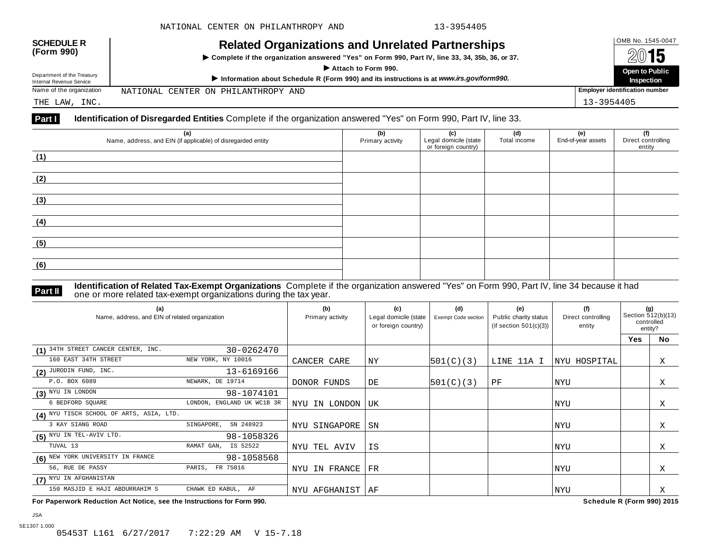| <b>SCHEDULE R</b><br>(Form 990)                        | OMB No. 1545-0047<br>2015<br>Open to Public                                             |                                       |
|--------------------------------------------------------|-----------------------------------------------------------------------------------------|---------------------------------------|
| Department of the Treasury<br>Internal Revenue Service | Information about Schedule R (Form 990) and its instructions is at www.irs.gov/form990. | Inspection                            |
| Name of the organization                               | NATIONAL CENTER ON PHILANTHROPY AND                                                     | <b>Employer identification number</b> |
| THE LAW, INC.                                          |                                                                                         | 13-3954405                            |

| (a)<br>Name, address, and EIN (if applicable) of disregarded entity | (b)<br>Primary activity | (c)<br>Legal domicile (state<br>or foreign country) | (d)<br>Total income | (e)<br>End-of-year assets | (f)<br>Direct controlling<br>entity |
|---------------------------------------------------------------------|-------------------------|-----------------------------------------------------|---------------------|---------------------------|-------------------------------------|
| (1)                                                                 |                         |                                                     |                     |                           |                                     |
| (2)                                                                 |                         |                                                     |                     |                           |                                     |
| (3)                                                                 |                         |                                                     |                     |                           |                                     |
| (4)                                                                 |                         |                                                     |                     |                           |                                     |
| (5)                                                                 |                         |                                                     |                     |                           |                                     |
| (6)                                                                 |                         |                                                     |                     |                           |                                     |

JSA

**Part II Identification of Related Tax-Exempt Organizations** Complete if the organization answered "Yes" on Form 990, Part IV, line 34 because it had<br>The one or more related tax-exempt organizations during the tax year.

| (a)<br>Name, address, and EIN of related organization |                            | (b)<br>Primary activity | (c)<br>Legal domicile (state<br>or foreign country) | (d)<br><b>Exempt Code section</b> | (e)<br>Public charity status<br>(if section $501(c)(3)$ ) | (f)<br>Direct controlling<br>entity | (g)<br>Section 512(b)(13)<br>controlled<br>entity? |           |
|-------------------------------------------------------|----------------------------|-------------------------|-----------------------------------------------------|-----------------------------------|-----------------------------------------------------------|-------------------------------------|----------------------------------------------------|-----------|
|                                                       |                            |                         |                                                     |                                   |                                                           |                                     | <b>Yes</b>                                         | <b>No</b> |
| (1) 34TH STREET CANCER CENTER, INC.                   | 30-0262470                 |                         |                                                     |                                   |                                                           |                                     |                                                    |           |
| 160 EAST 34TH STREET                                  | NEW YORK, NY 10016         | CANCER CARE             | ΝY                                                  | 501(C)(3)                         | LINE 11A I                                                | NYU HOSPITAL                        |                                                    | X         |
| $(2)$ JURODIN FUND, INC.                              | 13-6169166                 |                         |                                                     |                                   |                                                           |                                     |                                                    |           |
| P.O. BOX 6089                                         | NEWARK, DE 19714           | DONOR FUNDS             | DE                                                  | 501(C)(3)                         | PF                                                        | NYU                                 |                                                    | X         |
| $(3)$ NYU IN LONDON                                   | 98-1074101                 |                         |                                                     |                                   |                                                           |                                     |                                                    |           |
| 6 BEDFORD SQUARE                                      | LONDON, ENGLAND UK WC1B 3R | NYU IN LONDON           | UK                                                  |                                   |                                                           | NYU                                 |                                                    | Χ         |
| (4) NYU TISCH SCHOOL OF ARTS, ASIA, LTD.              |                            |                         |                                                     |                                   |                                                           |                                     |                                                    |           |
| 3 KAY SIANG ROAD                                      | SINGAPORE,<br>SN 248923    | NYU SINGAPORE           | SN                                                  |                                   |                                                           | NYU                                 |                                                    | X         |
| $(5)$ NYU IN TEL-AVIV LTD.                            | 98-1058326                 |                         |                                                     |                                   |                                                           |                                     |                                                    |           |
| TUVAL 13                                              | RAMAT GAN, IS 52522        | NYU TEL AVIV            | ΙS                                                  |                                   |                                                           | NYU                                 |                                                    | Χ         |
| (6) NEW YORK UNIVERSITY IN FRANCE                     | 98-1058568                 |                         |                                                     |                                   |                                                           |                                     |                                                    |           |
| 56, RUE DE PASSY                                      | PARIS, FR 75016            | IN FRANCE<br>NYU        | FR                                                  |                                   |                                                           | <b>NYU</b>                          |                                                    | Χ         |
| (7) NYU IN AFGHANISTAN                                |                            |                         |                                                     |                                   |                                                           |                                     |                                                    |           |
| 150 MASJID E HAJI ABDURRAHIM S                        | CHAWK ED KABUL,<br>AF      | NYU AFGHANIST           | l AF                                                |                                   |                                                           | <b>NYU</b>                          |                                                    | Χ         |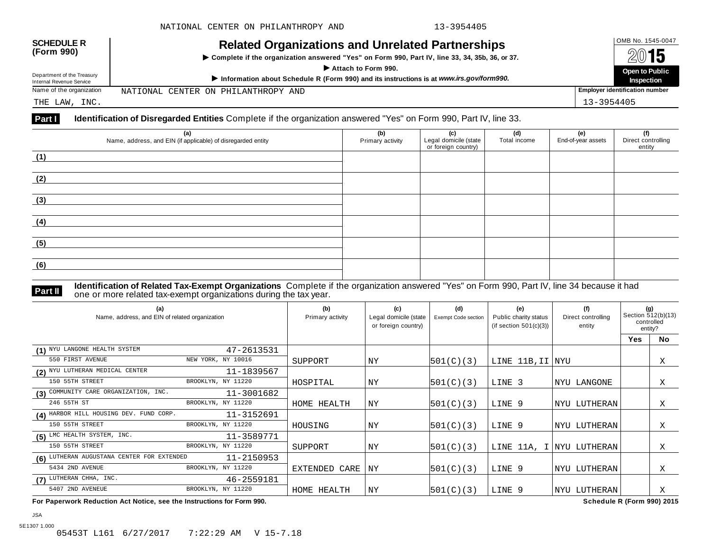| <b>SCHEDULE R</b><br>(Form 990)<br>Department of the Treasury<br>Internal Revenue Service | <b>Related Organizations and Unrelated Partnerships</b><br>Complete if the organization answered "Yes" on Form 990, Part IV, line 33, 34, 35b, 36, or 37.<br>Attach to Form 990.<br>Information about Schedule R (Form 990) and its instructions is at www.irs.gov/form990. |                                       |  |  |
|-------------------------------------------------------------------------------------------|-----------------------------------------------------------------------------------------------------------------------------------------------------------------------------------------------------------------------------------------------------------------------------|---------------------------------------|--|--|
| Name of the organization                                                                  | NATIONAL CENTER ON PHILANTHROPY AND                                                                                                                                                                                                                                         | <b>Employer identification number</b> |  |  |
| THE LAW, INC.                                                                             |                                                                                                                                                                                                                                                                             | 13-3954405                            |  |  |

| (a)<br>Name, address, and EIN (if applicable) of disregarded entity | (b)<br>Primary activity | (c)<br>Legal domicile (state<br>or foreign country) | (d)<br>Total income | (e)<br>End-of-year assets | (f)<br>Direct controlling<br>entity |
|---------------------------------------------------------------------|-------------------------|-----------------------------------------------------|---------------------|---------------------------|-------------------------------------|
| (1)                                                                 |                         |                                                     |                     |                           |                                     |
| (2)                                                                 |                         |                                                     |                     |                           |                                     |
| (3)                                                                 |                         |                                                     |                     |                           |                                     |
| (4)                                                                 |                         |                                                     |                     |                           |                                     |
| (5)                                                                 |                         |                                                     |                     |                           |                                     |
| (6)                                                                 |                         |                                                     |                     |                           |                                     |

JSA

**Part II Identification of Related Tax-Exempt Organizations** Complete if the organization answered "Yes" on Form 990, Part IV, line 34 because it had<br>The one or more related tax-exempt organizations during the tax year.

| (a)<br>Name, address, and EIN of related organization |                    | (b)<br>Primary activity | (c)<br>Legal domicile (state<br>or foreign country) | (d)<br><b>Exempt Code section</b> | (e)<br>Public charity status<br>(if section $501(c)(3)$ ) | (f)<br>Direct controlling<br>entity | (g)<br>Section 512(b)(13)<br>controlled<br>entity? |           |
|-------------------------------------------------------|--------------------|-------------------------|-----------------------------------------------------|-----------------------------------|-----------------------------------------------------------|-------------------------------------|----------------------------------------------------|-----------|
|                                                       |                    |                         |                                                     |                                   |                                                           |                                     | <b>Yes</b>                                         | <b>No</b> |
| (1) NYU LANGONE HEALTH SYSTEM                         | 47-2613531         |                         |                                                     |                                   |                                                           |                                     |                                                    |           |
| 550 FIRST AVENUE                                      | NEW YORK, NY 10016 | SUPPORT                 | ΝY                                                  | 501(C)(3)                         | LINE 11B, II NYU                                          |                                     |                                                    | Χ         |
| (2) NYU LUTHERAN MEDICAL CENTER                       | 11-1839567         |                         |                                                     |                                   |                                                           |                                     |                                                    |           |
| 150 55TH STREET                                       | BROOKLYN, NY 11220 | HOSPITAL                | ΝY                                                  | 501(C)(3)                         | LINE 3                                                    | <b>INYU LANGONE</b>                 |                                                    | X         |
| (3) COMMUNITY CARE ORGANIZATION, INC.                 | 11-3001682         |                         |                                                     |                                   |                                                           |                                     |                                                    |           |
| 246 55TH ST                                           | BROOKLYN, NY 11220 | HOME HEALTH             | ΝY                                                  | 501(C)(3)                         | LINE 9                                                    | NYU LUTHERAN                        |                                                    | Χ         |
| (4) HARBOR HILL HOUSING DEV. FUND CORP.               | 11-3152691         |                         |                                                     |                                   |                                                           |                                     |                                                    |           |
| 150 55TH STREET                                       | BROOKLYN, NY 11220 | HOUSING                 | NY                                                  | 501(C)(3)                         | LINE 9                                                    | NYU LUTHERAN                        |                                                    | Χ         |
| $(5)$ LMC HEALTH SYSTEM, INC.                         | 11-3589771         |                         |                                                     |                                   |                                                           |                                     |                                                    |           |
| 150 55TH STREET                                       | BROOKLYN, NY 11220 | SUPPORT                 | ΝY                                                  | 501(C)(3)                         |                                                           | LINE 11A, I NYU LUTHERAN            |                                                    | Χ         |
| (6) LUTHERAN AUGUSTANA CENTER FOR EXTENDED            | 11-2150953         |                         |                                                     |                                   |                                                           |                                     |                                                    |           |
| 5434 2ND AVENUE                                       | BROOKLYN, NY 11220 | EXTENDED CARE           | NY                                                  | 501(C)(3)                         | LINE 9                                                    | NYU LUTHERAN                        |                                                    | Χ         |
| (7) LUTHERAN CHHA, INC.                               | 46-2559181         |                         |                                                     |                                   |                                                           |                                     |                                                    |           |
| 5407 2ND AVENEUE                                      | BROOKLYN, NY 11220 | HOME HEALTH             | ΝY                                                  | 501(C)(3)                         | LINE 9                                                    | NYU LUTHERAN                        |                                                    | X         |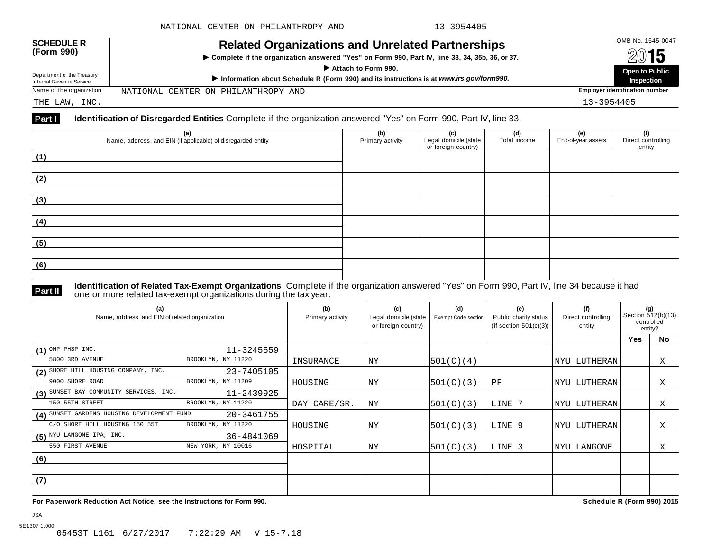| <b>SCHEDULE R</b><br>(Form 990)                        | <b>Related Organizations and Unrelated Partnerships</b><br>> Complete if the organization answered "Yes" on Form 990, Part IV, line 33, 34, 35b, 36, or 37.<br>Attach to Form 990. | OMB No. 1545-0047<br>2015<br>Open to Public |
|--------------------------------------------------------|------------------------------------------------------------------------------------------------------------------------------------------------------------------------------------|---------------------------------------------|
| Department of the Treasury<br>Internal Revenue Service | Information about Schedule R (Form 990) and its instructions is at www.irs.gov/form990.                                                                                            | Inspection                                  |
| Name of the organization                               | NATIONAL CENTER ON PHILANTHROPY AND                                                                                                                                                | <b>Employer identification number</b>       |
| THE LAW, INC.                                          |                                                                                                                                                                                    | 13-3954405                                  |

| (a)<br>Name, address, and EIN (if applicable) of disregarded entity | (b)<br>Primary activity | (c)<br>Legal domicile (state<br>or foreign country) | (d)<br>Total income | (e)<br>End-of-year assets | (f)<br>Direct controlling<br>entity |
|---------------------------------------------------------------------|-------------------------|-----------------------------------------------------|---------------------|---------------------------|-------------------------------------|
| (1)                                                                 |                         |                                                     |                     |                           |                                     |
| (2)                                                                 |                         |                                                     |                     |                           |                                     |
| (3)                                                                 |                         |                                                     |                     |                           |                                     |
| (4)                                                                 |                         |                                                     |                     |                           |                                     |
| (5)                                                                 |                         |                                                     |                     |                           |                                     |
| (6)                                                                 |                         |                                                     |                     |                           |                                     |

**Part II Identification of Related Tax-Exempt Organizations** Complete if the organization answered "Yes" on Form 990, Part IV, line 34 because it had<br>The one or more related tax-exempt organizations during the tax year.

| (a)<br>Name, address, and EIN of related organization |                    | (b)<br>Primary activity | (c)<br>Legal domicile (state<br>or foreign country) | (d)<br><b>Exempt Code section</b> | (e)<br>Public charity status<br>(if section $501(c)(3)$ ) | (f)<br>Direct controlling<br>entity | (g)<br>Section 512(b)(13)<br>controlled<br>entity? |           |
|-------------------------------------------------------|--------------------|-------------------------|-----------------------------------------------------|-----------------------------------|-----------------------------------------------------------|-------------------------------------|----------------------------------------------------|-----------|
|                                                       |                    |                         |                                                     |                                   |                                                           |                                     | <b>Yes</b>                                         | <b>No</b> |
| $(1)$ OHP PHSP INC.                                   | $11 - 3245559$     |                         |                                                     |                                   |                                                           |                                     |                                                    |           |
| 5800 3RD AVENUE                                       | BROOKLYN, NY 11220 | INSURANCE               | ΝY                                                  | 501(C)(4)                         |                                                           | NYU LUTHERAN                        |                                                    | Χ         |
| (2) SHORE HILL HOUSING COMPANY, INC.                  | 23-7405105         |                         |                                                     |                                   |                                                           |                                     |                                                    |           |
| 9000 SHORE ROAD                                       | BROOKLYN, NY 11209 | HOUSING                 | NY                                                  | 501(C)(3)                         | PF                                                        | NYU LUTHERAN                        |                                                    | X         |
| (3) SUNSET BAY COMMUNITY SERVICES, INC.               | 11-2439925         |                         |                                                     |                                   |                                                           |                                     |                                                    |           |
| 150 55TH STREET                                       | BROOKLYN, NY 11220 | DAY CARE/SR.            | NY                                                  | 501(C)(3)                         | LINE 7                                                    | NYU LUTHERAN                        |                                                    | Χ         |
| (4) SUNSET GARDENS HOUSING DEVELOPMENT FUND           | 20-3461755         |                         |                                                     |                                   |                                                           |                                     |                                                    |           |
| C/O SHORE HILL HOUSING 150 55T                        | BROOKLYN, NY 11220 | HOUSING                 | ΝY                                                  | 501(C)(3)                         | LINE 9                                                    | <b>NYU LUTHERAN</b>                 |                                                    | Χ         |
| $(5)$ NYU LANGONE IPA, INC.                           | 36-4841069         |                         |                                                     |                                   |                                                           |                                     |                                                    |           |
| 550 FIRST AVENUE                                      | NEW YORK, NY 10016 | HOSPITAL                | <b>NY</b>                                           | 501(C)(3)                         | LINE 3                                                    | NYU LANGONE                         |                                                    | Χ         |
| (6)                                                   |                    |                         |                                                     |                                   |                                                           |                                     |                                                    |           |
|                                                       |                    |                         |                                                     |                                   |                                                           |                                     |                                                    |           |
| (7)                                                   |                    |                         |                                                     |                                   |                                                           |                                     |                                                    |           |
|                                                       |                    |                         |                                                     |                                   |                                                           |                                     |                                                    |           |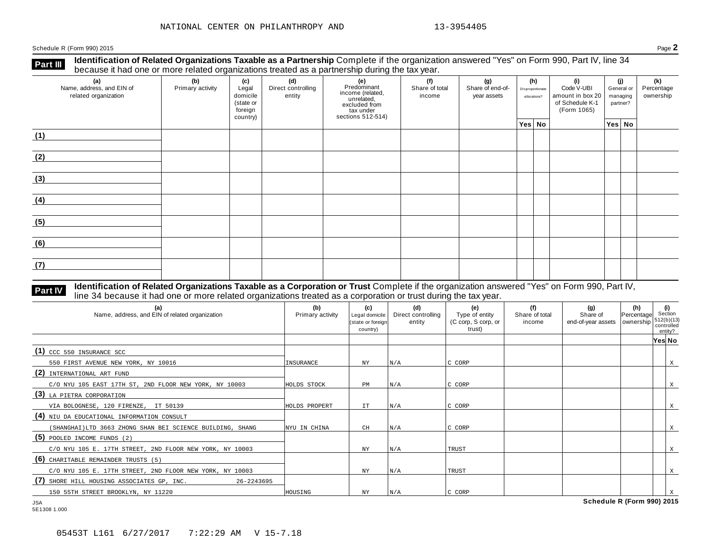**Identification of Related Organizations Taxable as a Partnership** Complete if the organization answered "Yes" on Form 990, Part IV, line 34 **because it had one or more related organizations Taxable as a Partnership** Complete if the organization of Related organizations treated as a partnership during the tax year.

| (a)<br>Name, address, and EIN of<br>related organization | ັ<br>(b)<br>Primary activity | (c)<br>Legal<br>domicile<br>(state or<br>foreign<br>country) | (d)<br>Direct controlling<br>entity | ັ<br>(e)<br>Predominant<br>income (related,<br>unrelated,<br>excluded from<br>tax under<br>sections 512-514) | (f)<br>(g)<br>Share of total<br>Share of end-of-<br>income<br>year assets |  | (h)<br>Disproportionate<br>allocations? |  | (i)<br>Code V-UBI<br>amount in box 20<br>of Schedule K-1<br>(Form 1065) | (i)<br>General or<br>managing<br>partner? |        | (k)<br>Percentage<br>ownership |
|----------------------------------------------------------|------------------------------|--------------------------------------------------------------|-------------------------------------|--------------------------------------------------------------------------------------------------------------|---------------------------------------------------------------------------|--|-----------------------------------------|--|-------------------------------------------------------------------------|-------------------------------------------|--------|--------------------------------|
|                                                          |                              |                                                              |                                     |                                                                                                              |                                                                           |  | Yes No                                  |  |                                                                         |                                           | Yes No |                                |
| (1)                                                      |                              |                                                              |                                     |                                                                                                              |                                                                           |  |                                         |  |                                                                         |                                           |        |                                |
| (2)                                                      |                              |                                                              |                                     |                                                                                                              |                                                                           |  |                                         |  |                                                                         |                                           |        |                                |
| (3)                                                      |                              |                                                              |                                     |                                                                                                              |                                                                           |  |                                         |  |                                                                         |                                           |        |                                |
| (4)                                                      |                              |                                                              |                                     |                                                                                                              |                                                                           |  |                                         |  |                                                                         |                                           |        |                                |
| (5)                                                      |                              |                                                              |                                     |                                                                                                              |                                                                           |  |                                         |  |                                                                         |                                           |        |                                |
| (6)                                                      |                              |                                                              |                                     |                                                                                                              |                                                                           |  |                                         |  |                                                                         |                                           |        |                                |
| (7)                                                      |                              |                                                              |                                     |                                                                                                              |                                                                           |  |                                         |  |                                                                         |                                           |        |                                |

# **Part IV** Identification of Related Organizations Taxable as a Corporation or Trust Complete if the organization answered "Yes" on Form 990, Part IV,<br>line 34 because it had one or more related organizations treated as a co

| (b)<br>Primary activity | (c)<br>Legal domicile<br>country) | (d)<br>Direct controlling<br>entity | (e)<br>Type of entity<br>(C corp, S corp, or<br>trust)                            | (f)<br>Share of total<br>income | (g)<br>Share of | (h) | (i)<br>Section                 | 512(b)(13)<br>controlled<br>entity? |
|-------------------------|-----------------------------------|-------------------------------------|-----------------------------------------------------------------------------------|---------------------------------|-----------------|-----|--------------------------------|-------------------------------------|
|                         |                                   |                                     |                                                                                   |                                 |                 |     | Yes No                         |                                     |
|                         |                                   |                                     |                                                                                   |                                 |                 |     |                                |                                     |
| INSURANCE               | ΝY                                |                                     | C CORP                                                                            |                                 |                 |     |                                | X                                   |
|                         |                                   |                                     |                                                                                   |                                 |                 |     |                                |                                     |
| HOLDS STOCK             | PM                                |                                     | C CORP                                                                            |                                 |                 |     |                                | X                                   |
|                         |                                   |                                     |                                                                                   |                                 |                 |     |                                |                                     |
| HOLDS PROPERT           | IT                                |                                     | C CORP                                                                            |                                 |                 |     |                                | X                                   |
|                         |                                   |                                     |                                                                                   |                                 |                 |     |                                |                                     |
| NYU IN CHINA            | $\rm CH$                          |                                     | C CORP                                                                            |                                 |                 |     |                                | Χ                                   |
|                         |                                   |                                     |                                                                                   |                                 |                 |     |                                |                                     |
|                         | NY.                               |                                     | TRUST                                                                             |                                 |                 |     |                                | X                                   |
|                         |                                   |                                     |                                                                                   |                                 |                 |     |                                |                                     |
|                         | <b>NY</b>                         |                                     | <b>TRUST</b>                                                                      |                                 |                 |     |                                | X                                   |
|                         |                                   |                                     |                                                                                   |                                 |                 |     |                                |                                     |
| HOUSING                 | NY                                |                                     | C CORP                                                                            |                                 |                 |     |                                |                                     |
|                         |                                   |                                     | (state or foreign<br>N/A<br>N/A<br>N/A<br>$\vert N/A \vert$<br>N/A<br>N/A<br> N/A |                                 |                 |     | end-of-year assets   ownership | Percentage                          |

5E1308 1.000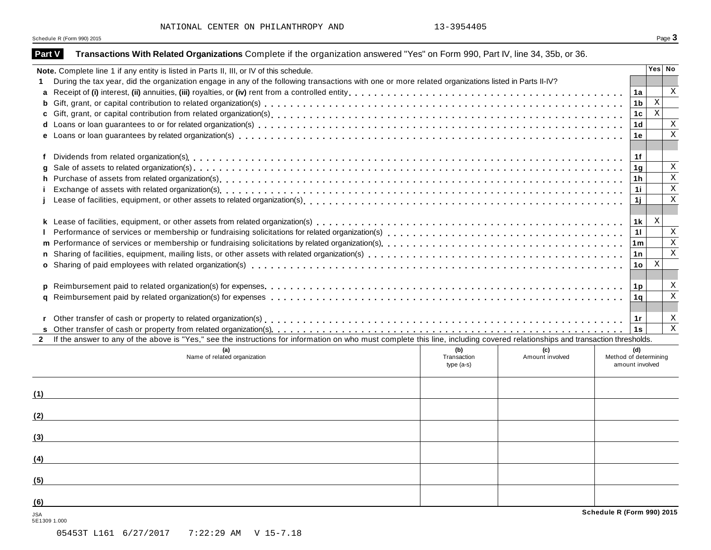| Part V       | Transactions With Related Organizations Complete if the organization answered "Yes" on Form 990, Part IV, line 34, 35b, or 36.                                               |                    |                        |                              |              |              |
|--------------|------------------------------------------------------------------------------------------------------------------------------------------------------------------------------|--------------------|------------------------|------------------------------|--------------|--------------|
|              | Note. Complete line 1 if any entity is listed in Parts II, III, or IV of this schedule.                                                                                      |                    |                        |                              |              | Yes No       |
| 1.           | During the tax year, did the organization engage in any of the following transactions with one or more related organizations listed in Parts II-IV?                          |                    |                        |                              |              |              |
| a            |                                                                                                                                                                              |                    |                        | 1a                           |              | $\mathbf x$  |
| b            |                                                                                                                                                                              |                    |                        | 1 <sub>b</sub>               | $\mathbf{X}$ |              |
| C            |                                                                                                                                                                              |                    |                        | 1c                           | $\mathbf{x}$ |              |
|              |                                                                                                                                                                              |                    |                        | 1 <sub>d</sub>               |              | Χ            |
|              |                                                                                                                                                                              |                    |                        | 1e                           |              | $\rm X$      |
|              |                                                                                                                                                                              |                    |                        |                              |              |              |
| f            |                                                                                                                                                                              |                    |                        | 1f                           |              |              |
| q            |                                                                                                                                                                              |                    |                        | 1 <sub>g</sub>               |              | Χ            |
| h.           |                                                                                                                                                                              |                    |                        | 1h                           |              | X            |
| j.           |                                                                                                                                                                              |                    |                        | 1i.                          |              | $\mathbf X$  |
|              |                                                                                                                                                                              |                    |                        | 1j                           |              | $\mathbf X$  |
|              |                                                                                                                                                                              |                    |                        |                              |              |              |
|              |                                                                                                                                                                              |                    |                        | 1k                           | X            |              |
|              |                                                                                                                                                                              |                    |                        | 11                           |              | Χ            |
|              |                                                                                                                                                                              |                    |                        | 1 <sub>m</sub>               |              | $\mathbf X$  |
| n            |                                                                                                                                                                              |                    |                        | 1n                           |              | X            |
|              |                                                                                                                                                                              |                    |                        | 1o                           | X            |              |
|              |                                                                                                                                                                              |                    |                        |                              |              |              |
|              |                                                                                                                                                                              |                    |                        | 1p                           |              | Χ            |
| a            |                                                                                                                                                                              |                    |                        | 1q                           |              | X            |
|              |                                                                                                                                                                              |                    |                        |                              |              |              |
|              |                                                                                                                                                                              |                    |                        | 1r                           |              | Х            |
|              |                                                                                                                                                                              |                    |                        | 1s                           |              | $\mathbf{X}$ |
| $\mathbf{2}$ | If the answer to any of the above is "Yes," see the instructions for information on who must complete this line, including covered relationships and transaction thresholds. |                    |                        |                              |              |              |
|              | (a)<br>Name of related organization                                                                                                                                          | (b)<br>Transaction | (c)<br>Amount involved | (d)<br>Method of determining |              |              |
|              |                                                                                                                                                                              | type $(a-s)$       |                        | amount involved              |              |              |
|              |                                                                                                                                                                              |                    |                        |                              |              |              |
|              |                                                                                                                                                                              |                    |                        |                              |              |              |
| (1)          |                                                                                                                                                                              |                    |                        |                              |              |              |
|              |                                                                                                                                                                              |                    |                        |                              |              |              |
| (2)          |                                                                                                                                                                              |                    |                        |                              |              |              |
|              |                                                                                                                                                                              |                    |                        |                              |              |              |
| (3)          |                                                                                                                                                                              |                    |                        |                              |              |              |
|              |                                                                                                                                                                              |                    |                        |                              |              |              |
| (4)          | <u>a sa barang sa mga barang sa mga barang sa mga barang sa mga barang sa mga barang sa mga barang sa mga barang sa </u>                                                     |                    |                        |                              |              |              |
|              |                                                                                                                                                                              |                    |                        |                              |              |              |
| (5)          |                                                                                                                                                                              |                    |                        |                              |              |              |
|              |                                                                                                                                                                              |                    |                        |                              |              |              |
| (6)          |                                                                                                                                                                              |                    |                        |                              |              |              |
| <b>JSA</b>   |                                                                                                                                                                              |                    |                        | Schedule R (Form 990) 2015   |              |              |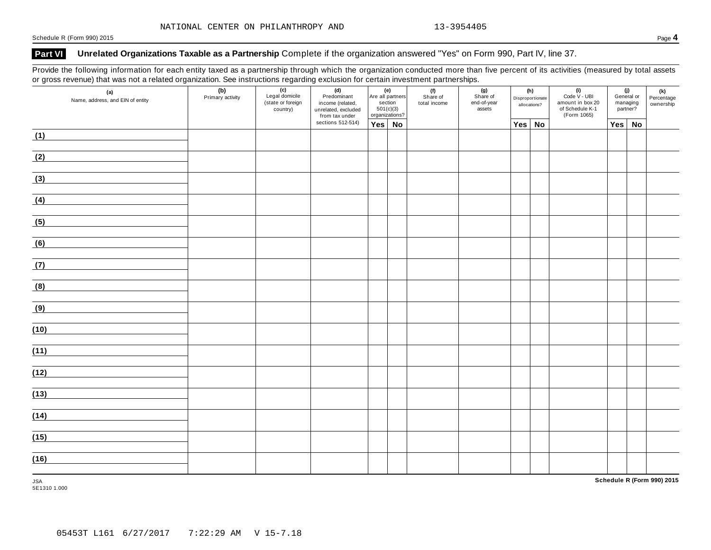### **Part VI Unrelated Organizations Taxable as a Partnership** Complete if the organization answered "Yes" on Form 990, Part IV, line 37.

Provide the following information for each entity taxed as a partnership through which the organization conducted more than five percent of its activities (measured by total assets or gross revenue) that was not a related organization. See instructions regarding exclusion for certain investment partnerships.

| (a)<br>Name, address, and EIN of entity | (b)<br>Primary activity | (c)<br>Legal domicile<br>(state or foreign<br>country) | $(d)$<br>Predominant<br>income (related,<br>unrelated, excluded<br>from tax under | $\begin{array}{ c c }\n\hline\n\end{array}$ Are all partners<br>section<br>501(c)(3)<br>organizations? | (f)<br>Share of<br>total income | (g)<br>Share of<br>end-of-year<br>assets |            | (h)<br>Disproportionate<br>allocations? | $\begin{array}{c} \textbf{(i)} \\ \textbf{Code V - UBI} \end{array}$<br>amount in box 20<br>of Schedule K-1<br>(Form 1065) | managing<br>partner? | (j)<br>General or | (k)<br>Percentage<br>ownership |
|-----------------------------------------|-------------------------|--------------------------------------------------------|-----------------------------------------------------------------------------------|--------------------------------------------------------------------------------------------------------|---------------------------------|------------------------------------------|------------|-----------------------------------------|----------------------------------------------------------------------------------------------------------------------------|----------------------|-------------------|--------------------------------|
|                                         |                         |                                                        | sections 512-514)                                                                 | Yes No                                                                                                 |                                 |                                          | <b>Yes</b> | <b>No</b>                               |                                                                                                                            | Yes                  | <b>No</b>         |                                |
| (1)                                     |                         |                                                        |                                                                                   |                                                                                                        |                                 |                                          |            |                                         |                                                                                                                            |                      |                   |                                |
| (2)                                     |                         |                                                        |                                                                                   |                                                                                                        |                                 |                                          |            |                                         |                                                                                                                            |                      |                   |                                |
| (3)                                     |                         |                                                        |                                                                                   |                                                                                                        |                                 |                                          |            |                                         |                                                                                                                            |                      |                   |                                |
| (4)                                     |                         |                                                        |                                                                                   |                                                                                                        |                                 |                                          |            |                                         |                                                                                                                            |                      |                   |                                |
| (5)                                     |                         |                                                        |                                                                                   |                                                                                                        |                                 |                                          |            |                                         |                                                                                                                            |                      |                   |                                |
| (6)                                     |                         |                                                        |                                                                                   |                                                                                                        |                                 |                                          |            |                                         |                                                                                                                            |                      |                   |                                |
| (7)                                     |                         |                                                        |                                                                                   |                                                                                                        |                                 |                                          |            |                                         |                                                                                                                            |                      |                   |                                |
| (8)                                     |                         |                                                        |                                                                                   |                                                                                                        |                                 |                                          |            |                                         |                                                                                                                            |                      |                   |                                |
| (9)                                     |                         |                                                        |                                                                                   |                                                                                                        |                                 |                                          |            |                                         |                                                                                                                            |                      |                   |                                |
| (10)                                    |                         |                                                        |                                                                                   |                                                                                                        |                                 |                                          |            |                                         |                                                                                                                            |                      |                   |                                |
| (11)                                    |                         |                                                        |                                                                                   |                                                                                                        |                                 |                                          |            |                                         |                                                                                                                            |                      |                   |                                |
| (12)                                    |                         |                                                        |                                                                                   |                                                                                                        |                                 |                                          |            |                                         |                                                                                                                            |                      |                   |                                |
| (13)                                    |                         |                                                        |                                                                                   |                                                                                                        |                                 |                                          |            |                                         |                                                                                                                            |                      |                   |                                |
| (14)                                    |                         |                                                        |                                                                                   |                                                                                                        |                                 |                                          |            |                                         |                                                                                                                            |                      |                   |                                |
| (15)                                    |                         |                                                        |                                                                                   |                                                                                                        |                                 |                                          |            |                                         |                                                                                                                            |                      |                   |                                |
| (16)                                    |                         |                                                        |                                                                                   |                                                                                                        |                                 |                                          |            |                                         |                                                                                                                            |                      |                   |                                |
| <b>JSA</b>                              |                         |                                                        |                                                                                   |                                                                                                        |                                 |                                          |            |                                         |                                                                                                                            |                      |                   | Schedule R (Form 990) 2015     |

5E1310 1.000